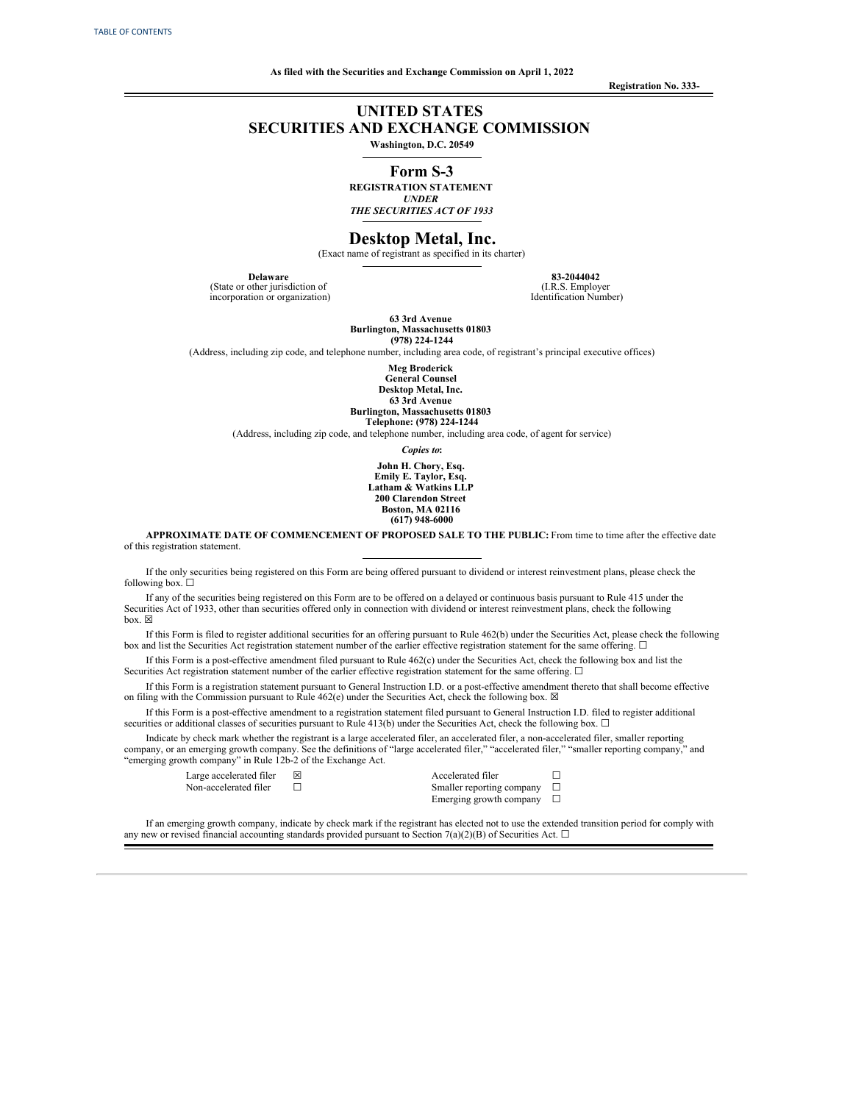**Registration No. 333-**

# **UNITED STATES SECURITIES AND EXCHANGE COMMISSION**

**Washington, D.C. 20549**

## **Form S-3**

**REGISTRATION STATEMENT**

*UNDER THE SECURITIES ACT OF 1933*

# **Desktop Metal, Inc.**

(Exact name of registrant as specified in its charter)

**Delaware** (State or other jurisdiction of incorporation or organization)

**83-2044042** (I.R.S. Employer Identification Number)

**63 3rd Avenue Burlington, Massachusetts 01803 (978) 224-1244**

(Address, including zip code, and telephone number, including area code, of registrant's principal executive offices)

**Meg Broderick General Counsel**

**Desktop Metal, Inc.**

**63 3rd Avenue**

**Burlington, Massachusetts 01803 Telephone: (978) 224-1244**

(Address, including zip code, and telephone number, including area code, of agent for service)

*Copies to***:**

**John H. Chory, Esq. Emily E. Taylor, Esq. Latham & Watkins LLP 200 Clarendon Street Boston, MA 02116 (617) 948-6000**

**APPROXIMATE DATE OF COMMENCEMENT OF PROPOSED SALE TO THE PUBLIC:** From time to time after the effective date of this registration statement.

If the only securities being registered on this Form are being offered pursuant to dividend or interest reinvestment plans, please check the following box.  $\Box$ 

If any of the securities being registered on this Form are to be offered on a delayed or continuous basis pursuant to Rule 415 under the Securities Act of 1933, other than securities offered only in connection with dividend or interest reinvestment plans, check the following  $h(x)$ 

If this Form is filed to register additional securities for an offering pursuant to Rule 462(b) under the Securities Act, please check the following box and list the Securities Act registration statement number of the earlier effective registration statement for the same offering. □

If this Form is a post-effective amendment filed pursuant to Rule 462(c) under the Securities Act, check the following box and list the Securities Act registration statement number of the earlier effective registration statement for the same offering.  $\Box$ 

If this Form is a registration statement pursuant to General Instruction I.D. or a post-effective amendment thereto that shall become effective on filing with the Commission pursuant to Rule 462(e) under the Securities Act, check the following box.  $\boxtimes$ 

If this Form is a post-effective amendment to a registration statement filed pursuant to General Instruction I.D. filed to register additional securities or additional classes of securities pursuant to Rule 413(b) under the Securities Act, check the following box.  $\Box$ 

Indicate by check mark whether the registrant is a large accelerated filer, an accelerated filer, a non-accelerated filer, smaller reporting company, or an emerging growth company. See the definitions of "large accelerated filer," "accelerated filer," "smaller reporting company," and "emerging growth company" in Rule 12b-2 of the Exchange Act.

> Large accelerated filer  $\boxtimes$  Accelerated filer  $\Box$  Sm Non-accelerated filer  $\square$ <br>Sm

| × | Accelerated filer              |  |
|---|--------------------------------|--|
|   | Smaller reporting company      |  |
|   | Emerging growth company $\Box$ |  |

If an emerging growth company, indicate by check mark if the registrant has elected not to use the extended transition period for comply with any new or revised financial accounting standards provided pursuant to Section 7(a)(2)(B) of Securities Act.  $\Box$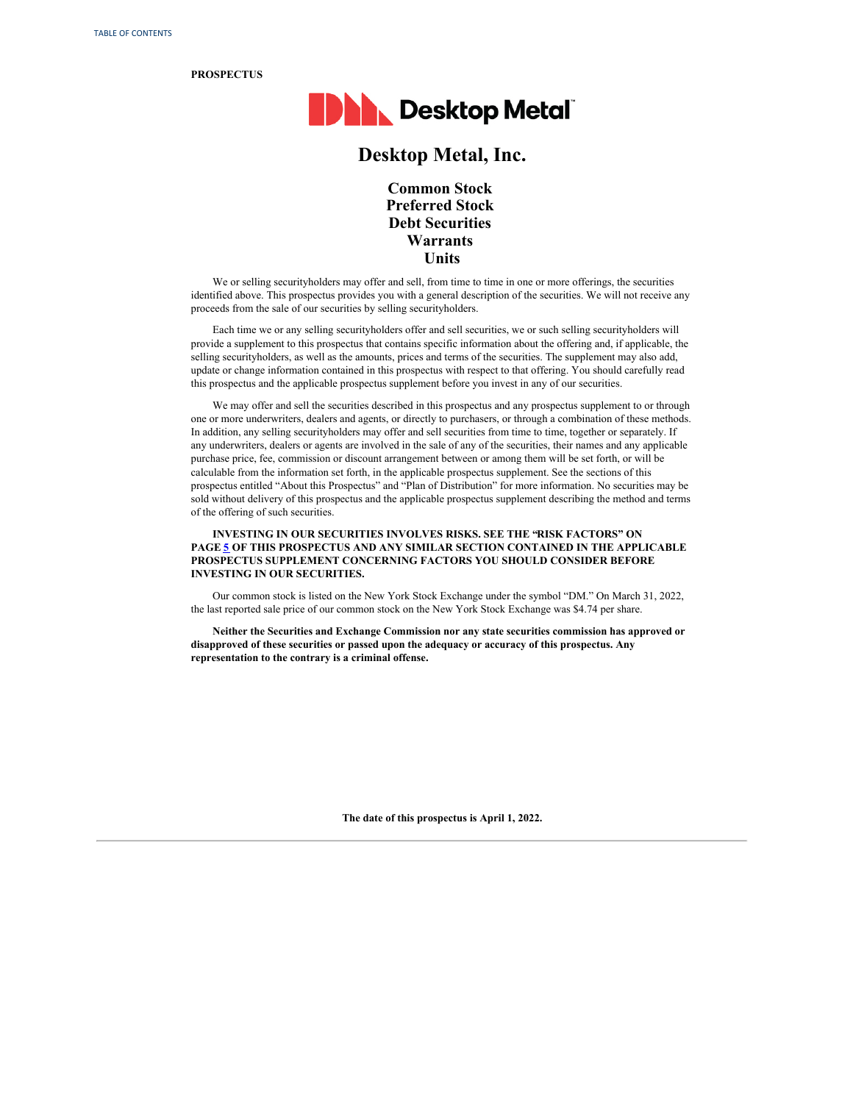**PROSPECTUS**



# **Desktop Metal, Inc.**

**Common Stock Preferred Stock Debt Securities Warrants Units**

We or selling securityholders may offer and sell, from time to time in one or more offerings, the securities identified above. This prospectus provides you with a general description of the securities. We will not receive any proceeds from the sale of our securities by selling securityholders.

Each time we or any selling securityholders offer and sell securities, we or such selling securityholders will provide a supplement to this prospectus that contains specific information about the offering and, if applicable, the selling securityholders, as well as the amounts, prices and terms of the securities. The supplement may also add, update or change information contained in this prospectus with respect to that offering. You should carefully read this prospectus and the applicable prospectus supplement before you invest in any of our securities.

We may offer and sell the securities described in this prospectus and any prospectus supplement to or through one or more underwriters, dealers and agents, or directly to purchasers, or through a combination of these methods. In addition, any selling securityholders may offer and sell securities from time to time, together or separately. If any underwriters, dealers or agents are involved in the sale of any of the securities, their names and any applicable purchase price, fee, commission or discount arrangement between or among them will be set forth, or will be calculable from the information set forth, in the applicable prospectus supplement. See the sections of this prospectus entitled "About this Prospectus" and "Plan of Distribution" for more information. No securities may be sold without delivery of this prospectus and the applicable prospectus supplement describing the method and terms of the offering of such securities.

## **INVESTING IN OUR SECURITIES INVOLVES RISKS. SEE THE "RISK FACTORS" ON PAGE [5](#page-7-0) OF THIS PROSPECTUS AND ANY SIMILAR SECTION CONTAINED IN THE APPLICABLE PROSPECTUS SUPPLEMENT CONCERNING FACTORS YOU SHOULD CONSIDER BEFORE INVESTING IN OUR SECURITIES.**

Our common stock is listed on the New York Stock Exchange under the symbol "DM." On March 31, 2022, the last reported sale price of our common stock on the New York Stock Exchange was \$4.74 per share.

**Neither the Securities and Exchange Commission nor any state securities commission has approved or disapproved of these securities or passed upon the adequacy or accuracy of this prospectus. Any representation to the contrary is a criminal offense.**

**The date of this prospectus is April 1, 2022.**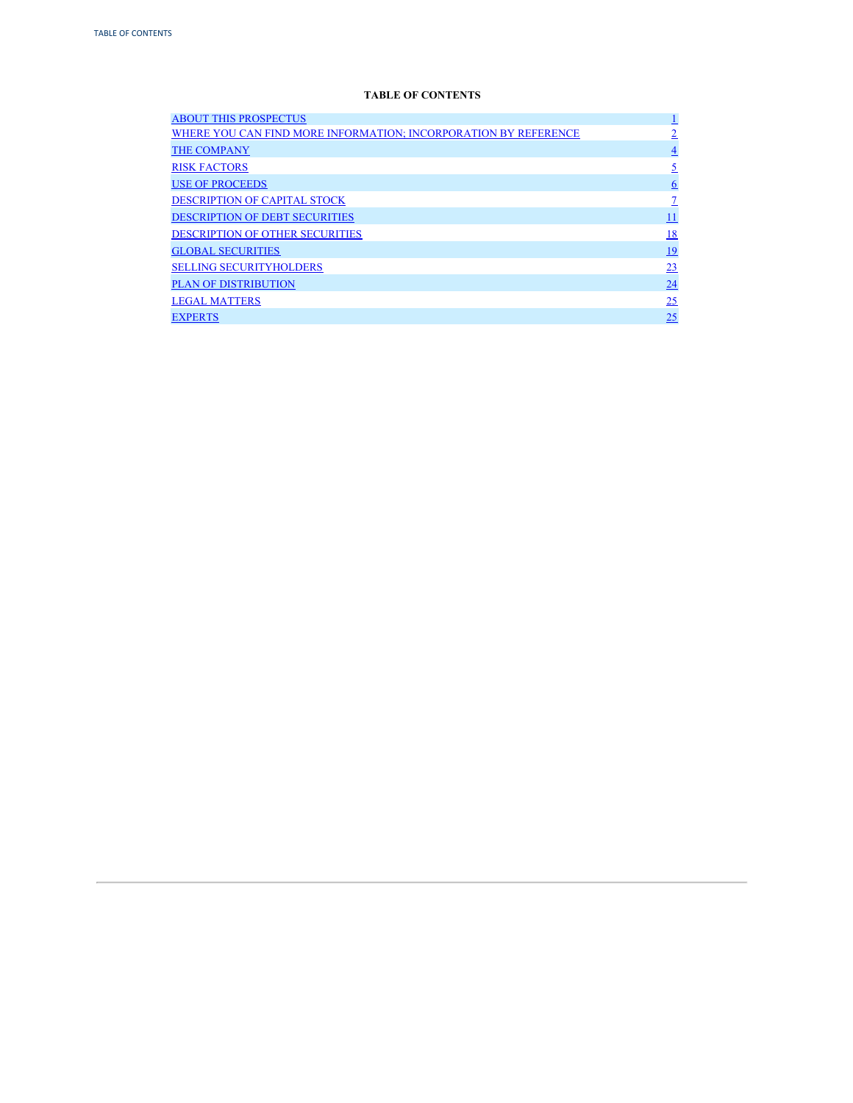## **TABLE OF CONTENTS**

<span id="page-2-0"></span>

| <b>ABOUT THIS PROSPECTUS</b>                                    |                  |
|-----------------------------------------------------------------|------------------|
| WHERE YOU CAN FIND MORE INFORMATION; INCORPORATION BY REFERENCE | $\overline{2}$   |
| <b>THE COMPANY</b>                                              | $\overline{4}$   |
| <b>RISK FACTORS</b>                                             | <u>5</u>         |
| <b>USE OF PROCEEDS</b>                                          | $\underline{6}$  |
| DESCRIPTION OF CAPITAL STOCK                                    | $\overline{1}$   |
| <b>DESCRIPTION OF DEBT SECURITIES</b>                           | 11               |
| <b>DESCRIPTION OF OTHER SECURITIES</b>                          | <u>18</u>        |
| <b>GLOBAL SECURITIES</b>                                        | $\underline{19}$ |
| <b>SELLING SECURITYHOLDERS</b>                                  | 23               |
| <b>PLAN OF DISTRIBUTION</b>                                     | $\overline{24}$  |
| <b>LEGAL MATTERS</b>                                            | 25               |
| <b>EXPERTS</b>                                                  | 25               |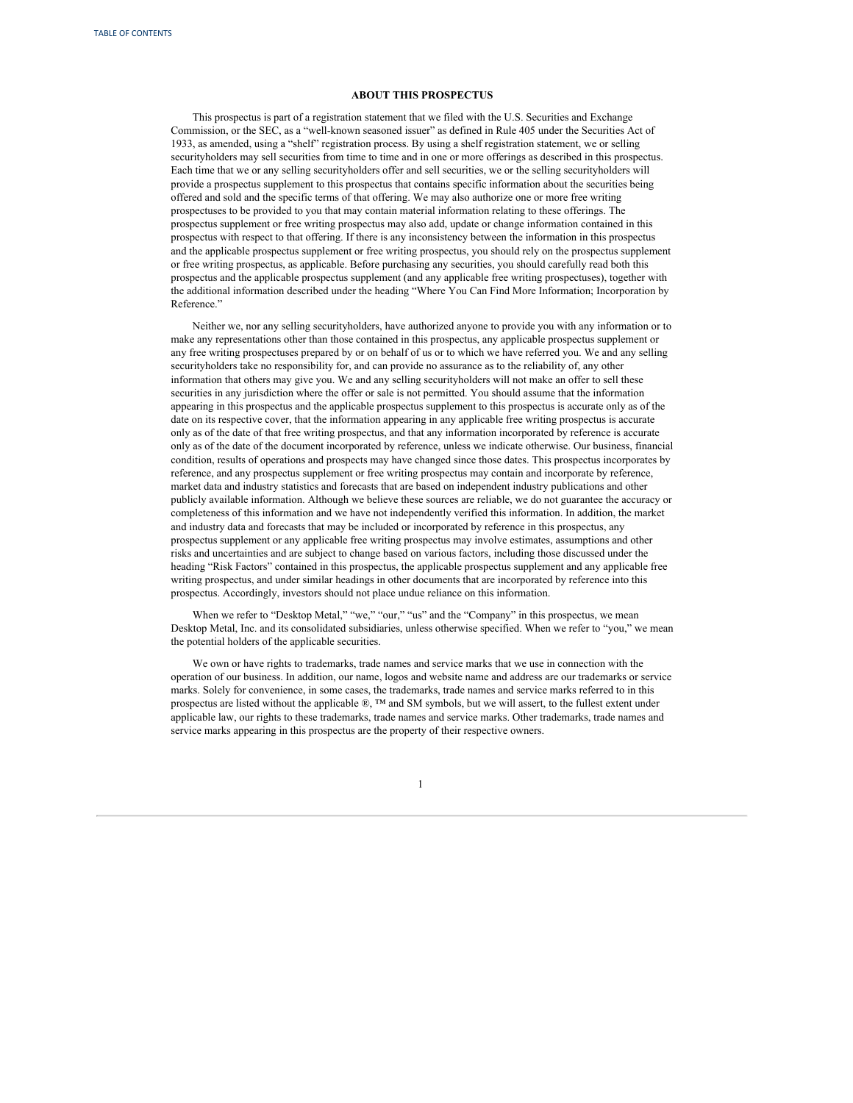## **ABOUT THIS PROSPECTUS**

<span id="page-3-0"></span>This prospectus is part of a registration statement that we filed with the U.S. Securities and Exchange Commission, or the SEC, as a "well-known seasoned issuer" as defined in Rule 405 under the Securities Act of 1933, as amended, using a "shelf" registration process. By using a shelf registration statement, we or selling securityholders may sell securities from time to time and in one or more offerings as described in this prospectus. Each time that we or any selling securityholders offer and sell securities, we or the selling securityholders will provide a prospectus supplement to this prospectus that contains specific information about the securities being offered and sold and the specific terms of that offering. We may also authorize one or more free writing prospectuses to be provided to you that may contain material information relating to these offerings. The prospectus supplement or free writing prospectus may also add, update or change information contained in this prospectus with respect to that offering. If there is any inconsistency between the information in this prospectus and the applicable prospectus supplement or free writing prospectus, you should rely on the prospectus supplement or free writing prospectus, as applicable. Before purchasing any securities, you should carefully read both this prospectus and the applicable prospectus supplement (and any applicable free writing prospectuses), together with the additional information described under the heading "Where You Can Find More Information; Incorporation by Reference."

Neither we, nor any selling securityholders, have authorized anyone to provide you with any information or to make any representations other than those contained in this prospectus, any applicable prospectus supplement or any free writing prospectuses prepared by or on behalf of us or to which we have referred you. We and any selling securityholders take no responsibility for, and can provide no assurance as to the reliability of, any other information that others may give you. We and any selling securityholders will not make an offer to sell these securities in any jurisdiction where the offer or sale is not permitted. You should assume that the information appearing in this prospectus and the applicable prospectus supplement to this prospectus is accurate only as of the date on its respective cover, that the information appearing in any applicable free writing prospectus is accurate only as of the date of that free writing prospectus, and that any information incorporated by reference is accurate only as of the date of the document incorporated by reference, unless we indicate otherwise. Our business, financial condition, results of operations and prospects may have changed since those dates. This prospectus incorporates by reference, and any prospectus supplement or free writing prospectus may contain and incorporate by reference, market data and industry statistics and forecasts that are based on independent industry publications and other publicly available information. Although we believe these sources are reliable, we do not guarantee the accuracy or completeness of this information and we have not independently verified this information. In addition, the market and industry data and forecasts that may be included or incorporated by reference in this prospectus, any prospectus supplement or any applicable free writing prospectus may involve estimates, assumptions and other risks and uncertainties and are subject to change based on various factors, including those discussed under the heading "Risk Factors" contained in this prospectus, the applicable prospectus supplement and any applicable free writing prospectus, and under similar headings in other documents that are incorporated by reference into this prospectus. Accordingly, investors should not place undue reliance on this information.

When we refer to "Desktop Metal," "we," "our," "us" and the "Company" in this prospectus, we mean Desktop Metal, Inc. and its consolidated subsidiaries, unless otherwise specified. When we refer to "you," we mean the potential holders of the applicable securities.

We own or have rights to trademarks, trade names and service marks that we use in connection with the operation of our business. In addition, our name, logos and website name and address are our trademarks or service marks. Solely for convenience, in some cases, the trademarks, trade names and service marks referred to in this prospectus are listed without the applicable ®, ™ and SM symbols, but we will assert, to the fullest extent under applicable law, our rights to these trademarks, trade names and service marks. Other trademarks, trade names and service marks appearing in this prospectus are the property of their respective owners.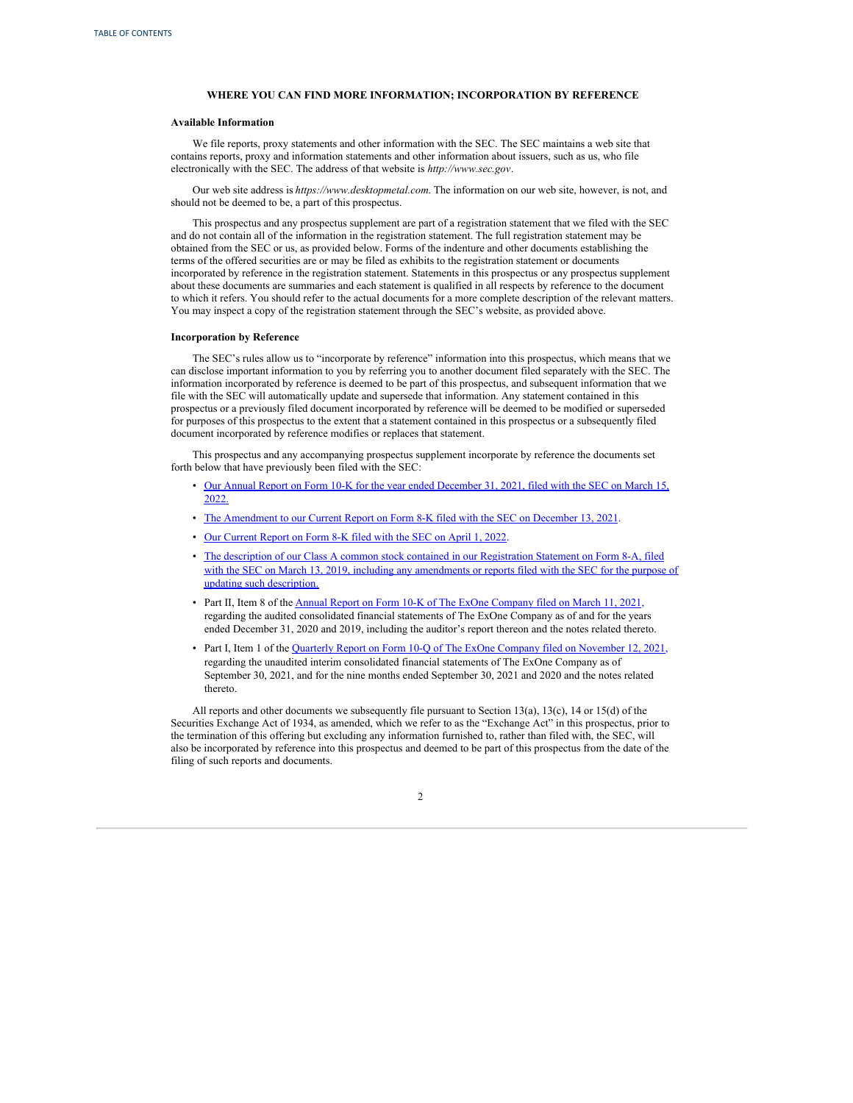## <span id="page-4-0"></span>**WHERE YOU CAN FIND MORE INFORMATION; INCORPORATION BY REFERENCE**

## **Available Information**

We file reports, proxy statements and other information with the SEC. The SEC maintains a web site that contains reports, proxy and information statements and other information about issuers, such as us, who file electronically with the SEC. The address of that website is *http://www.sec.gov*.

Our web site address is *https://www.desktopmetal.com*. The information on our web site, however, is not, and should not be deemed to be, a part of this prospectus.

This prospectus and any prospectus supplement are part of a registration statement that we filed with the SEC and do not contain all of the information in the registration statement. The full registration statement may be obtained from the SEC or us, as provided below. Forms of the indenture and other documents establishing the terms of the offered securities are or may be filed as exhibits to the registration statement or documents incorporated by reference in the registration statement. Statements in this prospectus or any prospectus supplement about these documents are summaries and each statement is qualified in all respects by reference to the document to which it refers. You should refer to the actual documents for a more complete description of the relevant matters. You may inspect a copy of the registration statement through the SEC's website, as provided above.

#### **Incorporation by Reference**

The SEC's rules allow us to "incorporate by reference" information into this prospectus, which means that we can disclose important information to you by referring you to another document filed separately with the SEC. The information incorporated by reference is deemed to be part of this prospectus, and subsequent information that we file with the SEC will automatically update and supersede that information. Any statement contained in this prospectus or a previously filed document incorporated by reference will be deemed to be modified or superseded for purposes of this prospectus to the extent that a statement contained in this prospectus or a subsequently filed document incorporated by reference modifies or replaces that statement.

This prospectus and any accompanying prospectus supplement incorporate by reference the documents set forth below that have previously been filed with the SEC:

- Our Annual Report on Form 10-K for the year ended [December](http://www.sec.gov/ix?doc=/Archives/edgar/data/1754820/000155837022003681/dm-20211231x10k.htm) 31, 2021, filed with the SEC on March 15, 2022.
- The [Amendment](http://www.sec.gov/ix?doc=/Archives/edgar/data/1754820/000110465921149069/tm2134989d1_8k.htm) to our Current Report on Form 8-K filed with the SEC on December 13, 2021.
- Our [Current](http://www.sec.gov/ix?doc=/Archives/edgar/data/0001754820/000110465922041708/tm2211204d1_8k.htm) Report on Form 8-K filed with the SEC on April 1, 2022.
- The description of our Class A common stock contained in our Registration Statement on Form 8-A, filed with the SEC on March 13, 2019, including any [amendments](http://www.sec.gov/Archives/edgar/data/1754820/000121390019004020/f8a12b031319_trineacq.htm) or reports filed with the SEC for the purpose of updating such description.
- Part II, Item 8 of the Annual Report on Form 10-K of The ExOne [Company](http://www.sec.gov/ix?doc=/Archives/edgar/data/1561627/000156459021012530/xone-10k_20201231.htm) filed on March 11, 2021, regarding the audited consolidated financial statements of The ExOne Company as of and for the years ended December 31, 2020 and 2019, including the auditor's report thereon and the notes related thereto.
- Part I, Item 1 of the Quarterly Report on Form 10-Q of The ExOne Company filed on [November](http://www.sec.gov/ix?doc=/Archives/edgar/data/1561627/000156459021056420/xone-10q_20210930.htm) 12, 2021, regarding the unaudited interim consolidated financial statements of The ExOne Company as of September 30, 2021, and for the nine months ended September 30, 2021 and 2020 and the notes related thereto.

All reports and other documents we subsequently file pursuant to Section 13(a), 13(c), 14 or 15(d) of the Securities Exchange Act of 1934, as amended, which we refer to as the "Exchange Act" in this prospectus, prior to the termination of this offering but excluding any information furnished to, rather than filed with, the SEC, will also be incorporated by reference into this prospectus and deemed to be part of this prospectus from the date of the filing of such reports and documents.

## $\overline{2}$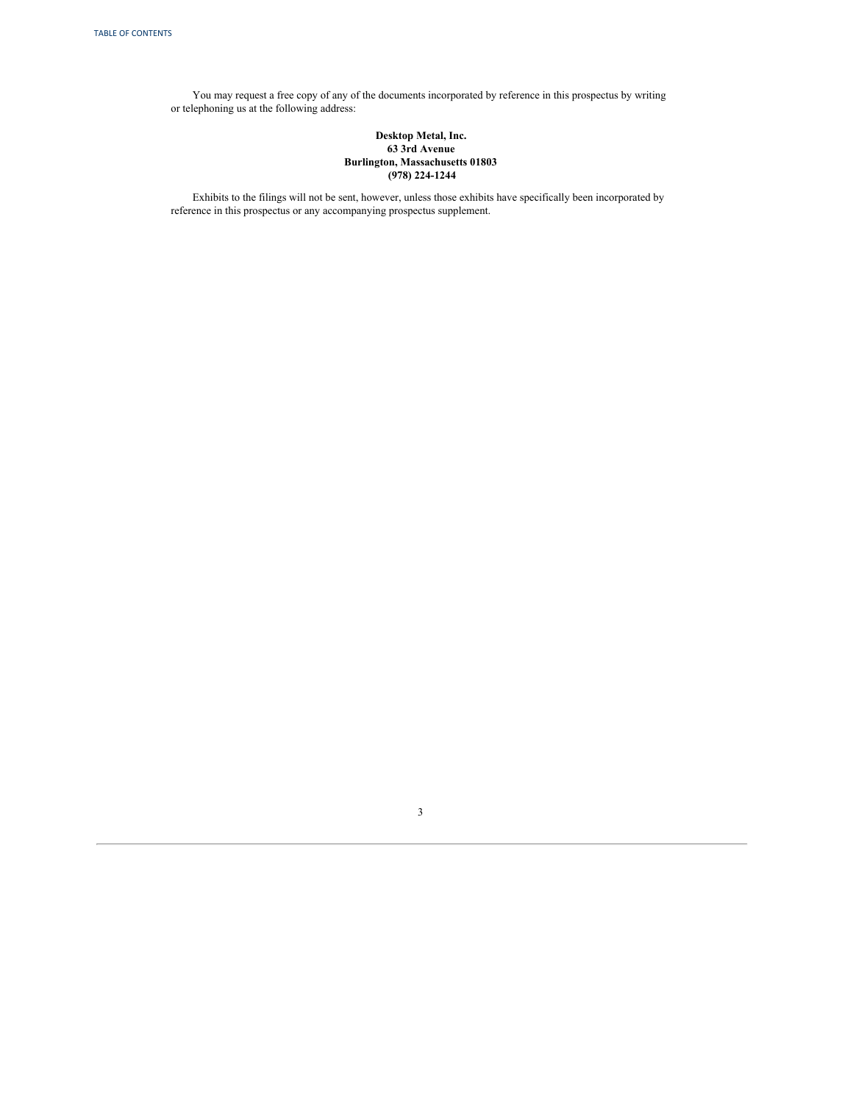You may request a free copy of any of the documents incorporated by reference in this prospectus by writing or telephoning us at the following address:

## **Desktop Metal, Inc. 63 3rd Avenue Burlington, Massachusetts 01803 (978) 224-1244**

Exhibits to the filings will not be sent, however, unless those exhibits have specifically been incorporated by reference in this prospectus or any accompanying prospectus supplement.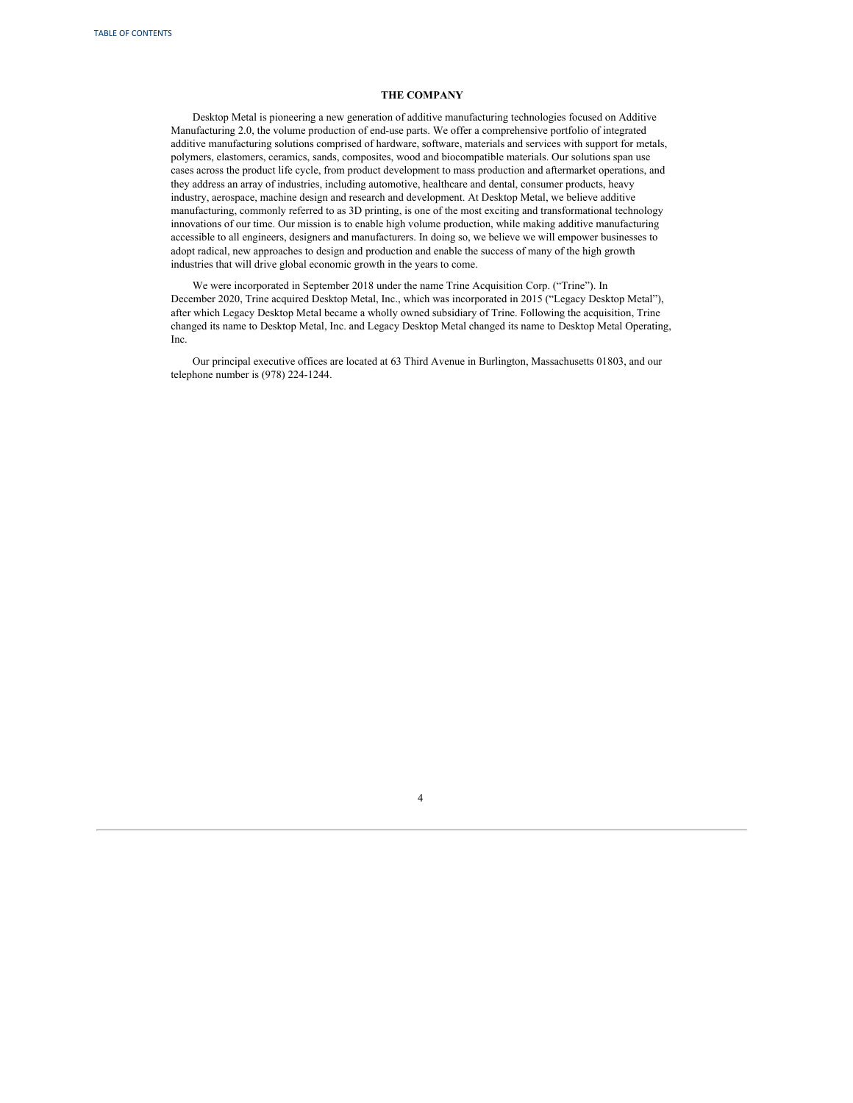## **THE COMPANY**

<span id="page-6-0"></span>Desktop Metal is pioneering a new generation of additive manufacturing technologies focused on Additive Manufacturing 2.0, the volume production of end-use parts. We offer a comprehensive portfolio of integrated additive manufacturing solutions comprised of hardware, software, materials and services with support for metals, polymers, elastomers, ceramics, sands, composites, wood and biocompatible materials. Our solutions span use cases across the product life cycle, from product development to mass production and aftermarket operations, and they address an array of industries, including automotive, healthcare and dental, consumer products, heavy industry, aerospace, machine design and research and development. At Desktop Metal, we believe additive manufacturing, commonly referred to as 3D printing, is one of the most exciting and transformational technology innovations of our time. Our mission is to enable high volume production, while making additive manufacturing accessible to all engineers, designers and manufacturers. In doing so, we believe we will empower businesses to adopt radical, new approaches to design and production and enable the success of many of the high growth industries that will drive global economic growth in the years to come.

We were incorporated in September 2018 under the name Trine Acquisition Corp. ("Trine"). In December 2020, Trine acquired Desktop Metal, Inc., which was incorporated in 2015 ("Legacy Desktop Metal"), after which Legacy Desktop Metal became a wholly owned subsidiary of Trine. Following the acquisition, Trine changed its name to Desktop Metal, Inc. and Legacy Desktop Metal changed its name to Desktop Metal Operating, Inc.

Our principal executive offices are located at 63 Third Avenue in Burlington, Massachusetts 01803, and our telephone number is (978) 224-1244.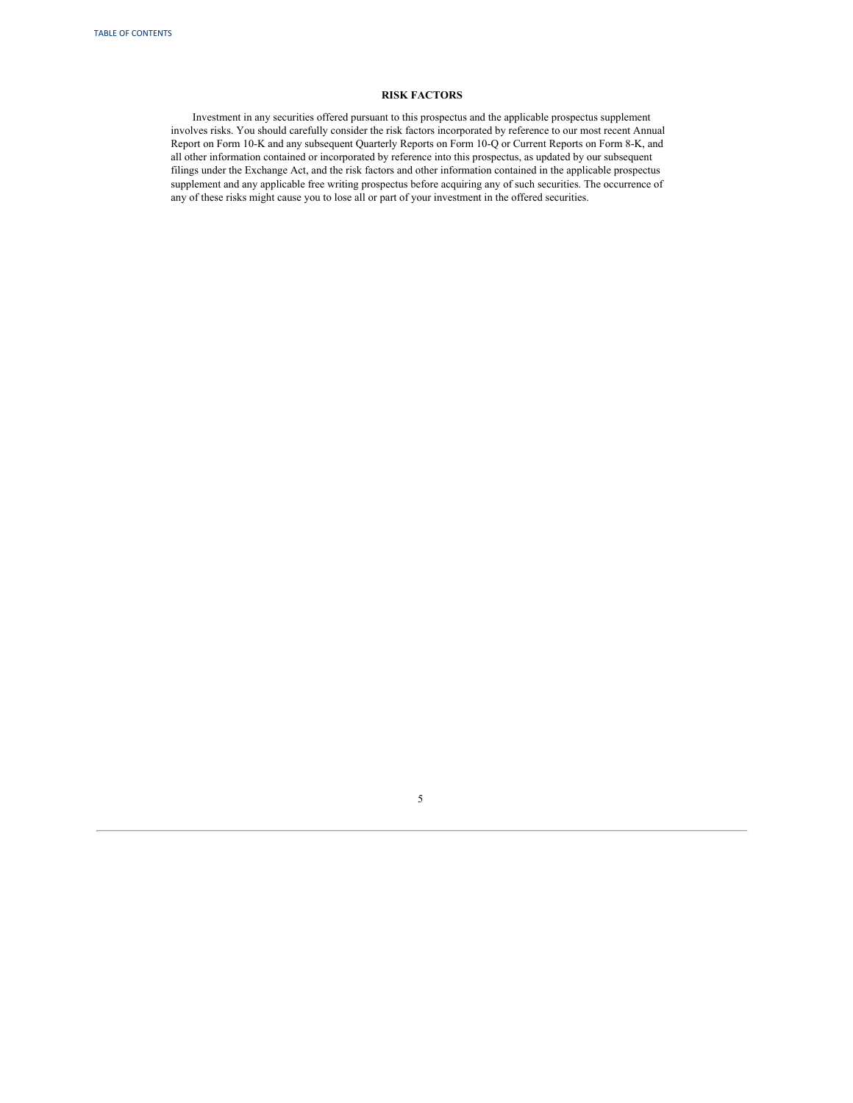#### **RISK FACTORS**

<span id="page-7-0"></span>Investment in any securities offered pursuant to this prospectus and the applicable prospectus supplement involves risks. You should carefully consider the risk factors incorporated by reference to our most recent Annual Report on Form 10-K and any subsequent Quarterly Reports on Form 10-Q or Current Reports on Form 8-K, and all other information contained or incorporated by reference into this prospectus, as updated by our subsequent filings under the Exchange Act, and the risk factors and other information contained in the applicable prospectus supplement and any applicable free writing prospectus before acquiring any of such securities. The occurrence of any of these risks might cause you to lose all or part of your investment in the offered securities.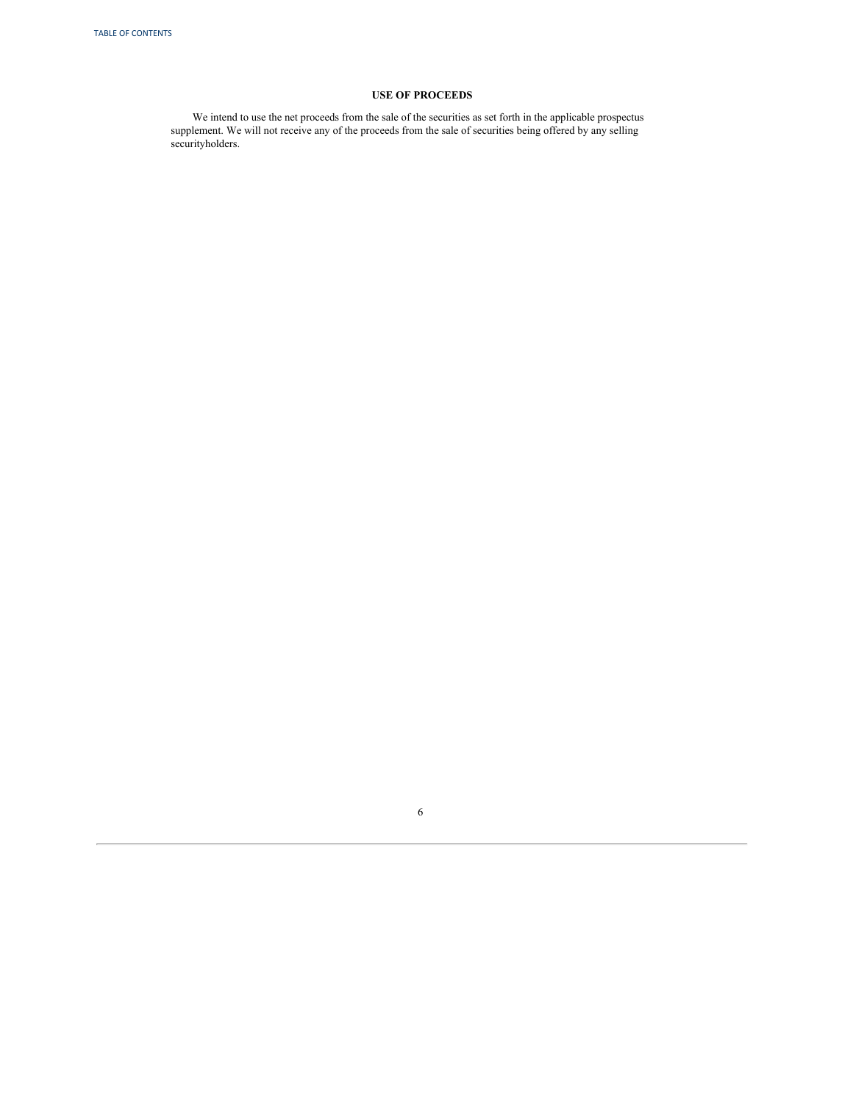## **USE OF PROCEEDS**

6

<span id="page-8-0"></span>We intend to use the net proceeds from the sale of the securities as set forth in the applicable prospectus supplement. We will not receive any of the proceeds from the sale of securities being offered by any selling securityholders.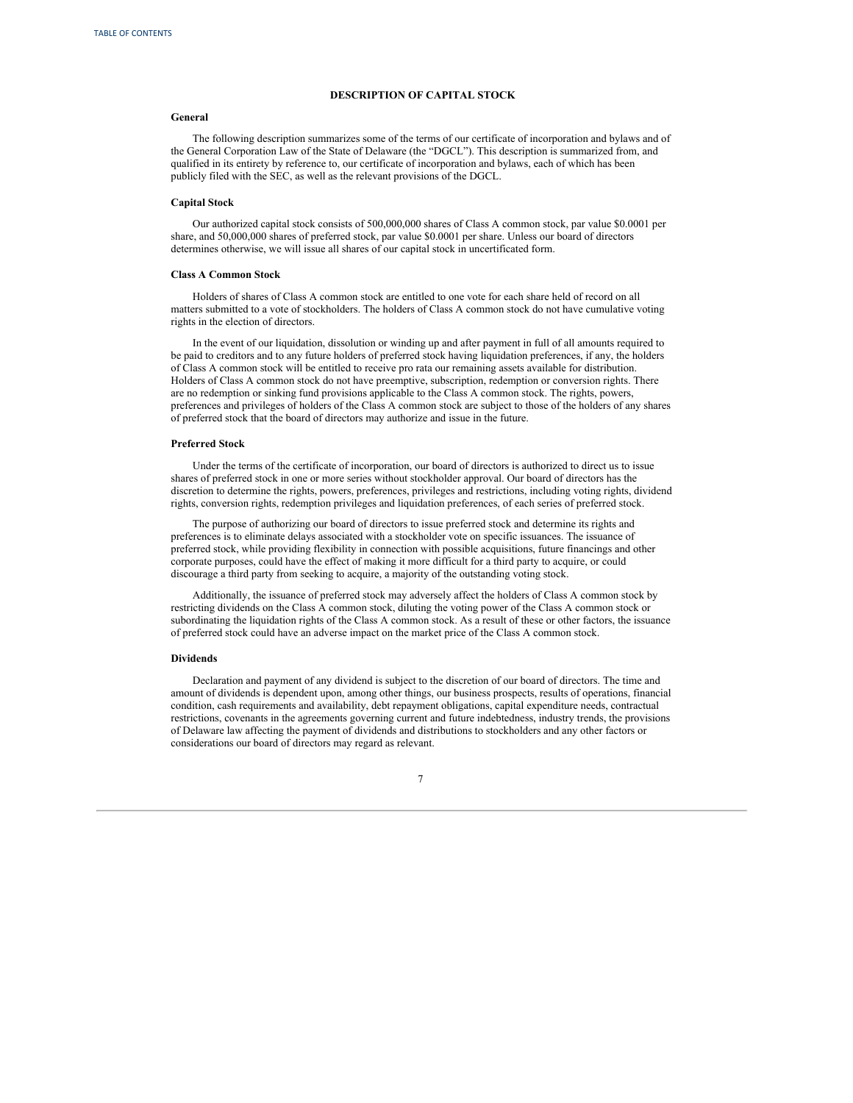#### **DESCRIPTION OF CAPITAL STOCK**

#### <span id="page-9-0"></span>**General**

The following description summarizes some of the terms of our certificate of incorporation and bylaws and of the General Corporation Law of the State of Delaware (the "DGCL"). This description is summarized from, and qualified in its entirety by reference to, our certificate of incorporation and bylaws, each of which has been publicly filed with the SEC, as well as the relevant provisions of the DGCL.

#### **Capital Stock**

Our authorized capital stock consists of 500,000,000 shares of Class A common stock, par value \$0.0001 per share, and 50,000,000 shares of preferred stock, par value \$0.0001 per share. Unless our board of directors determines otherwise, we will issue all shares of our capital stock in uncertificated form.

#### **Class A Common Stock**

Holders of shares of Class A common stock are entitled to one vote for each share held of record on all matters submitted to a vote of stockholders. The holders of Class A common stock do not have cumulative voting rights in the election of directors.

In the event of our liquidation, dissolution or winding up and after payment in full of all amounts required to be paid to creditors and to any future holders of preferred stock having liquidation preferences, if any, the holders of Class A common stock will be entitled to receive pro rata our remaining assets available for distribution. Holders of Class A common stock do not have preemptive, subscription, redemption or conversion rights. There are no redemption or sinking fund provisions applicable to the Class A common stock. The rights, powers, preferences and privileges of holders of the Class A common stock are subject to those of the holders of any shares of preferred stock that the board of directors may authorize and issue in the future.

#### **Preferred Stock**

Under the terms of the certificate of incorporation, our board of directors is authorized to direct us to issue shares of preferred stock in one or more series without stockholder approval. Our board of directors has the discretion to determine the rights, powers, preferences, privileges and restrictions, including voting rights, dividend rights, conversion rights, redemption privileges and liquidation preferences, of each series of preferred stock.

The purpose of authorizing our board of directors to issue preferred stock and determine its rights and preferences is to eliminate delays associated with a stockholder vote on specific issuances. The issuance of preferred stock, while providing flexibility in connection with possible acquisitions, future financings and other corporate purposes, could have the effect of making it more difficult for a third party to acquire, or could discourage a third party from seeking to acquire, a majority of the outstanding voting stock.

Additionally, the issuance of preferred stock may adversely affect the holders of Class A common stock by restricting dividends on the Class A common stock, diluting the voting power of the Class A common stock or subordinating the liquidation rights of the Class A common stock. As a result of these or other factors, the issuance of preferred stock could have an adverse impact on the market price of the Class A common stock.

## **Dividends**

Declaration and payment of any dividend is subject to the discretion of our board of directors. The time and amount of dividends is dependent upon, among other things, our business prospects, results of operations, financial condition, cash requirements and availability, debt repayment obligations, capital expenditure needs, contractual restrictions, covenants in the agreements governing current and future indebtedness, industry trends, the provisions of Delaware law affecting the payment of dividends and distributions to stockholders and any other factors or considerations our board of directors may regard as relevant.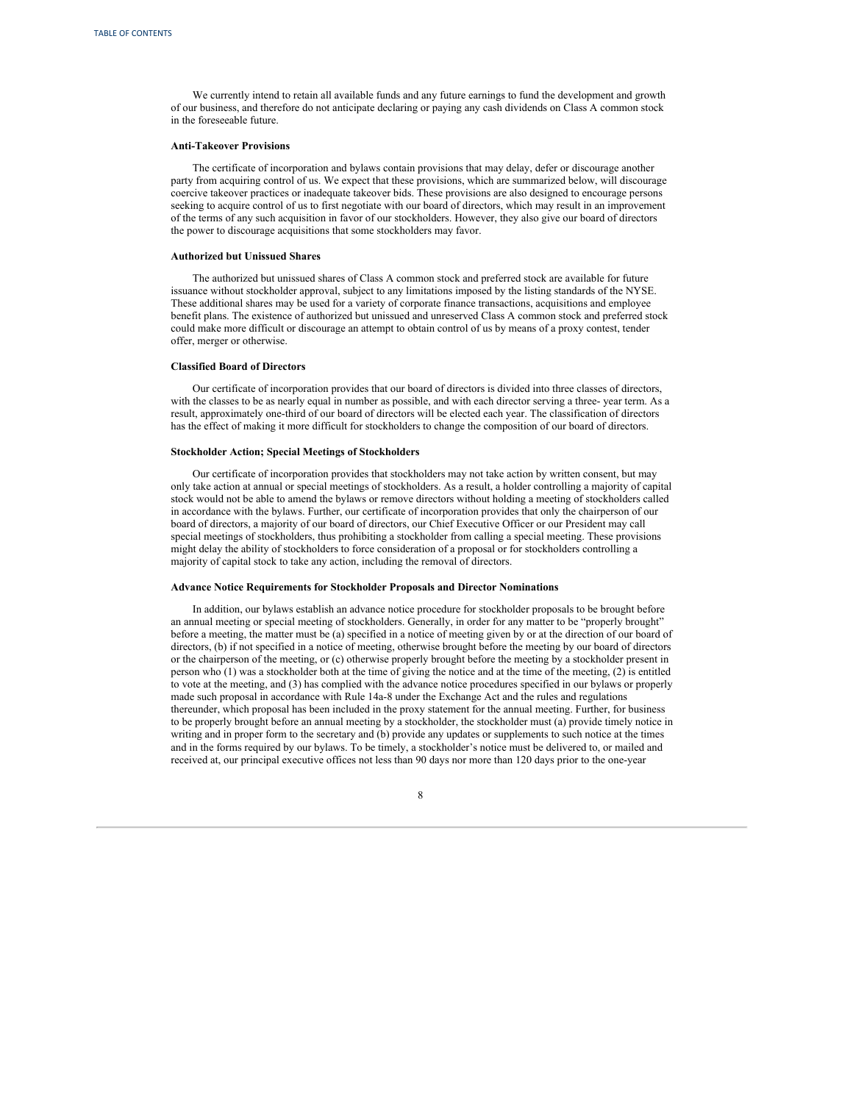We currently intend to retain all available funds and any future earnings to fund the development and growth of our business, and therefore do not anticipate declaring or paying any cash dividends on Class A common stock in the foreseeable future.

#### **Anti-Takeover Provisions**

The certificate of incorporation and bylaws contain provisions that may delay, defer or discourage another party from acquiring control of us. We expect that these provisions, which are summarized below, will discourage coercive takeover practices or inadequate takeover bids. These provisions are also designed to encourage persons seeking to acquire control of us to first negotiate with our board of directors, which may result in an improvement of the terms of any such acquisition in favor of our stockholders. However, they also give our board of directors the power to discourage acquisitions that some stockholders may favor.

#### **Authorized but Unissued Shares**

The authorized but unissued shares of Class A common stock and preferred stock are available for future issuance without stockholder approval, subject to any limitations imposed by the listing standards of the NYSE. These additional shares may be used for a variety of corporate finance transactions, acquisitions and employee benefit plans. The existence of authorized but unissued and unreserved Class A common stock and preferred stock could make more difficult or discourage an attempt to obtain control of us by means of a proxy contest, tender offer, merger or otherwise.

## **Classified Board of Directors**

Our certificate of incorporation provides that our board of directors is divided into three classes of directors, with the classes to be as nearly equal in number as possible, and with each director serving a three- year term. As a result, approximately one-third of our board of directors will be elected each year. The classification of directors has the effect of making it more difficult for stockholders to change the composition of our board of directors.

## **Stockholder Action; Special Meetings of Stockholders**

Our certificate of incorporation provides that stockholders may not take action by written consent, but may only take action at annual or special meetings of stockholders. As a result, a holder controlling a majority of capital stock would not be able to amend the bylaws or remove directors without holding a meeting of stockholders called in accordance with the bylaws. Further, our certificate of incorporation provides that only the chairperson of our board of directors, a majority of our board of directors, our Chief Executive Officer or our President may call special meetings of stockholders, thus prohibiting a stockholder from calling a special meeting. These provisions might delay the ability of stockholders to force consideration of a proposal or for stockholders controlling a majority of capital stock to take any action, including the removal of directors.

## **Advance Notice Requirements for Stockholder Proposals and Director Nominations**

In addition, our bylaws establish an advance notice procedure for stockholder proposals to be brought before an annual meeting or special meeting of stockholders. Generally, in order for any matter to be "properly brought" before a meeting, the matter must be (a) specified in a notice of meeting given by or at the direction of our board of directors, (b) if not specified in a notice of meeting, otherwise brought before the meeting by our board of directors or the chairperson of the meeting, or (c) otherwise properly brought before the meeting by a stockholder present in person who (1) was a stockholder both at the time of giving the notice and at the time of the meeting, (2) is entitled to vote at the meeting, and (3) has complied with the advance notice procedures specified in our bylaws or properly made such proposal in accordance with Rule 14a-8 under the Exchange Act and the rules and regulations thereunder, which proposal has been included in the proxy statement for the annual meeting. Further, for business to be properly brought before an annual meeting by a stockholder, the stockholder must (a) provide timely notice in writing and in proper form to the secretary and (b) provide any updates or supplements to such notice at the times and in the forms required by our bylaws. To be timely, a stockholder's notice must be delivered to, or mailed and received at, our principal executive offices not less than 90 days nor more than 120 days prior to the one-year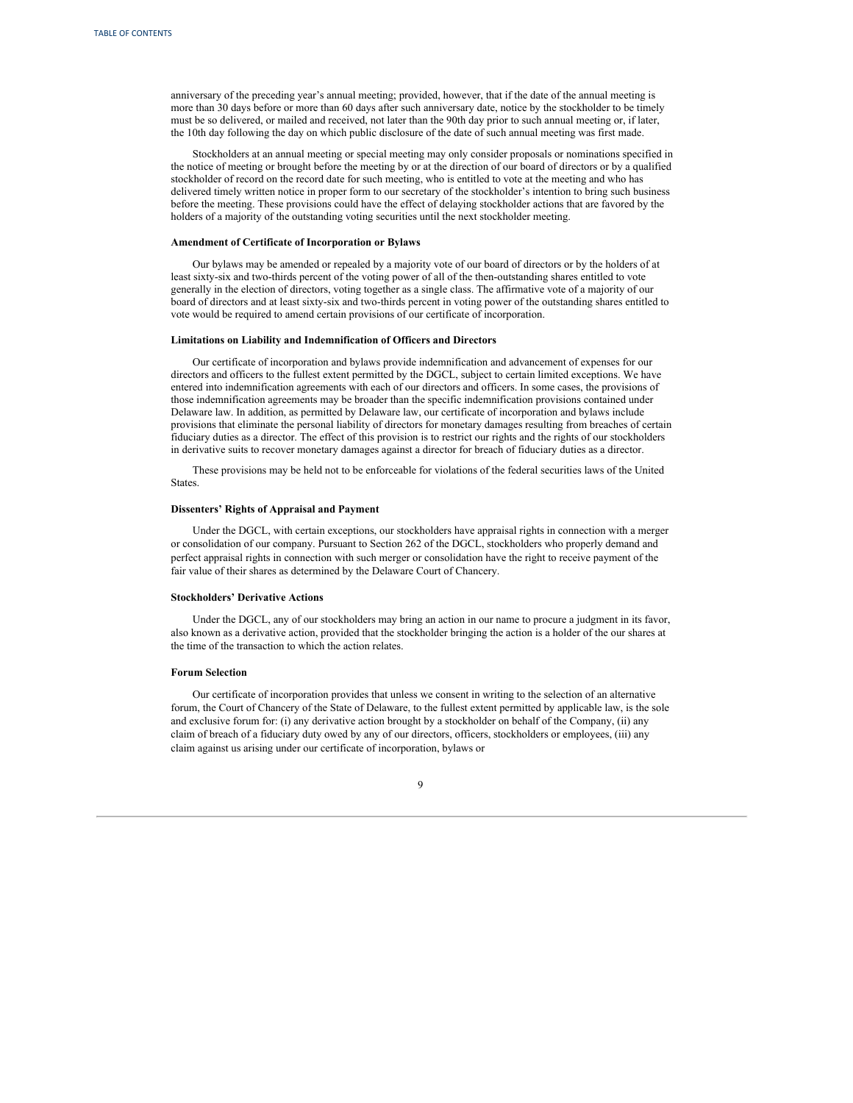anniversary of the preceding year's annual meeting; provided, however, that if the date of the annual meeting is more than 30 days before or more than 60 days after such anniversary date, notice by the stockholder to be timely must be so delivered, or mailed and received, not later than the 90th day prior to such annual meeting or, if later, the 10th day following the day on which public disclosure of the date of such annual meeting was first made.

Stockholders at an annual meeting or special meeting may only consider proposals or nominations specified in the notice of meeting or brought before the meeting by or at the direction of our board of directors or by a qualified stockholder of record on the record date for such meeting, who is entitled to vote at the meeting and who has delivered timely written notice in proper form to our secretary of the stockholder's intention to bring such business before the meeting. These provisions could have the effect of delaying stockholder actions that are favored by the holders of a majority of the outstanding voting securities until the next stockholder meeting.

## **Amendment of Certificate of Incorporation or Bylaws**

Our bylaws may be amended or repealed by a majority vote of our board of directors or by the holders of at least sixty-six and two-thirds percent of the voting power of all of the then-outstanding shares entitled to vote generally in the election of directors, voting together as a single class. The affirmative vote of a majority of our board of directors and at least sixty-six and two-thirds percent in voting power of the outstanding shares entitled to vote would be required to amend certain provisions of our certificate of incorporation.

#### **Limitations on Liability and Indemnification of Officers and Directors**

Our certificate of incorporation and bylaws provide indemnification and advancement of expenses for our directors and officers to the fullest extent permitted by the DGCL, subject to certain limited exceptions. We have entered into indemnification agreements with each of our directors and officers. In some cases, the provisions of those indemnification agreements may be broader than the specific indemnification provisions contained under Delaware law. In addition, as permitted by Delaware law, our certificate of incorporation and bylaws include provisions that eliminate the personal liability of directors for monetary damages resulting from breaches of certain fiduciary duties as a director. The effect of this provision is to restrict our rights and the rights of our stockholders in derivative suits to recover monetary damages against a director for breach of fiduciary duties as a director.

These provisions may be held not to be enforceable for violations of the federal securities laws of the United **States** 

### **Dissenters' Rights of Appraisal and Payment**

Under the DGCL, with certain exceptions, our stockholders have appraisal rights in connection with a merger or consolidation of our company. Pursuant to Section 262 of the DGCL, stockholders who properly demand and perfect appraisal rights in connection with such merger or consolidation have the right to receive payment of the fair value of their shares as determined by the Delaware Court of Chancery.

## **Stockholders' Derivative Actions**

Under the DGCL, any of our stockholders may bring an action in our name to procure a judgment in its favor, also known as a derivative action, provided that the stockholder bringing the action is a holder of the our shares at the time of the transaction to which the action relates.

## **Forum Selection**

Our certificate of incorporation provides that unless we consent in writing to the selection of an alternative forum, the Court of Chancery of the State of Delaware, to the fullest extent permitted by applicable law, is the sole and exclusive forum for: (i) any derivative action brought by a stockholder on behalf of the Company, (ii) any claim of breach of a fiduciary duty owed by any of our directors, officers, stockholders or employees, (iii) any claim against us arising under our certificate of incorporation, bylaws or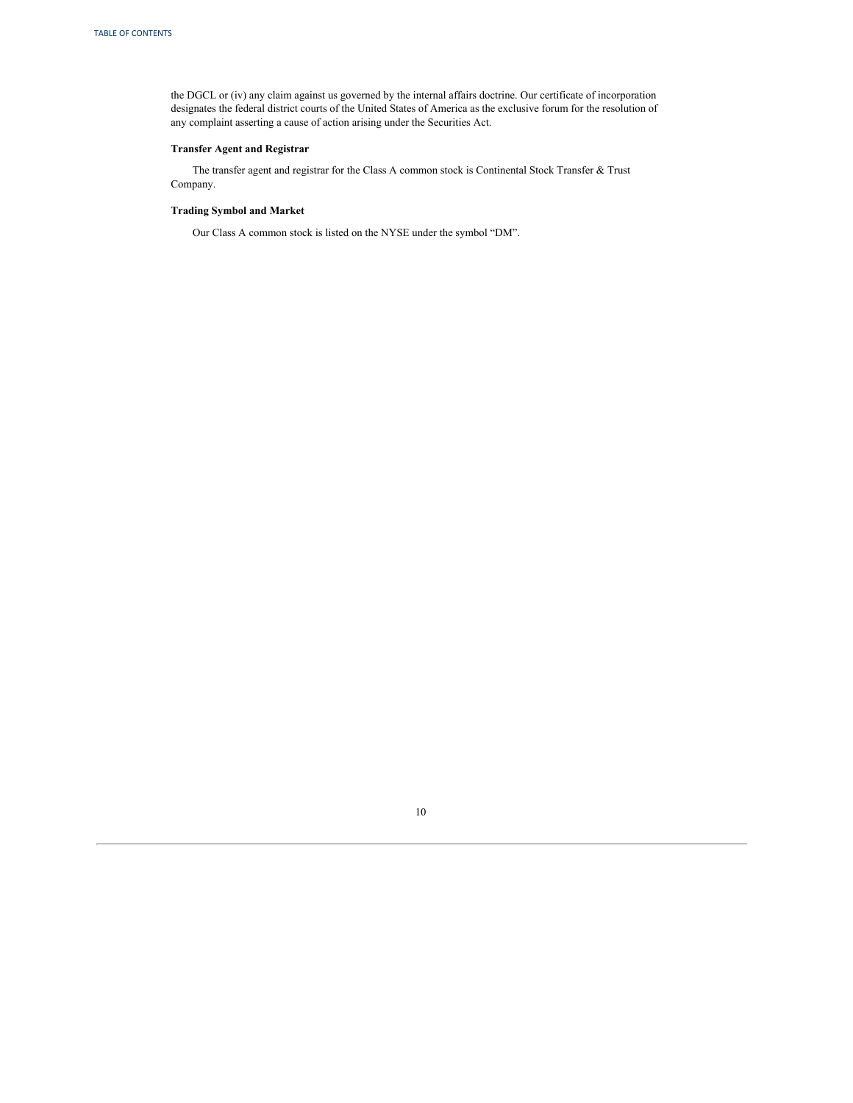the DGCL or (iv) any claim against us governed by the internal affairs doctrine. Our certificate of incorporation designates the federal district courts of the United States of America as the exclusive forum for the resolution of any complaint asserting a cause of action arising under the Securities Act.

## **Transfer Agent and Registrar**

The transfer agent and registrar for the Class A common stock is Continental Stock Transfer & Trust Company.

# **Trading Symbol and Market**

Our Class A common stock is listed on the NYSE under the symbol "DM".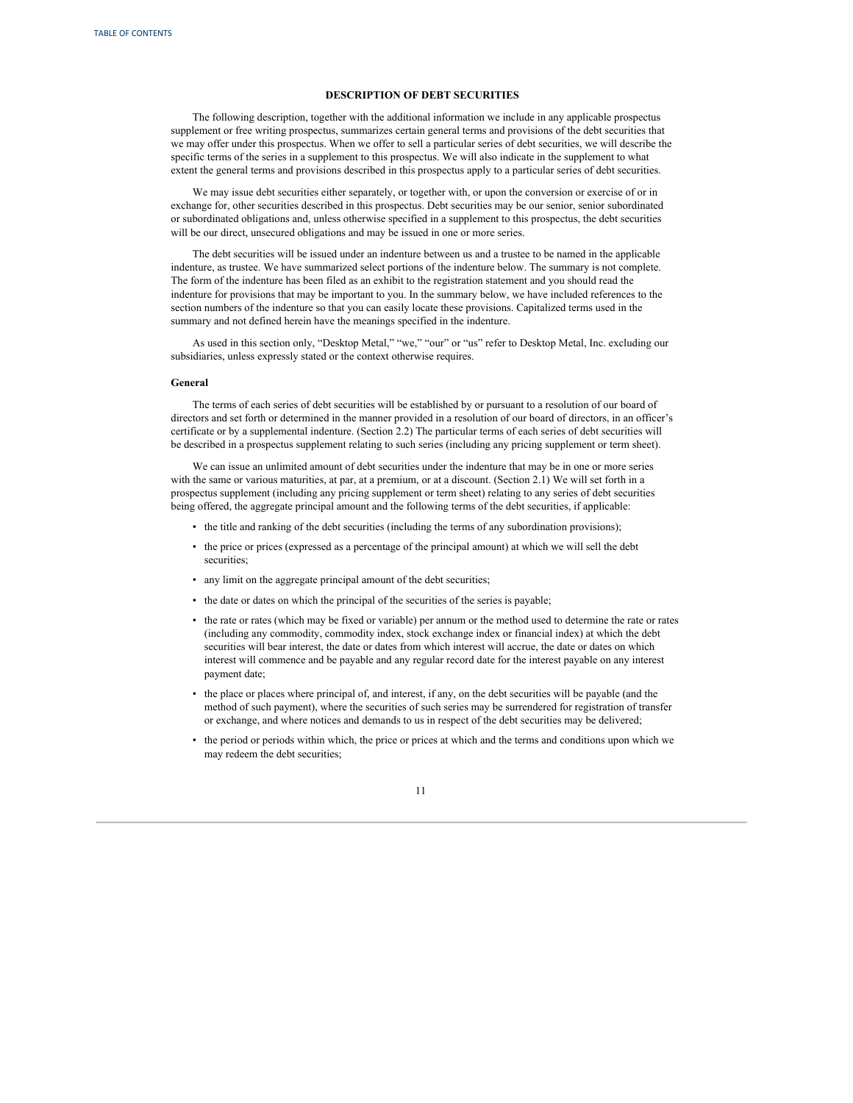## **DESCRIPTION OF DEBT SECURITIES**

<span id="page-13-0"></span>The following description, together with the additional information we include in any applicable prospectus supplement or free writing prospectus, summarizes certain general terms and provisions of the debt securities that we may offer under this prospectus. When we offer to sell a particular series of debt securities, we will describe the specific terms of the series in a supplement to this prospectus. We will also indicate in the supplement to what extent the general terms and provisions described in this prospectus apply to a particular series of debt securities.

We may issue debt securities either separately, or together with, or upon the conversion or exercise of or in exchange for, other securities described in this prospectus. Debt securities may be our senior, senior subordinated or subordinated obligations and, unless otherwise specified in a supplement to this prospectus, the debt securities will be our direct, unsecured obligations and may be issued in one or more series.

The debt securities will be issued under an indenture between us and a trustee to be named in the applicable indenture, as trustee. We have summarized select portions of the indenture below. The summary is not complete. The form of the indenture has been filed as an exhibit to the registration statement and you should read the indenture for provisions that may be important to you. In the summary below, we have included references to the section numbers of the indenture so that you can easily locate these provisions. Capitalized terms used in the summary and not defined herein have the meanings specified in the indenture.

As used in this section only, "Desktop Metal," "we," "our" or "us" refer to Desktop Metal, Inc. excluding our subsidiaries, unless expressly stated or the context otherwise requires.

## **General**

The terms of each series of debt securities will be established by or pursuant to a resolution of our board of directors and set forth or determined in the manner provided in a resolution of our board of directors, in an officer's certificate or by a supplemental indenture. (Section 2.2) The particular terms of each series of debt securities will be described in a prospectus supplement relating to such series (including any pricing supplement or term sheet).

We can issue an unlimited amount of debt securities under the indenture that may be in one or more series with the same or various maturities, at par, at a premium, or at a discount. (Section 2.1) We will set forth in a prospectus supplement (including any pricing supplement or term sheet) relating to any series of debt securities being offered, the aggregate principal amount and the following terms of the debt securities, if applicable:

- the title and ranking of the debt securities (including the terms of any subordination provisions);
- the price or prices (expressed as a percentage of the principal amount) at which we will sell the debt securities;
- any limit on the aggregate principal amount of the debt securities;
- the date or dates on which the principal of the securities of the series is payable;
- the rate or rates (which may be fixed or variable) per annum or the method used to determine the rate or rates (including any commodity, commodity index, stock exchange index or financial index) at which the debt securities will bear interest, the date or dates from which interest will accrue, the date or dates on which interest will commence and be payable and any regular record date for the interest payable on any interest payment date;
- the place or places where principal of, and interest, if any, on the debt securities will be payable (and the method of such payment), where the securities of such series may be surrendered for registration of transfer or exchange, and where notices and demands to us in respect of the debt securities may be delivered;
- the period or periods within which, the price or prices at which and the terms and conditions upon which we may redeem the debt securities;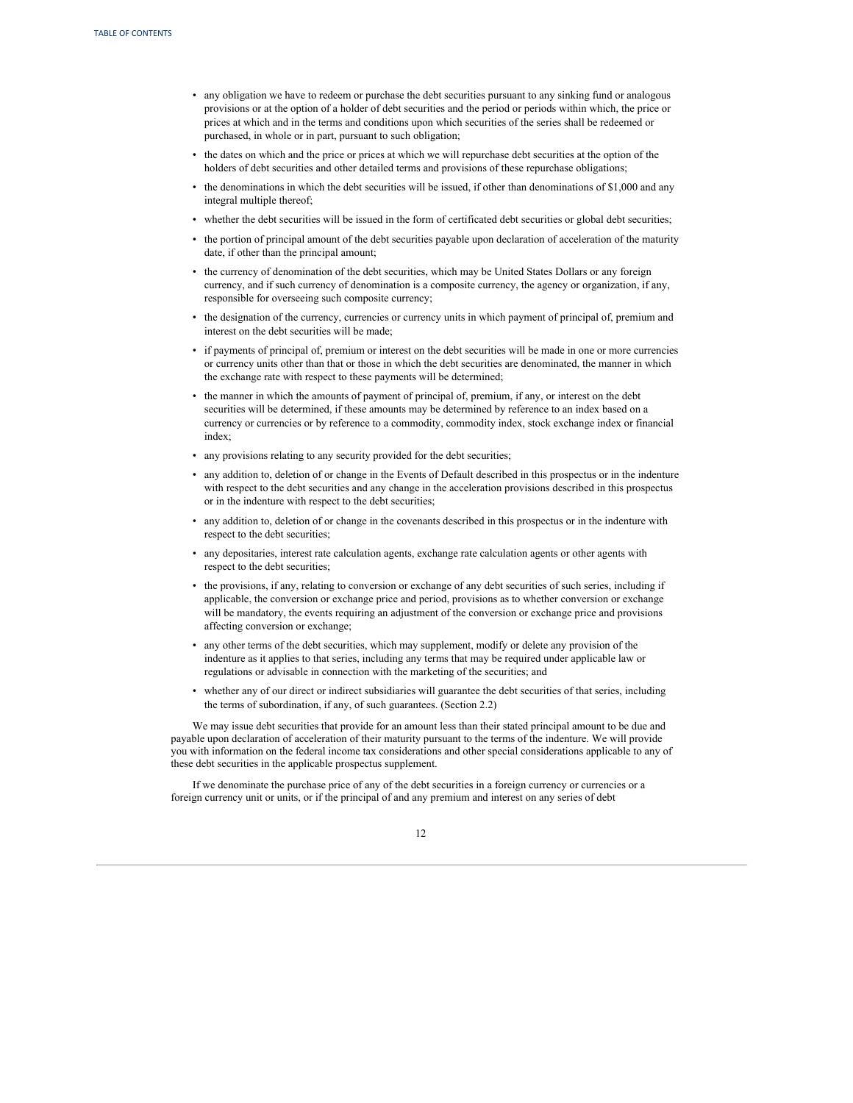- any obligation we have to redeem or purchase the debt securities pursuant to any sinking fund or analogous provisions or at the option of a holder of debt securities and the period or periods within which, the price or prices at which and in the terms and conditions upon which securities of the series shall be redeemed or purchased, in whole or in part, pursuant to such obligation;
- the dates on which and the price or prices at which we will repurchase debt securities at the option of the holders of debt securities and other detailed terms and provisions of these repurchase obligations;
- the denominations in which the debt securities will be issued, if other than denominations of \$1,000 and any integral multiple thereof;
- whether the debt securities will be issued in the form of certificated debt securities or global debt securities;
- the portion of principal amount of the debt securities payable upon declaration of acceleration of the maturity date, if other than the principal amount;
- the currency of denomination of the debt securities, which may be United States Dollars or any foreign currency, and if such currency of denomination is a composite currency, the agency or organization, if any, responsible for overseeing such composite currency;
- the designation of the currency, currencies or currency units in which payment of principal of, premium and interest on the debt securities will be made;
- if payments of principal of, premium or interest on the debt securities will be made in one or more currencies or currency units other than that or those in which the debt securities are denominated, the manner in which the exchange rate with respect to these payments will be determined;
- the manner in which the amounts of payment of principal of, premium, if any, or interest on the debt securities will be determined, if these amounts may be determined by reference to an index based on a currency or currencies or by reference to a commodity, commodity index, stock exchange index or financial index;
- any provisions relating to any security provided for the debt securities;
- any addition to, deletion of or change in the Events of Default described in this prospectus or in the indenture with respect to the debt securities and any change in the acceleration provisions described in this prospectus or in the indenture with respect to the debt securities;
- any addition to, deletion of or change in the covenants described in this prospectus or in the indenture with respect to the debt securities;
- any depositaries, interest rate calculation agents, exchange rate calculation agents or other agents with respect to the debt securities;
- the provisions, if any, relating to conversion or exchange of any debt securities of such series, including if applicable, the conversion or exchange price and period, provisions as to whether conversion or exchange will be mandatory, the events requiring an adjustment of the conversion or exchange price and provisions affecting conversion or exchange;
- any other terms of the debt securities, which may supplement, modify or delete any provision of the indenture as it applies to that series, including any terms that may be required under applicable law or regulations or advisable in connection with the marketing of the securities; and
- whether any of our direct or indirect subsidiaries will guarantee the debt securities of that series, including the terms of subordination, if any, of such guarantees. (Section 2.2)

We may issue debt securities that provide for an amount less than their stated principal amount to be due and payable upon declaration of acceleration of their maturity pursuant to the terms of the indenture. We will provide you with information on the federal income tax considerations and other special considerations applicable to any of these debt securities in the applicable prospectus supplement.

If we denominate the purchase price of any of the debt securities in a foreign currency or currencies or a foreign currency unit or units, or if the principal of and any premium and interest on any series of debt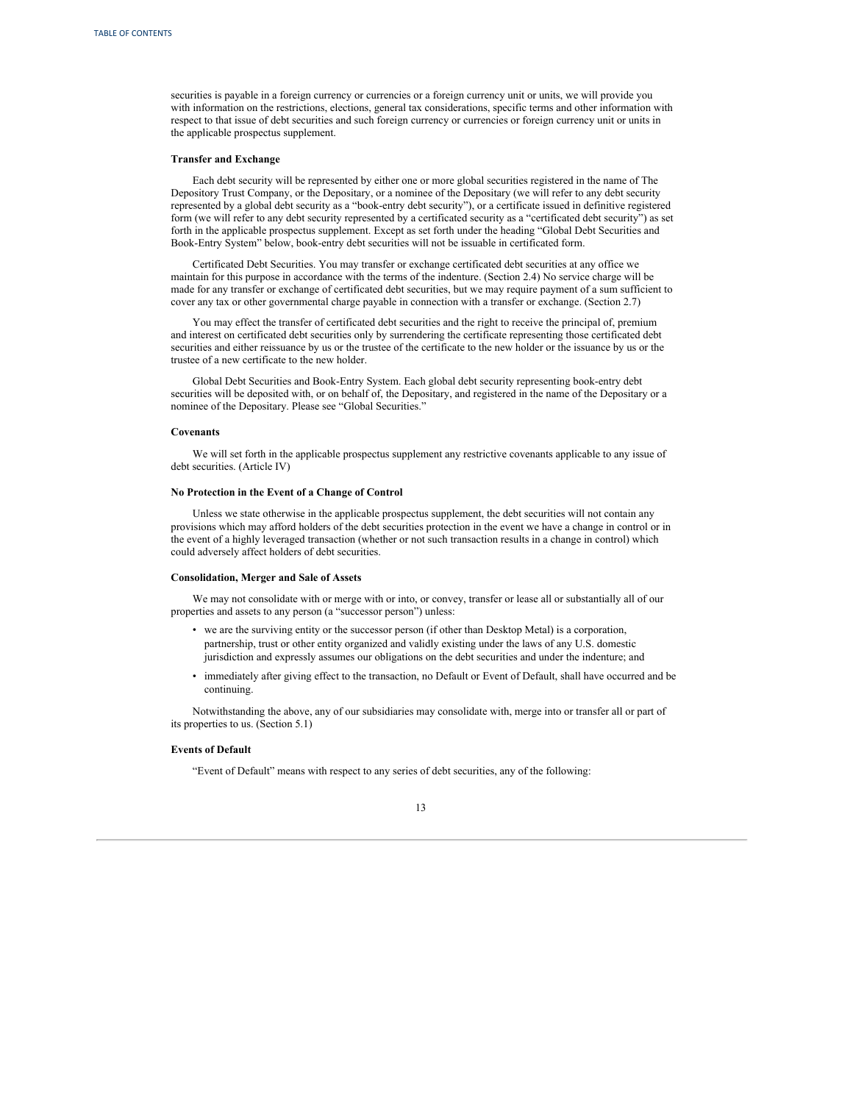securities is payable in a foreign currency or currencies or a foreign currency unit or units, we will provide you with information on the restrictions, elections, general tax considerations, specific terms and other information with respect to that issue of debt securities and such foreign currency or currencies or foreign currency unit or units in the applicable prospectus supplement.

## **Transfer and Exchange**

Each debt security will be represented by either one or more global securities registered in the name of The Depository Trust Company, or the Depositary, or a nominee of the Depositary (we will refer to any debt security represented by a global debt security as a "book-entry debt security"), or a certificate issued in definitive registered form (we will refer to any debt security represented by a certificated security as a "certificated debt security") as set forth in the applicable prospectus supplement. Except as set forth under the heading "Global Debt Securities and Book-Entry System" below, book-entry debt securities will not be issuable in certificated form.

Certificated Debt Securities. You may transfer or exchange certificated debt securities at any office we maintain for this purpose in accordance with the terms of the indenture. (Section 2.4) No service charge will be made for any transfer or exchange of certificated debt securities, but we may require payment of a sum sufficient to cover any tax or other governmental charge payable in connection with a transfer or exchange. (Section 2.7)

You may effect the transfer of certificated debt securities and the right to receive the principal of, premium and interest on certificated debt securities only by surrendering the certificate representing those certificated debt securities and either reissuance by us or the trustee of the certificate to the new holder or the issuance by us or the trustee of a new certificate to the new holder.

Global Debt Securities and Book-Entry System. Each global debt security representing book-entry debt securities will be deposited with, or on behalf of, the Depositary, and registered in the name of the Depositary or a nominee of the Depositary. Please see "Global Securities."

#### **Covenants**

We will set forth in the applicable prospectus supplement any restrictive covenants applicable to any issue of debt securities. (Article IV)

## **No Protection in the Event of a Change of Control**

Unless we state otherwise in the applicable prospectus supplement, the debt securities will not contain any provisions which may afford holders of the debt securities protection in the event we have a change in control or in the event of a highly leveraged transaction (whether or not such transaction results in a change in control) which could adversely affect holders of debt securities.

#### **Consolidation, Merger and Sale of Assets**

We may not consolidate with or merge with or into, or convey, transfer or lease all or substantially all of our properties and assets to any person (a "successor person") unless:

- we are the surviving entity or the successor person (if other than Desktop Metal) is a corporation, partnership, trust or other entity organized and validly existing under the laws of any U.S. domestic jurisdiction and expressly assumes our obligations on the debt securities and under the indenture; and
- immediately after giving effect to the transaction, no Default or Event of Default, shall have occurred and be continuing.

Notwithstanding the above, any of our subsidiaries may consolidate with, merge into or transfer all or part of its properties to us. (Section 5.1)

#### **Events of Default**

"Event of Default" means with respect to any series of debt securities, any of the following: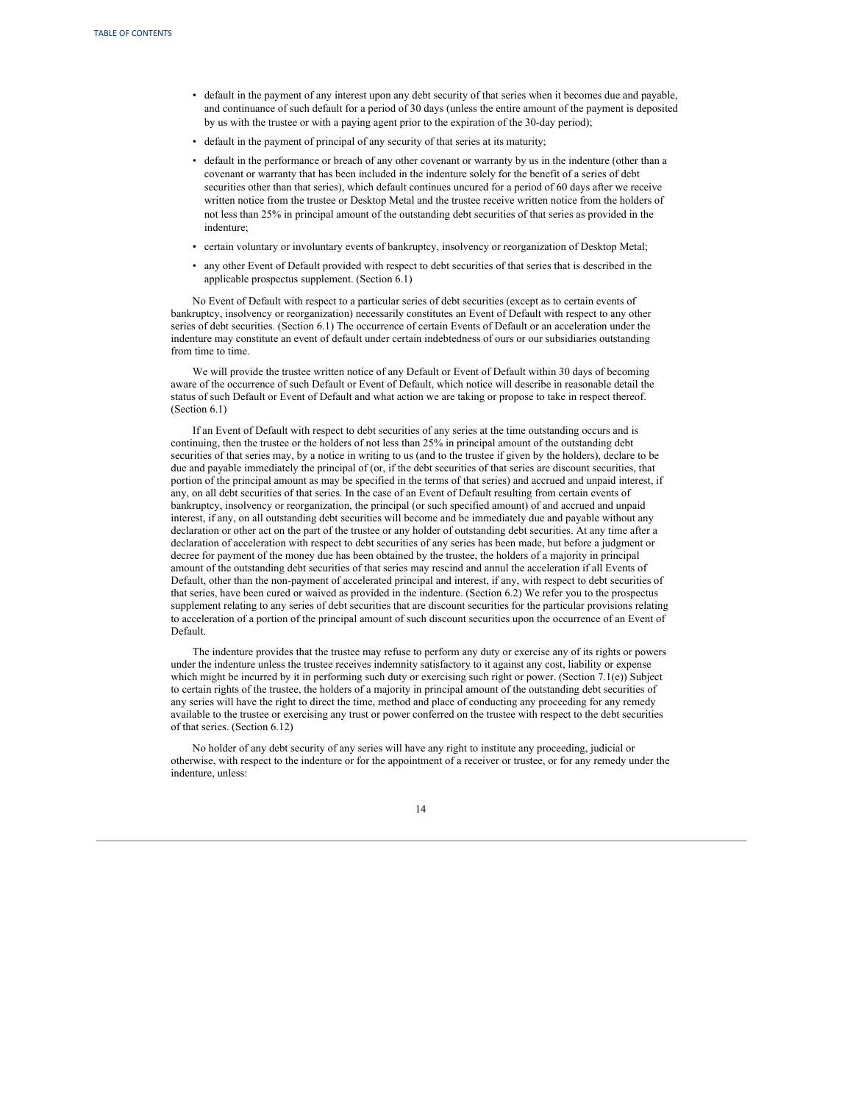- default in the payment of any interest upon any debt security of that series when it becomes due and payable, and continuance of such default for a period of 30 days (unless the entire amount of the payment is deposited by us with the trustee or with a paying agent prior to the expiration of the 30-day period);
- default in the payment of principal of any security of that series at its maturity;
- default in the performance or breach of any other covenant or warranty by us in the indenture (other than a covenant or warranty that has been included in the indenture solely for the benefit of a series of debt securities other than that series), which default continues uncured for a period of 60 days after we receive written notice from the trustee or Desktop Metal and the trustee receive written notice from the holders of not less than 25% in principal amount of the outstanding debt securities of that series as provided in the indenture;
- certain voluntary or involuntary events of bankruptcy, insolvency or reorganization of Desktop Metal;
- any other Event of Default provided with respect to debt securities of that series that is described in the applicable prospectus supplement. (Section 6.1)

No Event of Default with respect to a particular series of debt securities (except as to certain events of bankruptcy, insolvency or reorganization) necessarily constitutes an Event of Default with respect to any other series of debt securities. (Section 6.1) The occurrence of certain Events of Default or an acceleration under the indenture may constitute an event of default under certain indebtedness of ours or our subsidiaries outstanding from time to time.

We will provide the trustee written notice of any Default or Event of Default within 30 days of becoming aware of the occurrence of such Default or Event of Default, which notice will describe in reasonable detail the status of such Default or Event of Default and what action we are taking or propose to take in respect thereof. (Section 6.1)

If an Event of Default with respect to debt securities of any series at the time outstanding occurs and is continuing, then the trustee or the holders of not less than 25% in principal amount of the outstanding debt securities of that series may, by a notice in writing to us (and to the trustee if given by the holders), declare to be due and payable immediately the principal of (or, if the debt securities of that series are discount securities, that portion of the principal amount as may be specified in the terms of that series) and accrued and unpaid interest, if any, on all debt securities of that series. In the case of an Event of Default resulting from certain events of bankruptcy, insolvency or reorganization, the principal (or such specified amount) of and accrued and unpaid interest, if any, on all outstanding debt securities will become and be immediately due and payable without any declaration or other act on the part of the trustee or any holder of outstanding debt securities. At any time after a declaration of acceleration with respect to debt securities of any series has been made, but before a judgment or decree for payment of the money due has been obtained by the trustee, the holders of a majority in principal amount of the outstanding debt securities of that series may rescind and annul the acceleration if all Events of Default, other than the non-payment of accelerated principal and interest, if any, with respect to debt securities of that series, have been cured or waived as provided in the indenture. (Section 6.2) We refer you to the prospectus supplement relating to any series of debt securities that are discount securities for the particular provisions relating to acceleration of a portion of the principal amount of such discount securities upon the occurrence of an Event of Default.

The indenture provides that the trustee may refuse to perform any duty or exercise any of its rights or powers under the indenture unless the trustee receives indemnity satisfactory to it against any cost, liability or expense which might be incurred by it in performing such duty or exercising such right or power. (Section 7.1(e)) Subject to certain rights of the trustee, the holders of a majority in principal amount of the outstanding debt securities of any series will have the right to direct the time, method and place of conducting any proceeding for any remedy available to the trustee or exercising any trust or power conferred on the trustee with respect to the debt securities of that series. (Section 6.12)

No holder of any debt security of any series will have any right to institute any proceeding, judicial or otherwise, with respect to the indenture or for the appointment of a receiver or trustee, or for any remedy under the indenture, unless: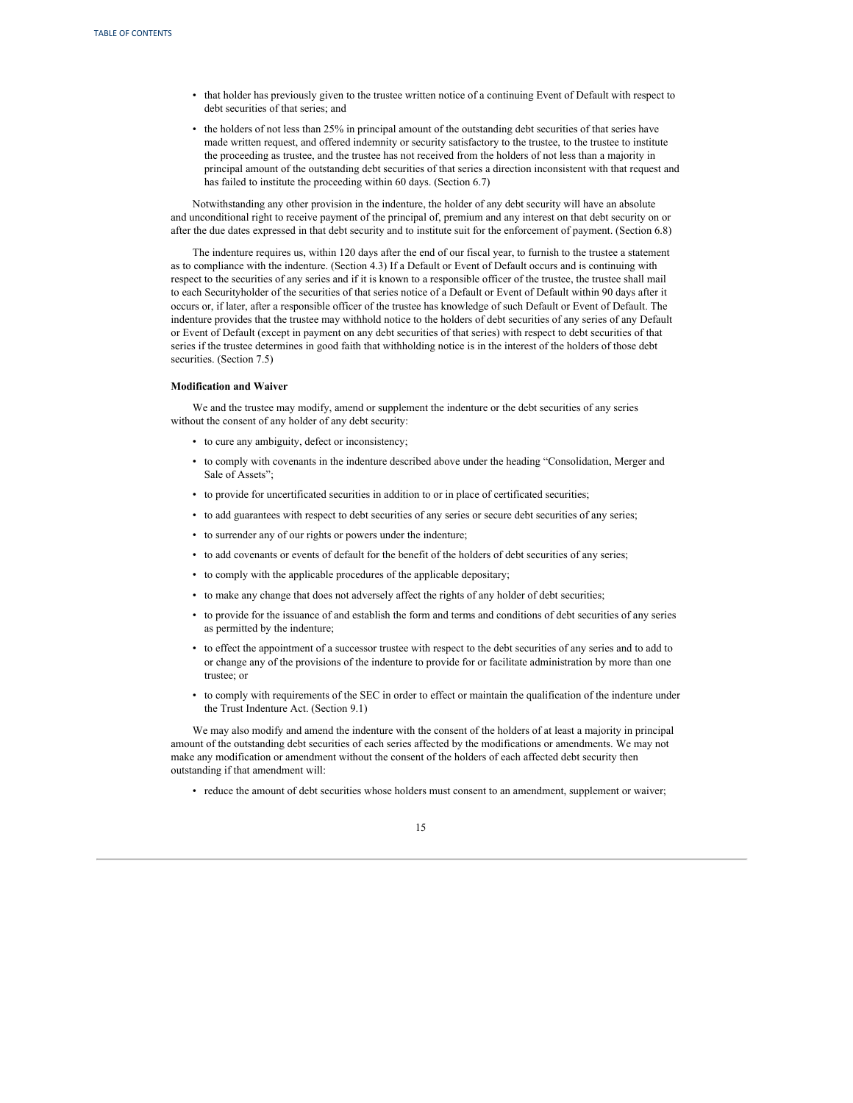- that holder has previously given to the trustee written notice of a continuing Event of Default with respect to debt securities of that series; and
- the holders of not less than 25% in principal amount of the outstanding debt securities of that series have made written request, and offered indemnity or security satisfactory to the trustee, to the trustee to institute the proceeding as trustee, and the trustee has not received from the holders of not less than a majority in principal amount of the outstanding debt securities of that series a direction inconsistent with that request and has failed to institute the proceeding within 60 days. (Section 6.7)

Notwithstanding any other provision in the indenture, the holder of any debt security will have an absolute and unconditional right to receive payment of the principal of, premium and any interest on that debt security on or after the due dates expressed in that debt security and to institute suit for the enforcement of payment. (Section 6.8)

The indenture requires us, within 120 days after the end of our fiscal year, to furnish to the trustee a statement as to compliance with the indenture. (Section 4.3) If a Default or Event of Default occurs and is continuing with respect to the securities of any series and if it is known to a responsible officer of the trustee, the trustee shall mail to each Securityholder of the securities of that series notice of a Default or Event of Default within 90 days after it occurs or, if later, after a responsible officer of the trustee has knowledge of such Default or Event of Default. The indenture provides that the trustee may withhold notice to the holders of debt securities of any series of any Default or Event of Default (except in payment on any debt securities of that series) with respect to debt securities of that series if the trustee determines in good faith that withholding notice is in the interest of the holders of those debt securities. (Section 7.5)

## **Modification and Waiver**

We and the trustee may modify, amend or supplement the indenture or the debt securities of any series without the consent of any holder of any debt security:

- to cure any ambiguity, defect or inconsistency;
- to comply with covenants in the indenture described above under the heading "Consolidation, Merger and Sale of Assets";
- to provide for uncertificated securities in addition to or in place of certificated securities;
- to add guarantees with respect to debt securities of any series or secure debt securities of any series;
- to surrender any of our rights or powers under the indenture;
- to add covenants or events of default for the benefit of the holders of debt securities of any series;
- to comply with the applicable procedures of the applicable depositary;
- to make any change that does not adversely affect the rights of any holder of debt securities;
- to provide for the issuance of and establish the form and terms and conditions of debt securities of any series as permitted by the indenture;
- to effect the appointment of a successor trustee with respect to the debt securities of any series and to add to or change any of the provisions of the indenture to provide for or facilitate administration by more than one trustee; or
- to comply with requirements of the SEC in order to effect or maintain the qualification of the indenture under the Trust Indenture Act. (Section 9.1)

We may also modify and amend the indenture with the consent of the holders of at least a majority in principal amount of the outstanding debt securities of each series affected by the modifications or amendments. We may not make any modification or amendment without the consent of the holders of each affected debt security then outstanding if that amendment will:

• reduce the amount of debt securities whose holders must consent to an amendment, supplement or waiver;

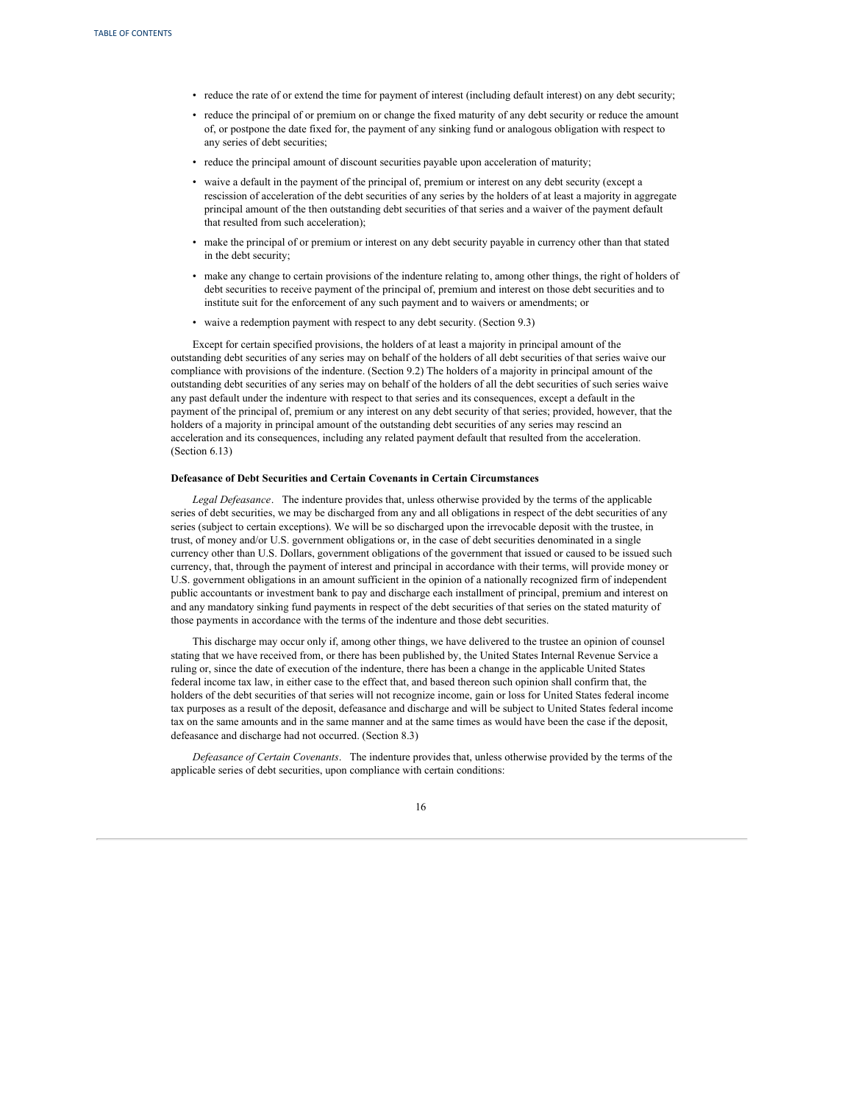- reduce the rate of or extend the time for payment of interest (including default interest) on any debt security;
- reduce the principal of or premium on or change the fixed maturity of any debt security or reduce the amount of, or postpone the date fixed for, the payment of any sinking fund or analogous obligation with respect to any series of debt securities;
- reduce the principal amount of discount securities payable upon acceleration of maturity;
- waive a default in the payment of the principal of, premium or interest on any debt security (except a rescission of acceleration of the debt securities of any series by the holders of at least a majority in aggregate principal amount of the then outstanding debt securities of that series and a waiver of the payment default that resulted from such acceleration);
- make the principal of or premium or interest on any debt security payable in currency other than that stated in the debt security;
- make any change to certain provisions of the indenture relating to, among other things, the right of holders of debt securities to receive payment of the principal of, premium and interest on those debt securities and to institute suit for the enforcement of any such payment and to waivers or amendments; or
- waive a redemption payment with respect to any debt security. (Section 9.3)

Except for certain specified provisions, the holders of at least a majority in principal amount of the outstanding debt securities of any series may on behalf of the holders of all debt securities of that series waive our compliance with provisions of the indenture. (Section 9.2) The holders of a majority in principal amount of the outstanding debt securities of any series may on behalf of the holders of all the debt securities of such series waive any past default under the indenture with respect to that series and its consequences, except a default in the payment of the principal of, premium or any interest on any debt security of that series; provided, however, that the holders of a majority in principal amount of the outstanding debt securities of any series may rescind an acceleration and its consequences, including any related payment default that resulted from the acceleration. (Section 6.13)

#### **Defeasance of Debt Securities and Certain Covenants in Certain Circumstances**

*Legal Defeasance*. The indenture provides that, unless otherwise provided by the terms of the applicable series of debt securities, we may be discharged from any and all obligations in respect of the debt securities of any series (subject to certain exceptions). We will be so discharged upon the irrevocable deposit with the trustee, in trust, of money and/or U.S. government obligations or, in the case of debt securities denominated in a single currency other than U.S. Dollars, government obligations of the government that issued or caused to be issued such currency, that, through the payment of interest and principal in accordance with their terms, will provide money or U.S. government obligations in an amount sufficient in the opinion of a nationally recognized firm of independent public accountants or investment bank to pay and discharge each installment of principal, premium and interest on and any mandatory sinking fund payments in respect of the debt securities of that series on the stated maturity of those payments in accordance with the terms of the indenture and those debt securities.

This discharge may occur only if, among other things, we have delivered to the trustee an opinion of counsel stating that we have received from, or there has been published by, the United States Internal Revenue Service a ruling or, since the date of execution of the indenture, there has been a change in the applicable United States federal income tax law, in either case to the effect that, and based thereon such opinion shall confirm that, the holders of the debt securities of that series will not recognize income, gain or loss for United States federal income tax purposes as a result of the deposit, defeasance and discharge and will be subject to United States federal income tax on the same amounts and in the same manner and at the same times as would have been the case if the deposit, defeasance and discharge had not occurred. (Section 8.3)

*Defeasance of Certain Covenants*. The indenture provides that, unless otherwise provided by the terms of the applicable series of debt securities, upon compliance with certain conditions: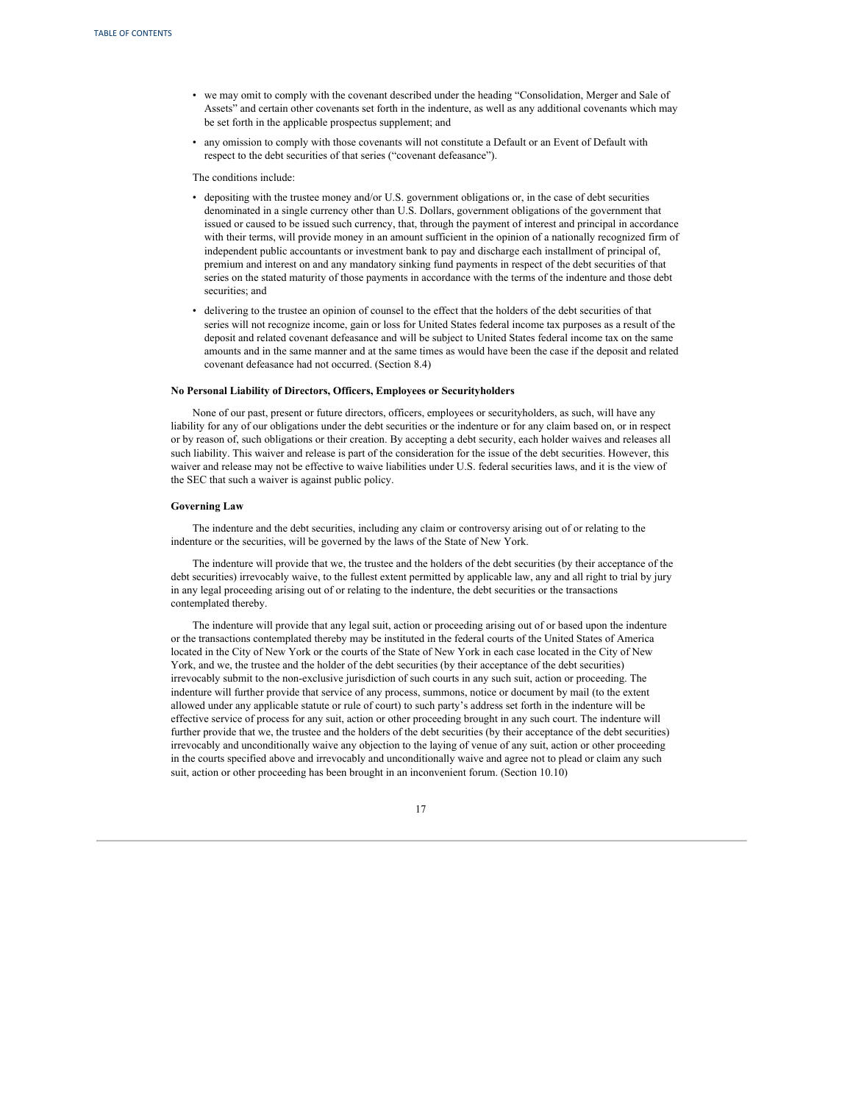- we may omit to comply with the covenant described under the heading "Consolidation, Merger and Sale of Assets" and certain other covenants set forth in the indenture, as well as any additional covenants which may be set forth in the applicable prospectus supplement; and
- any omission to comply with those covenants will not constitute a Default or an Event of Default with respect to the debt securities of that series ("covenant defeasance").

#### The conditions include:

- depositing with the trustee money and/or U.S. government obligations or, in the case of debt securities denominated in a single currency other than U.S. Dollars, government obligations of the government that issued or caused to be issued such currency, that, through the payment of interest and principal in accordance with their terms, will provide money in an amount sufficient in the opinion of a nationally recognized firm of independent public accountants or investment bank to pay and discharge each installment of principal of, premium and interest on and any mandatory sinking fund payments in respect of the debt securities of that series on the stated maturity of those payments in accordance with the terms of the indenture and those debt securities; and
- delivering to the trustee an opinion of counsel to the effect that the holders of the debt securities of that series will not recognize income, gain or loss for United States federal income tax purposes as a result of the deposit and related covenant defeasance and will be subject to United States federal income tax on the same amounts and in the same manner and at the same times as would have been the case if the deposit and related covenant defeasance had not occurred. (Section 8.4)

## **No Personal Liability of Directors, Officers, Employees or Securityholders**

None of our past, present or future directors, officers, employees or securityholders, as such, will have any liability for any of our obligations under the debt securities or the indenture or for any claim based on, or in respect or by reason of, such obligations or their creation. By accepting a debt security, each holder waives and releases all such liability. This waiver and release is part of the consideration for the issue of the debt securities. However, this waiver and release may not be effective to waive liabilities under U.S. federal securities laws, and it is the view of the SEC that such a waiver is against public policy.

#### **Governing Law**

The indenture and the debt securities, including any claim or controversy arising out of or relating to the indenture or the securities, will be governed by the laws of the State of New York.

The indenture will provide that we, the trustee and the holders of the debt securities (by their acceptance of the debt securities) irrevocably waive, to the fullest extent permitted by applicable law, any and all right to trial by jury in any legal proceeding arising out of or relating to the indenture, the debt securities or the transactions contemplated thereby.

The indenture will provide that any legal suit, action or proceeding arising out of or based upon the indenture or the transactions contemplated thereby may be instituted in the federal courts of the United States of America located in the City of New York or the courts of the State of New York in each case located in the City of New York, and we, the trustee and the holder of the debt securities (by their acceptance of the debt securities) irrevocably submit to the non-exclusive jurisdiction of such courts in any such suit, action or proceeding. The indenture will further provide that service of any process, summons, notice or document by mail (to the extent allowed under any applicable statute or rule of court) to such party's address set forth in the indenture will be effective service of process for any suit, action or other proceeding brought in any such court. The indenture will further provide that we, the trustee and the holders of the debt securities (by their acceptance of the debt securities) irrevocably and unconditionally waive any objection to the laying of venue of any suit, action or other proceeding in the courts specified above and irrevocably and unconditionally waive and agree not to plead or claim any such suit, action or other proceeding has been brought in an inconvenient forum. (Section 10.10)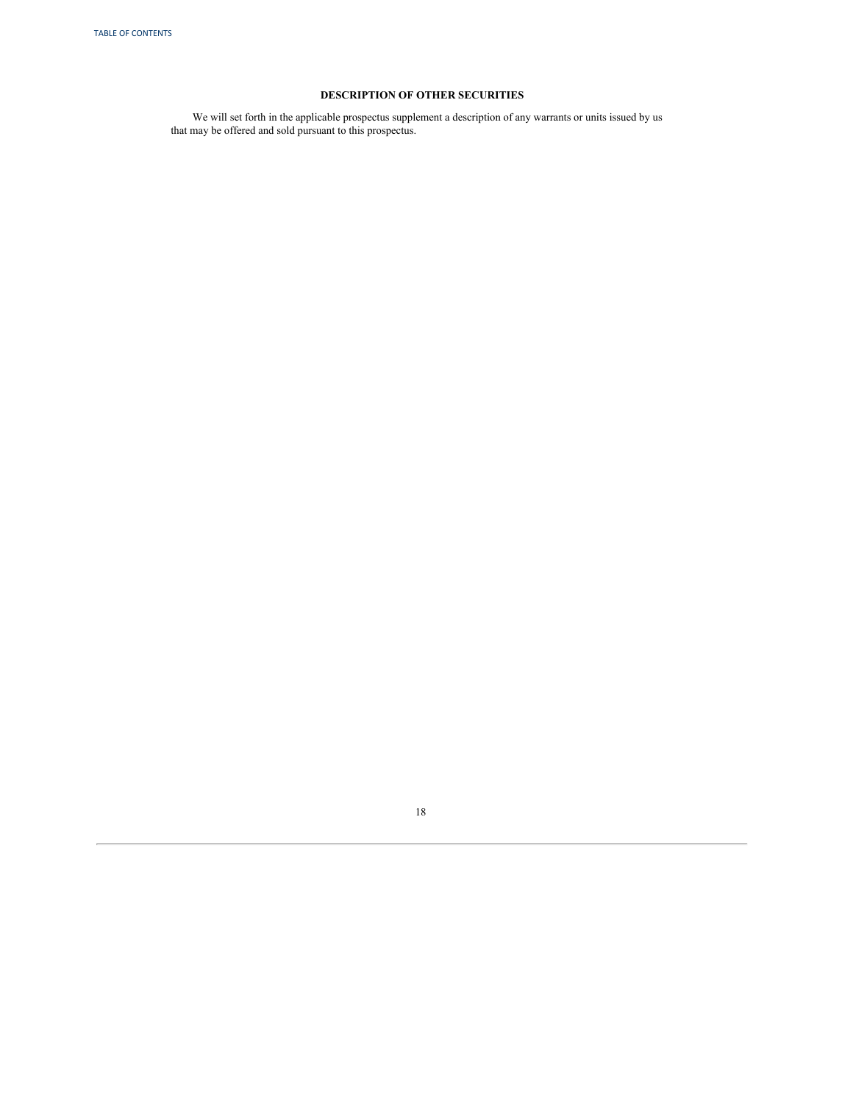# **DESCRIPTION OF OTHER SECURITIES**

<span id="page-20-0"></span>We will set forth in the applicable prospectus supplement a description of any warrants or units issued by us that may be offered and sold pursuant to this prospectus.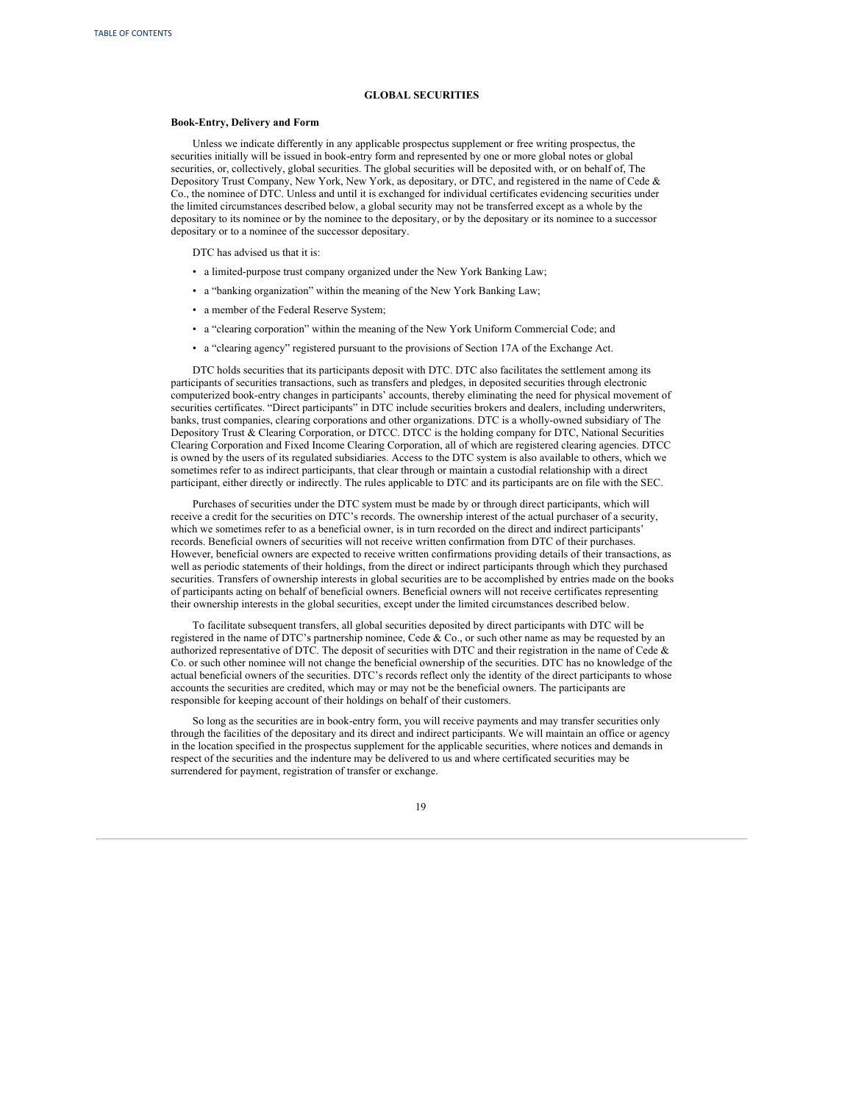#### **GLOBAL SECURITIES**

#### <span id="page-21-0"></span>**Book-Entry, Delivery and Form**

Unless we indicate differently in any applicable prospectus supplement or free writing prospectus, the securities initially will be issued in book-entry form and represented by one or more global notes or global securities, or, collectively, global securities. The global securities will be deposited with, or on behalf of, The Depository Trust Company, New York, New York, as depositary, or DTC, and registered in the name of Cede & Co., the nominee of DTC. Unless and until it is exchanged for individual certificates evidencing securities under the limited circumstances described below, a global security may not be transferred except as a whole by the depositary to its nominee or by the nominee to the depositary, or by the depositary or its nominee to a successor depositary or to a nominee of the successor depositary.

DTC has advised us that it is:

- a limited-purpose trust company organized under the New York Banking Law;
- a "banking organization" within the meaning of the New York Banking Law;
- a member of the Federal Reserve System;
- a "clearing corporation" within the meaning of the New York Uniform Commercial Code; and
- a "clearing agency" registered pursuant to the provisions of Section 17A of the Exchange Act.

DTC holds securities that its participants deposit with DTC. DTC also facilitates the settlement among its participants of securities transactions, such as transfers and pledges, in deposited securities through electronic computerized book-entry changes in participants' accounts, thereby eliminating the need for physical movement of securities certificates. "Direct participants" in DTC include securities brokers and dealers, including underwriters, banks, trust companies, clearing corporations and other organizations. DTC is a wholly-owned subsidiary of The Depository Trust & Clearing Corporation, or DTCC. DTCC is the holding company for DTC, National Securities Clearing Corporation and Fixed Income Clearing Corporation, all of which are registered clearing agencies. DTCC is owned by the users of its regulated subsidiaries. Access to the DTC system is also available to others, which we sometimes refer to as indirect participants, that clear through or maintain a custodial relationship with a direct participant, either directly or indirectly. The rules applicable to DTC and its participants are on file with the SEC.

Purchases of securities under the DTC system must be made by or through direct participants, which will receive a credit for the securities on DTC's records. The ownership interest of the actual purchaser of a security, which we sometimes refer to as a beneficial owner, is in turn recorded on the direct and indirect participants' records. Beneficial owners of securities will not receive written confirmation from DTC of their purchases. However, beneficial owners are expected to receive written confirmations providing details of their transactions, as well as periodic statements of their holdings, from the direct or indirect participants through which they purchased securities. Transfers of ownership interests in global securities are to be accomplished by entries made on the books of participants acting on behalf of beneficial owners. Beneficial owners will not receive certificates representing their ownership interests in the global securities, except under the limited circumstances described below.

To facilitate subsequent transfers, all global securities deposited by direct participants with DTC will be registered in the name of DTC's partnership nominee, Cede & Co., or such other name as may be requested by an authorized representative of DTC. The deposit of securities with DTC and their registration in the name of Cede  $\&$ Co. or such other nominee will not change the beneficial ownership of the securities. DTC has no knowledge of the actual beneficial owners of the securities. DTC's records reflect only the identity of the direct participants to whose accounts the securities are credited, which may or may not be the beneficial owners. The participants are responsible for keeping account of their holdings on behalf of their customers.

So long as the securities are in book-entry form, you will receive payments and may transfer securities only through the facilities of the depositary and its direct and indirect participants. We will maintain an office or agency in the location specified in the prospectus supplement for the applicable securities, where notices and demands in respect of the securities and the indenture may be delivered to us and where certificated securities may be surrendered for payment, registration of transfer or exchange.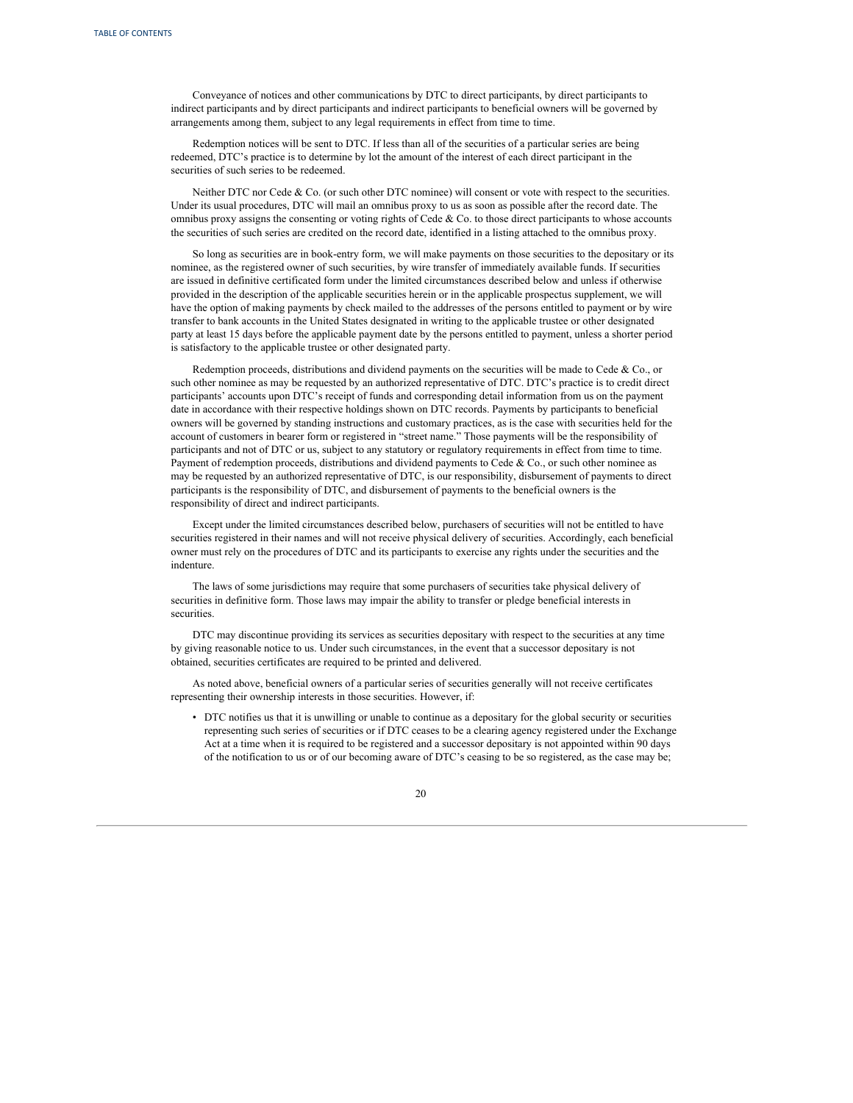Conveyance of notices and other communications by DTC to direct participants, by direct participants to indirect participants and by direct participants and indirect participants to beneficial owners will be governed by arrangements among them, subject to any legal requirements in effect from time to time.

Redemption notices will be sent to DTC. If less than all of the securities of a particular series are being redeemed, DTC's practice is to determine by lot the amount of the interest of each direct participant in the securities of such series to be redeemed.

Neither DTC nor Cede & Co. (or such other DTC nominee) will consent or vote with respect to the securities. Under its usual procedures, DTC will mail an omnibus proxy to us as soon as possible after the record date. The omnibus proxy assigns the consenting or voting rights of Cede & Co. to those direct participants to whose accounts the securities of such series are credited on the record date, identified in a listing attached to the omnibus proxy.

So long as securities are in book-entry form, we will make payments on those securities to the depositary or its nominee, as the registered owner of such securities, by wire transfer of immediately available funds. If securities are issued in definitive certificated form under the limited circumstances described below and unless if otherwise provided in the description of the applicable securities herein or in the applicable prospectus supplement, we will have the option of making payments by check mailed to the addresses of the persons entitled to payment or by wire transfer to bank accounts in the United States designated in writing to the applicable trustee or other designated party at least 15 days before the applicable payment date by the persons entitled to payment, unless a shorter period is satisfactory to the applicable trustee or other designated party.

Redemption proceeds, distributions and dividend payments on the securities will be made to Cede & Co., or such other nominee as may be requested by an authorized representative of DTC. DTC's practice is to credit direct participants' accounts upon DTC's receipt of funds and corresponding detail information from us on the payment date in accordance with their respective holdings shown on DTC records. Payments by participants to beneficial owners will be governed by standing instructions and customary practices, as is the case with securities held for the account of customers in bearer form or registered in "street name." Those payments will be the responsibility of participants and not of DTC or us, subject to any statutory or regulatory requirements in effect from time to time. Payment of redemption proceeds, distributions and dividend payments to Cede & Co., or such other nominee as may be requested by an authorized representative of DTC, is our responsibility, disbursement of payments to direct participants is the responsibility of DTC, and disbursement of payments to the beneficial owners is the responsibility of direct and indirect participants.

Except under the limited circumstances described below, purchasers of securities will not be entitled to have securities registered in their names and will not receive physical delivery of securities. Accordingly, each beneficial owner must rely on the procedures of DTC and its participants to exercise any rights under the securities and the indenture.

The laws of some jurisdictions may require that some purchasers of securities take physical delivery of securities in definitive form. Those laws may impair the ability to transfer or pledge beneficial interests in securities.

DTC may discontinue providing its services as securities depositary with respect to the securities at any time by giving reasonable notice to us. Under such circumstances, in the event that a successor depositary is not obtained, securities certificates are required to be printed and delivered.

As noted above, beneficial owners of a particular series of securities generally will not receive certificates representing their ownership interests in those securities. However, if:

• DTC notifies us that it is unwilling or unable to continue as a depositary for the global security or securities representing such series of securities or if DTC ceases to be a clearing agency registered under the Exchange Act at a time when it is required to be registered and a successor depositary is not appointed within 90 days of the notification to us or of our becoming aware of DTC's ceasing to be so registered, as the case may be;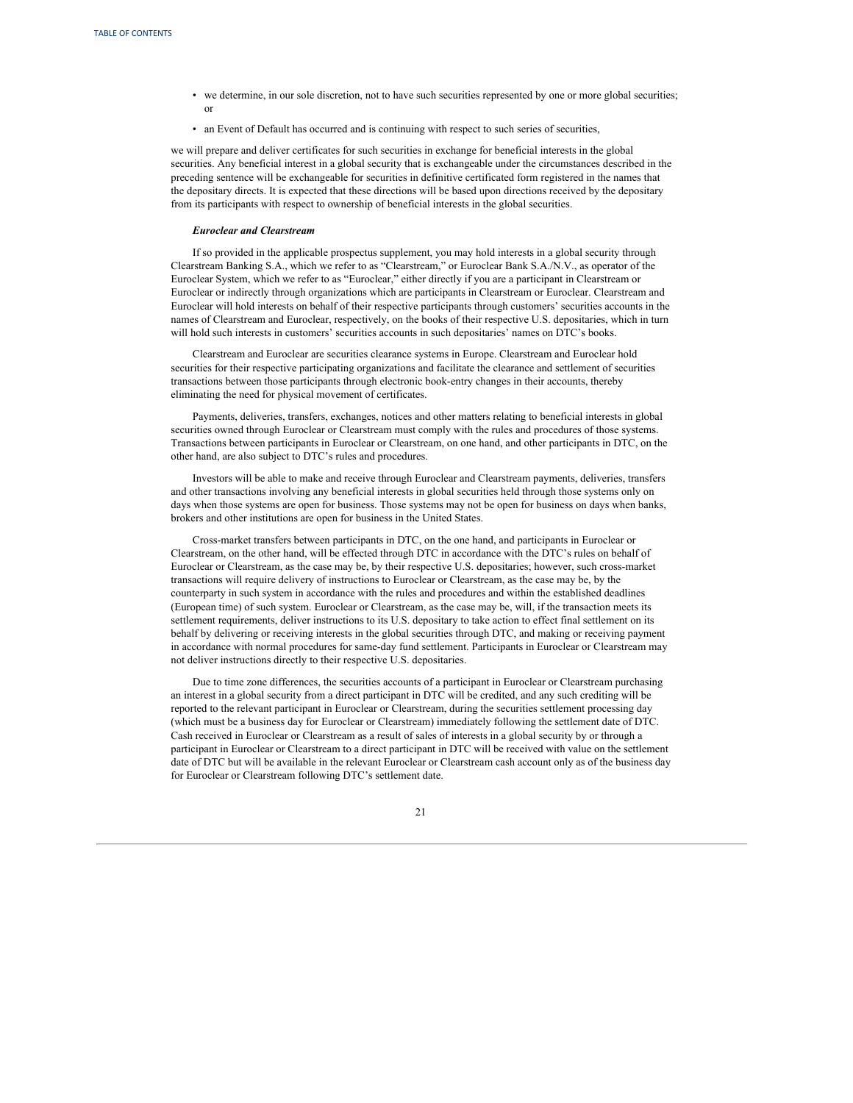- we determine, in our sole discretion, not to have such securities represented by one or more global securities; or
- an Event of Default has occurred and is continuing with respect to such series of securities,

we will prepare and deliver certificates for such securities in exchange for beneficial interests in the global securities. Any beneficial interest in a global security that is exchangeable under the circumstances described in the preceding sentence will be exchangeable for securities in definitive certificated form registered in the names that the depositary directs. It is expected that these directions will be based upon directions received by the depositary from its participants with respect to ownership of beneficial interests in the global securities.

#### *Euroclear and Clearstream*

If so provided in the applicable prospectus supplement, you may hold interests in a global security through Clearstream Banking S.A., which we refer to as "Clearstream," or Euroclear Bank S.A./N.V., as operator of the Euroclear System, which we refer to as "Euroclear," either directly if you are a participant in Clearstream or Euroclear or indirectly through organizations which are participants in Clearstream or Euroclear. Clearstream and Euroclear will hold interests on behalf of their respective participants through customers' securities accounts in the names of Clearstream and Euroclear, respectively, on the books of their respective U.S. depositaries, which in turn will hold such interests in customers' securities accounts in such depositaries' names on DTC's books.

Clearstream and Euroclear are securities clearance systems in Europe. Clearstream and Euroclear hold securities for their respective participating organizations and facilitate the clearance and settlement of securities transactions between those participants through electronic book-entry changes in their accounts, thereby eliminating the need for physical movement of certificates.

Payments, deliveries, transfers, exchanges, notices and other matters relating to beneficial interests in global securities owned through Euroclear or Clearstream must comply with the rules and procedures of those systems. Transactions between participants in Euroclear or Clearstream, on one hand, and other participants in DTC, on the other hand, are also subject to DTC's rules and procedures.

Investors will be able to make and receive through Euroclear and Clearstream payments, deliveries, transfers and other transactions involving any beneficial interests in global securities held through those systems only on days when those systems are open for business. Those systems may not be open for business on days when banks, brokers and other institutions are open for business in the United States.

Cross-market transfers between participants in DTC, on the one hand, and participants in Euroclear or Clearstream, on the other hand, will be effected through DTC in accordance with the DTC's rules on behalf of Euroclear or Clearstream, as the case may be, by their respective U.S. depositaries; however, such cross-market transactions will require delivery of instructions to Euroclear or Clearstream, as the case may be, by the counterparty in such system in accordance with the rules and procedures and within the established deadlines (European time) of such system. Euroclear or Clearstream, as the case may be, will, if the transaction meets its settlement requirements, deliver instructions to its U.S. depositary to take action to effect final settlement on its behalf by delivering or receiving interests in the global securities through DTC, and making or receiving payment in accordance with normal procedures for same-day fund settlement. Participants in Euroclear or Clearstream may not deliver instructions directly to their respective U.S. depositaries.

Due to time zone differences, the securities accounts of a participant in Euroclear or Clearstream purchasing an interest in a global security from a direct participant in DTC will be credited, and any such crediting will be reported to the relevant participant in Euroclear or Clearstream, during the securities settlement processing day (which must be a business day for Euroclear or Clearstream) immediately following the settlement date of DTC. Cash received in Euroclear or Clearstream as a result of sales of interests in a global security by or through a participant in Euroclear or Clearstream to a direct participant in DTC will be received with value on the settlement date of DTC but will be available in the relevant Euroclear or Clearstream cash account only as of the business day for Euroclear or Clearstream following DTC's settlement date.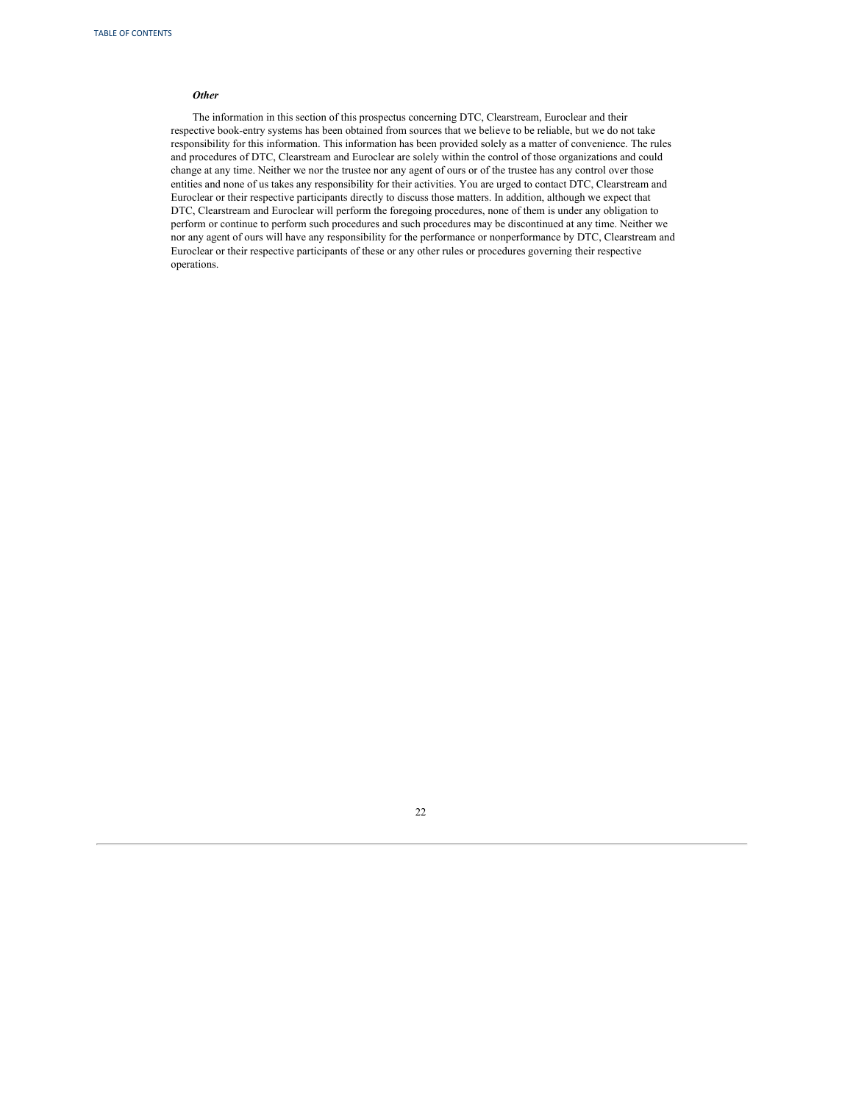#### *Other*

The information in this section of this prospectus concerning DTC, Clearstream, Euroclear and their respective book-entry systems has been obtained from sources that we believe to be reliable, but we do not take responsibility for this information. This information has been provided solely as a matter of convenience. The rules and procedures of DTC, Clearstream and Euroclear are solely within the control of those organizations and could change at any time. Neither we nor the trustee nor any agent of ours or of the trustee has any control over those entities and none of us takes any responsibility for their activities. You are urged to contact DTC, Clearstream and Euroclear or their respective participants directly to discuss those matters. In addition, although we expect that DTC, Clearstream and Euroclear will perform the foregoing procedures, none of them is under any obligation to perform or continue to perform such procedures and such procedures may be discontinued at any time. Neither we nor any agent of ours will have any responsibility for the performance or nonperformance by DTC, Clearstream and Euroclear or their respective participants of these or any other rules or procedures governing their respective operations.

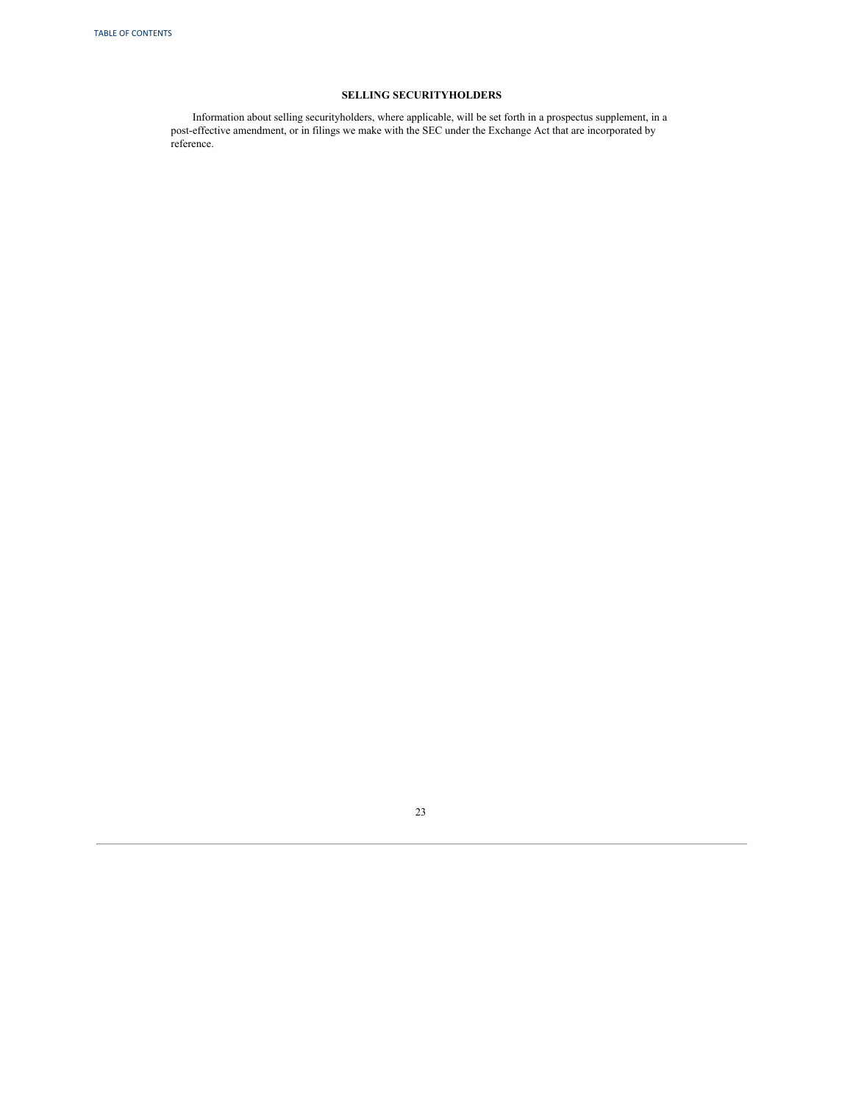## **SELLING SECURITYHOLDERS**

<span id="page-25-0"></span>Information about selling securityholders, where applicable, will be set forth in a prospectus supplement, in a post-effective amendment, or in filings we make with the SEC under the Exchange Act that are incorporated by reference.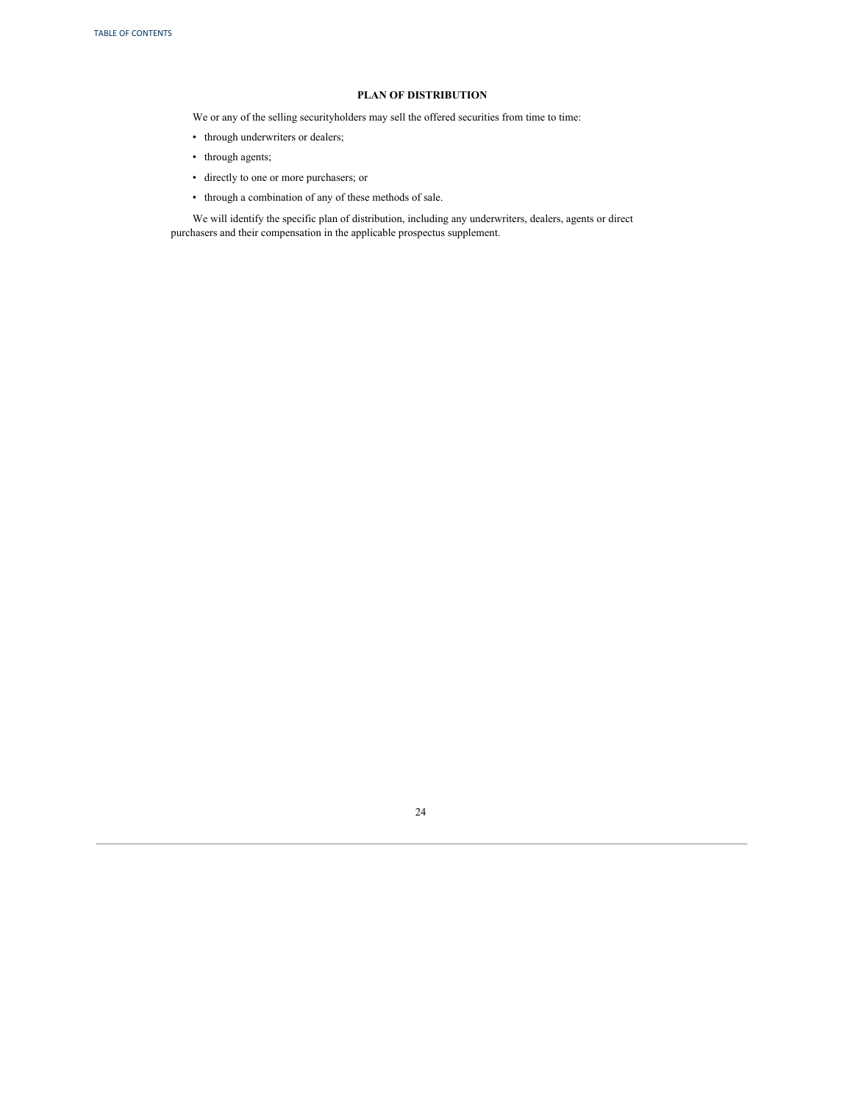## **PLAN OF DISTRIBUTION**

<span id="page-26-0"></span>We or any of the selling securityholders may sell the offered securities from time to time:

- through underwriters or dealers;
- through agents;
- directly to one or more purchasers; or
- through a combination of any of these methods of sale.

We will identify the specific plan of distribution, including any underwriters, dealers, agents or direct purchasers and their compensation in the applicable prospectus supplement.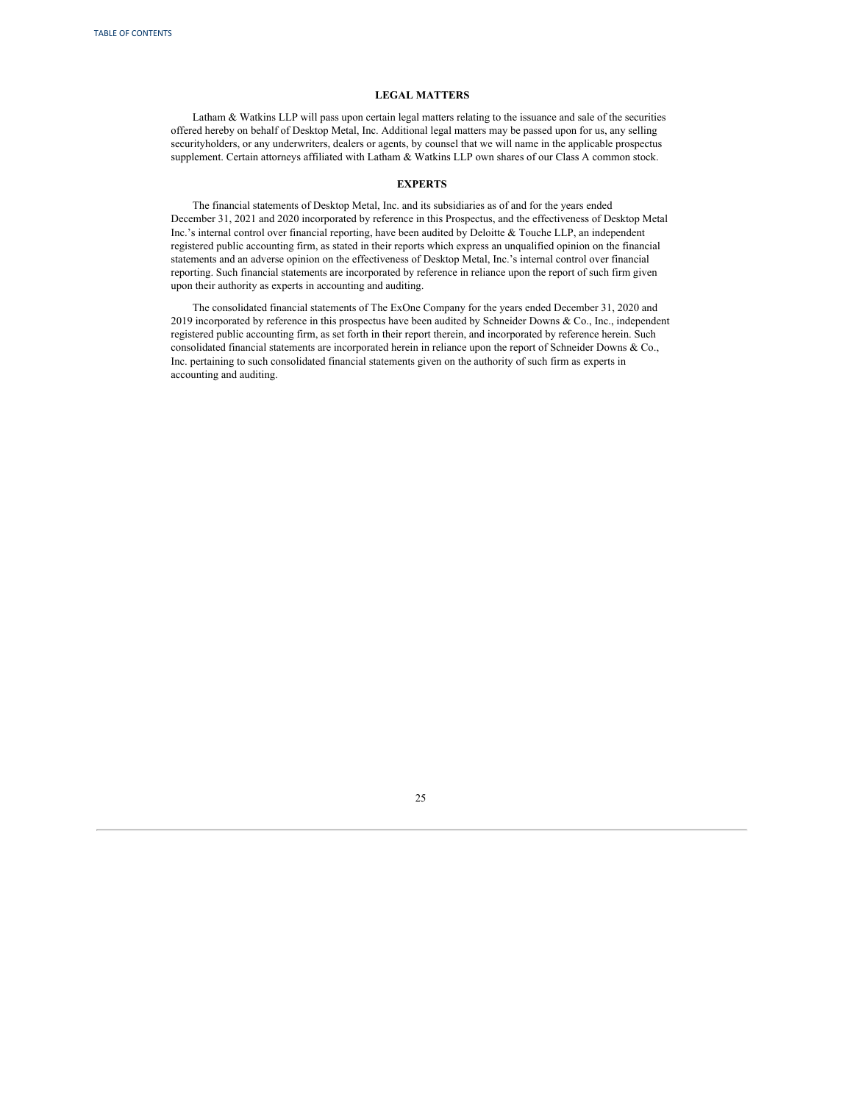## **LEGAL MATTERS**

<span id="page-27-0"></span>Latham & Watkins LLP will pass upon certain legal matters relating to the issuance and sale of the securities offered hereby on behalf of Desktop Metal, Inc. Additional legal matters may be passed upon for us, any selling securityholders, or any underwriters, dealers or agents, by counsel that we will name in the applicable prospectus supplement. Certain attorneys affiliated with Latham & Watkins LLP own shares of our Class A common stock.

## **EXPERTS**

The financial statements of Desktop Metal, Inc. and its subsidiaries as of and for the years ended December 31, 2021 and 2020 incorporated by reference in this Prospectus, and the effectiveness of Desktop Metal Inc.'s internal control over financial reporting, have been audited by Deloitte & Touche LLP, an independent registered public accounting firm, as stated in their reports which express an unqualified opinion on the financial statements and an adverse opinion on the effectiveness of Desktop Metal, Inc.'s internal control over financial reporting. Such financial statements are incorporated by reference in reliance upon the report of such firm given upon their authority as experts in accounting and auditing.

The consolidated financial statements of The ExOne Company for the years ended December 31, 2020 and 2019 incorporated by reference in this prospectus have been audited by Schneider Downs & Co., Inc., independent registered public accounting firm, as set forth in their report therein, and incorporated by reference herein. Such consolidated financial statements are incorporated herein in reliance upon the report of Schneider Downs & Co., Inc. pertaining to such consolidated financial statements given on the authority of such firm as experts in accounting and auditing.

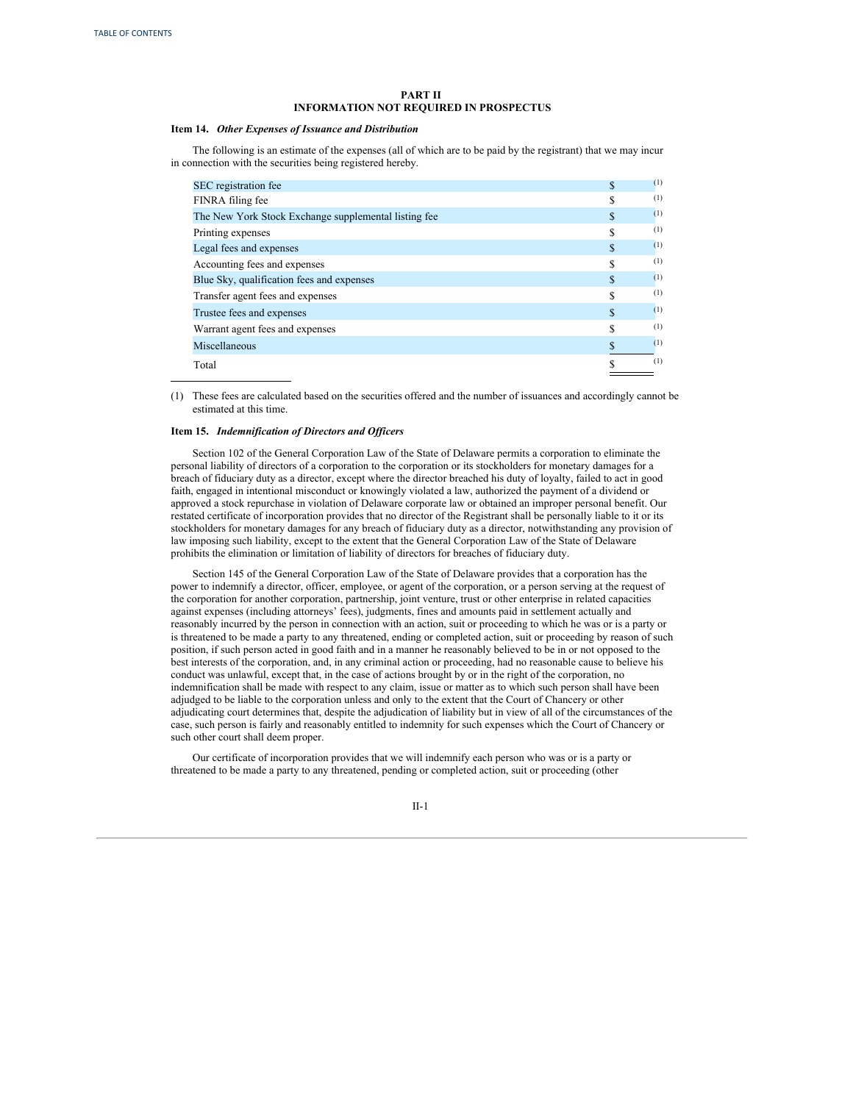## **PART II INFORMATION NOT REQUIRED IN PROSPECTUS**

## **Item 14.** *Other Expenses of Issuance and Distribution*

The following is an estimate of the expenses (all of which are to be paid by the registrant) that we may incur in connection with the securities being registered hereby.

| SEC registration fee                                 | \$            | (1) |
|------------------------------------------------------|---------------|-----|
| FINRA filing fee                                     | S             | (1) |
| The New York Stock Exchange supplemental listing fee | S             | (1) |
| Printing expenses                                    | S             | (1) |
| Legal fees and expenses                              | S             | (1) |
| Accounting fees and expenses                         | S             | (1) |
| Blue Sky, qualification fees and expenses            | <sup>\$</sup> | (1) |
| Transfer agent fees and expenses                     | S             | (1) |
| Trustee fees and expenses                            | S             | (1) |
| Warrant agent fees and expenses                      | S             | (1) |
| Miscellaneous                                        | S             | (1) |
| Total                                                |               | (1) |
|                                                      |               |     |

(1) These fees are calculated based on the securities offered and the number of issuances and accordingly cannot be estimated at this time.

## **Item 15.** *Indemnification of Directors and Of icers*

Section 102 of the General Corporation Law of the State of Delaware permits a corporation to eliminate the personal liability of directors of a corporation to the corporation or its stockholders for monetary damages for a breach of fiduciary duty as a director, except where the director breached his duty of loyalty, failed to act in good faith, engaged in intentional misconduct or knowingly violated a law, authorized the payment of a dividend or approved a stock repurchase in violation of Delaware corporate law or obtained an improper personal benefit. Our restated certificate of incorporation provides that no director of the Registrant shall be personally liable to it or its stockholders for monetary damages for any breach of fiduciary duty as a director, notwithstanding any provision of law imposing such liability, except to the extent that the General Corporation Law of the State of Delaware prohibits the elimination or limitation of liability of directors for breaches of fiduciary duty.

Section 145 of the General Corporation Law of the State of Delaware provides that a corporation has the power to indemnify a director, officer, employee, or agent of the corporation, or a person serving at the request of the corporation for another corporation, partnership, joint venture, trust or other enterprise in related capacities against expenses (including attorneys' fees), judgments, fines and amounts paid in settlement actually and reasonably incurred by the person in connection with an action, suit or proceeding to which he was or is a party or is threatened to be made a party to any threatened, ending or completed action, suit or proceeding by reason of such position, if such person acted in good faith and in a manner he reasonably believed to be in or not opposed to the best interests of the corporation, and, in any criminal action or proceeding, had no reasonable cause to believe his conduct was unlawful, except that, in the case of actions brought by or in the right of the corporation, no indemnification shall be made with respect to any claim, issue or matter as to which such person shall have been adjudged to be liable to the corporation unless and only to the extent that the Court of Chancery or other adjudicating court determines that, despite the adjudication of liability but in view of all of the circumstances of the case, such person is fairly and reasonably entitled to indemnity for such expenses which the Court of Chancery or such other court shall deem proper.

Our certificate of incorporation provides that we will indemnify each person who was or is a party or threatened to be made a party to any threatened, pending or completed action, suit or proceeding (other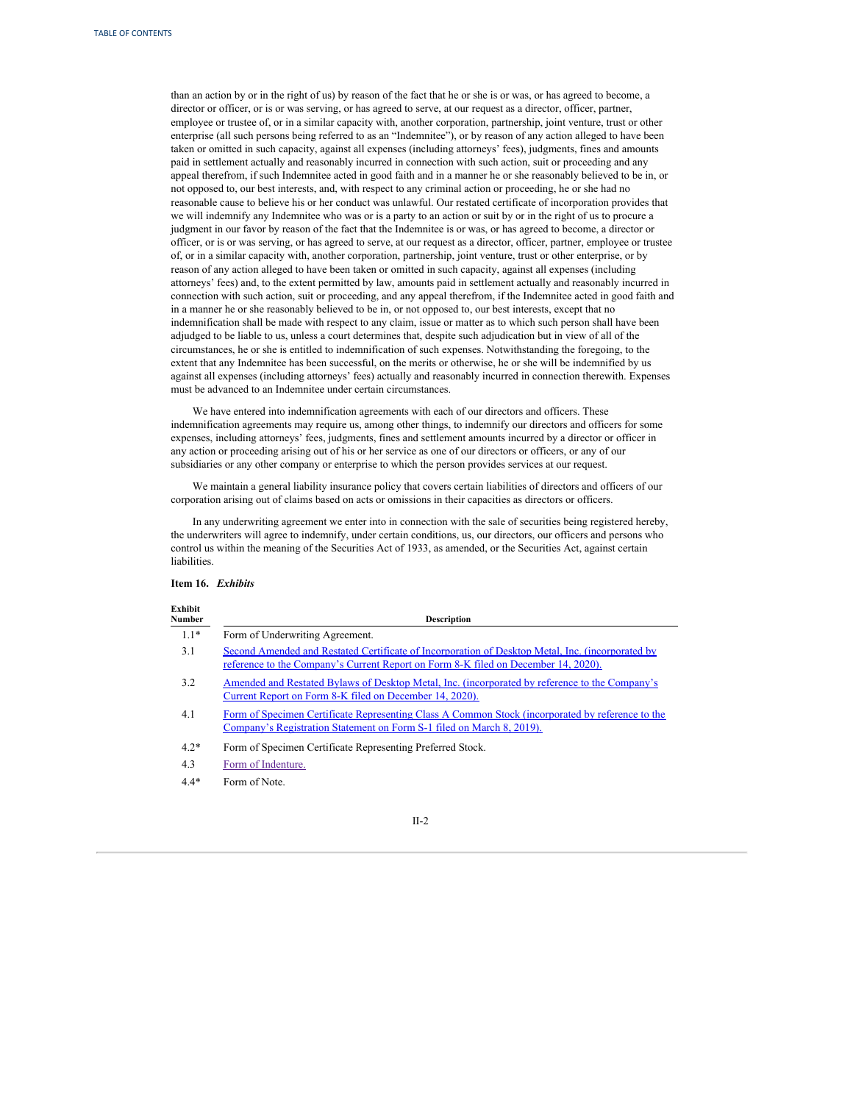than an action by or in the right of us) by reason of the fact that he or she is or was, or has agreed to become, a director or officer, or is or was serving, or has agreed to serve, at our request as a director, officer, partner, employee or trustee of, or in a similar capacity with, another corporation, partnership, joint venture, trust or other enterprise (all such persons being referred to as an "Indemnitee"), or by reason of any action alleged to have been taken or omitted in such capacity, against all expenses (including attorneys' fees), judgments, fines and amounts paid in settlement actually and reasonably incurred in connection with such action, suit or proceeding and any appeal therefrom, if such Indemnitee acted in good faith and in a manner he or she reasonably believed to be in, or not opposed to, our best interests, and, with respect to any criminal action or proceeding, he or she had no reasonable cause to believe his or her conduct was unlawful. Our restated certificate of incorporation provides that we will indemnify any Indemnitee who was or is a party to an action or suit by or in the right of us to procure a judgment in our favor by reason of the fact that the Indemnitee is or was, or has agreed to become, a director or officer, or is or was serving, or has agreed to serve, at our request as a director, officer, partner, employee or trustee of, or in a similar capacity with, another corporation, partnership, joint venture, trust or other enterprise, or by reason of any action alleged to have been taken or omitted in such capacity, against all expenses (including attorneys' fees) and, to the extent permitted by law, amounts paid in settlement actually and reasonably incurred in connection with such action, suit or proceeding, and any appeal therefrom, if the Indemnitee acted in good faith and in a manner he or she reasonably believed to be in, or not opposed to, our best interests, except that no indemnification shall be made with respect to any claim, issue or matter as to which such person shall have been adjudged to be liable to us, unless a court determines that, despite such adjudication but in view of all of the circumstances, he or she is entitled to indemnification of such expenses. Notwithstanding the foregoing, to the extent that any Indemnitee has been successful, on the merits or otherwise, he or she will be indemnified by us against all expenses (including attorneys' fees) actually and reasonably incurred in connection therewith. Expenses must be advanced to an Indemnitee under certain circumstances.

We have entered into indemnification agreements with each of our directors and officers. These indemnification agreements may require us, among other things, to indemnify our directors and officers for some expenses, including attorneys' fees, judgments, fines and settlement amounts incurred by a director or officer in any action or proceeding arising out of his or her service as one of our directors or officers, or any of our subsidiaries or any other company or enterprise to which the person provides services at our request.

We maintain a general liability insurance policy that covers certain liabilities of directors and officers of our corporation arising out of claims based on acts or omissions in their capacities as directors or officers.

In any underwriting agreement we enter into in connection with the sale of securities being registered hereby, the underwriters will agree to indemnify, under certain conditions, us, our directors, our officers and persons who control us within the meaning of the Securities Act of 1933, as amended, or the Securities Act, against certain liabilities.

| Exhibit<br>Number | <b>Description</b>                                                                                                                                                                     |
|-------------------|----------------------------------------------------------------------------------------------------------------------------------------------------------------------------------------|
| $1.1*$            | Form of Underwriting Agreement.                                                                                                                                                        |
| 3.1               | Second Amended and Restated Certificate of Incorporation of Desktop Metal, Inc. (incorporated by<br>reference to the Company's Current Report on Form 8-K filed on December 14, 2020). |
| 3.2               | Amended and Restated Bylaws of Desktop Metal, Inc. (incorporated by reference to the Company's<br>Current Report on Form 8-K filed on December 14, 2020).                              |
| 4.1               | Form of Specimen Certificate Representing Class A Common Stock (incorporated by reference to the<br>Company's Registration Statement on Form S-1 filed on March 8, 2019).              |
| $4.2*$            | Form of Specimen Certificate Representing Preferred Stock.                                                                                                                             |
| 4.3               | Form of Indenture.                                                                                                                                                                     |
| $4.4*$            | Form of Note.                                                                                                                                                                          |

## **Item 16.** *Exhibits*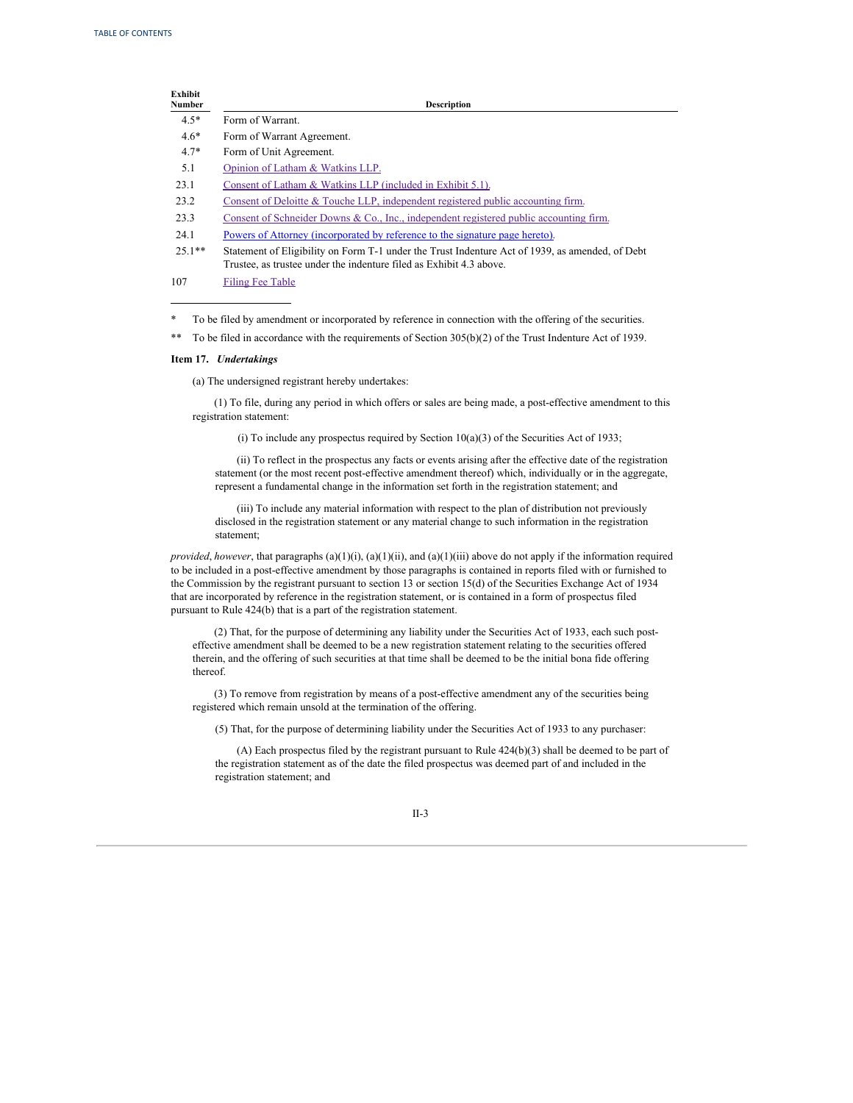| Exhibit<br><b>Number</b> | <b>Description</b>                                                                              |
|--------------------------|-------------------------------------------------------------------------------------------------|
| $4.5*$                   | Form of Warrant.                                                                                |
| $4.6*$                   | Form of Warrant Agreement.                                                                      |
| $4.7*$                   | Form of Unit Agreement.                                                                         |
| 5.1                      | Opinion of Latham & Watkins LLP.                                                                |
| 23.1                     | Consent of Latham & Watkins LLP (included in Exhibit 5.1).                                      |
| 23.2                     | Consent of Deloitte & Touche LLP, independent registered public accounting firm.                |
| 23.3                     | Consent of Schneider Downs & Co., Inc., independent registered public accounting firm.          |
| 24.1                     | Powers of Attorney (incorporated by reference to the signature page hereto).                    |
| $251**$                  | Statement of Eligibility on Form T-1 under the Trust Indenture Act of 1939, as amended, of Debt |
|                          | Trustee, as trustee under the indenture filed as Exhibit 4.3 above.                             |
| 107                      | Filing Fee Table                                                                                |

\* To be filed by amendment or incorporated by reference in connection with the offering of the securities.

\*\* To be filed in accordance with the requirements of Section 305(b)(2) of the Trust Indenture Act of 1939.

## **Item 17.** *Undertakings*

(a) The undersigned registrant hereby undertakes:

(1) To file, during any period in which offers or sales are being made, a post-effective amendment to this registration statement:

(i) To include any prospectus required by Section  $10(a)(3)$  of the Securities Act of 1933;

(ii) To reflect in the prospectus any facts or events arising after the effective date of the registration statement (or the most recent post-effective amendment thereof) which, individually or in the aggregate, represent a fundamental change in the information set forth in the registration statement; and

(iii) To include any material information with respect to the plan of distribution not previously disclosed in the registration statement or any material change to such information in the registration statement;

*provided*, *however*, that paragraphs (a)(1)(i), (a)(1)(ii), and (a)(1)(iii) above do not apply if the information required to be included in a post-effective amendment by those paragraphs is contained in reports filed with or furnished to the Commission by the registrant pursuant to section 13 or section 15(d) of the Securities Exchange Act of 1934 that are incorporated by reference in the registration statement, or is contained in a form of prospectus filed pursuant to Rule 424(b) that is a part of the registration statement.

(2) That, for the purpose of determining any liability under the Securities Act of 1933, each such posteffective amendment shall be deemed to be a new registration statement relating to the securities offered therein, and the offering of such securities at that time shall be deemed to be the initial bona fide offering thereof.

(3) To remove from registration by means of a post-effective amendment any of the securities being registered which remain unsold at the termination of the offering.

(5) That, for the purpose of determining liability under the Securities Act of 1933 to any purchaser:

(A) Each prospectus filed by the registrant pursuant to Rule 424(b)(3) shall be deemed to be part of the registration statement as of the date the filed prospectus was deemed part of and included in the registration statement; and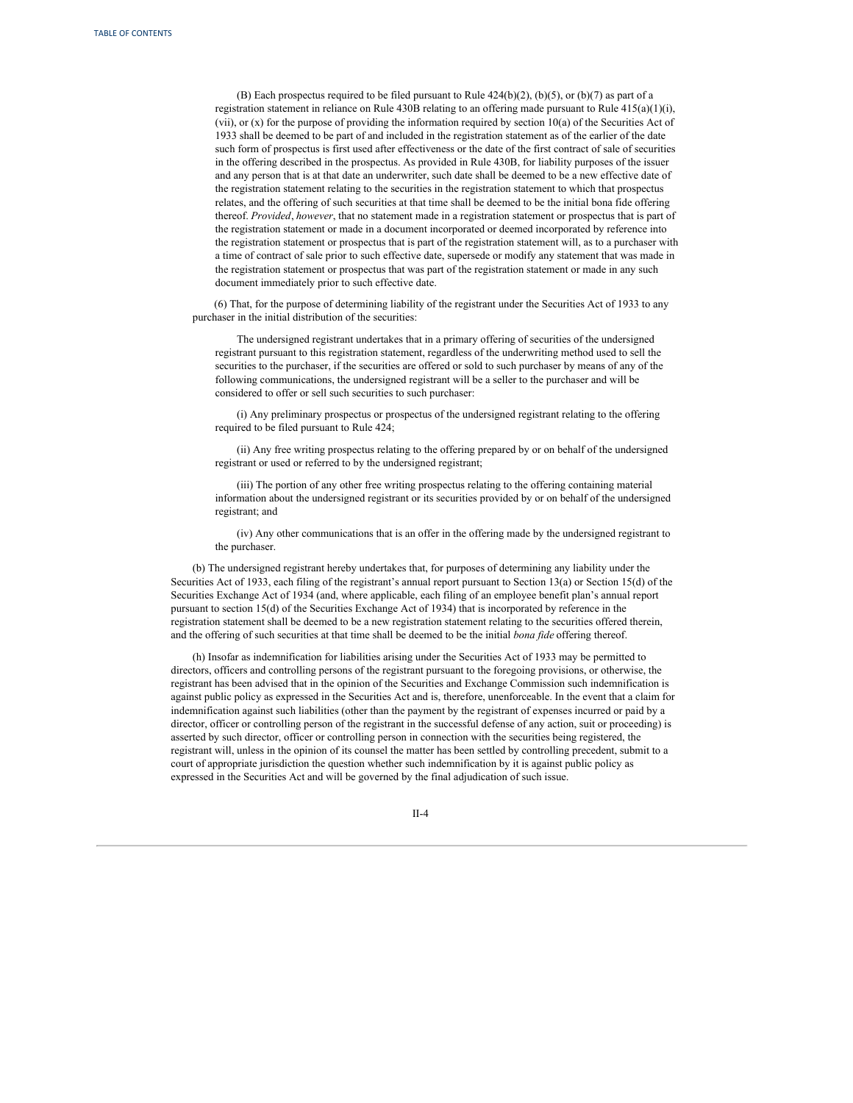(B) Each prospectus required to be filed pursuant to Rule  $424(b)(2)$ ,  $(b)(5)$ , or  $(b)(7)$  as part of a registration statement in reliance on Rule 430B relating to an offering made pursuant to Rule  $415(a)(1)(i)$ , (vii), or (x) for the purpose of providing the information required by section 10(a) of the Securities Act of 1933 shall be deemed to be part of and included in the registration statement as of the earlier of the date such form of prospectus is first used after effectiveness or the date of the first contract of sale of securities in the offering described in the prospectus. As provided in Rule 430B, for liability purposes of the issuer and any person that is at that date an underwriter, such date shall be deemed to be a new effective date of the registration statement relating to the securities in the registration statement to which that prospectus relates, and the offering of such securities at that time shall be deemed to be the initial bona fide offering thereof. *Provided*, *however*, that no statement made in a registration statement or prospectus that is part of the registration statement or made in a document incorporated or deemed incorporated by reference into the registration statement or prospectus that is part of the registration statement will, as to a purchaser with a time of contract of sale prior to such effective date, supersede or modify any statement that was made in the registration statement or prospectus that was part of the registration statement or made in any such document immediately prior to such effective date.

(6) That, for the purpose of determining liability of the registrant under the Securities Act of 1933 to any purchaser in the initial distribution of the securities:

The undersigned registrant undertakes that in a primary offering of securities of the undersigned registrant pursuant to this registration statement, regardless of the underwriting method used to sell the securities to the purchaser, if the securities are offered or sold to such purchaser by means of any of the following communications, the undersigned registrant will be a seller to the purchaser and will be considered to offer or sell such securities to such purchaser:

(i) Any preliminary prospectus or prospectus of the undersigned registrant relating to the offering required to be filed pursuant to Rule 424;

(ii) Any free writing prospectus relating to the offering prepared by or on behalf of the undersigned registrant or used or referred to by the undersigned registrant;

(iii) The portion of any other free writing prospectus relating to the offering containing material information about the undersigned registrant or its securities provided by or on behalf of the undersigned registrant; and

(iv) Any other communications that is an offer in the offering made by the undersigned registrant to the purchaser.

(b) The undersigned registrant hereby undertakes that, for purposes of determining any liability under the Securities Act of 1933, each filing of the registrant's annual report pursuant to Section 13(a) or Section 15(d) of the Securities Exchange Act of 1934 (and, where applicable, each filing of an employee benefit plan's annual report pursuant to section 15(d) of the Securities Exchange Act of 1934) that is incorporated by reference in the registration statement shall be deemed to be a new registration statement relating to the securities offered therein, and the offering of such securities at that time shall be deemed to be the initial *bona fide* offering thereof.

(h) Insofar as indemnification for liabilities arising under the Securities Act of 1933 may be permitted to directors, officers and controlling persons of the registrant pursuant to the foregoing provisions, or otherwise, the registrant has been advised that in the opinion of the Securities and Exchange Commission such indemnification is against public policy as expressed in the Securities Act and is, therefore, unenforceable. In the event that a claim for indemnification against such liabilities (other than the payment by the registrant of expenses incurred or paid by a director, officer or controlling person of the registrant in the successful defense of any action, suit or proceeding) is asserted by such director, officer or controlling person in connection with the securities being registered, the registrant will, unless in the opinion of its counsel the matter has been settled by controlling precedent, submit to a court of appropriate jurisdiction the question whether such indemnification by it is against public policy as expressed in the Securities Act and will be governed by the final adjudication of such issue.

#### II-4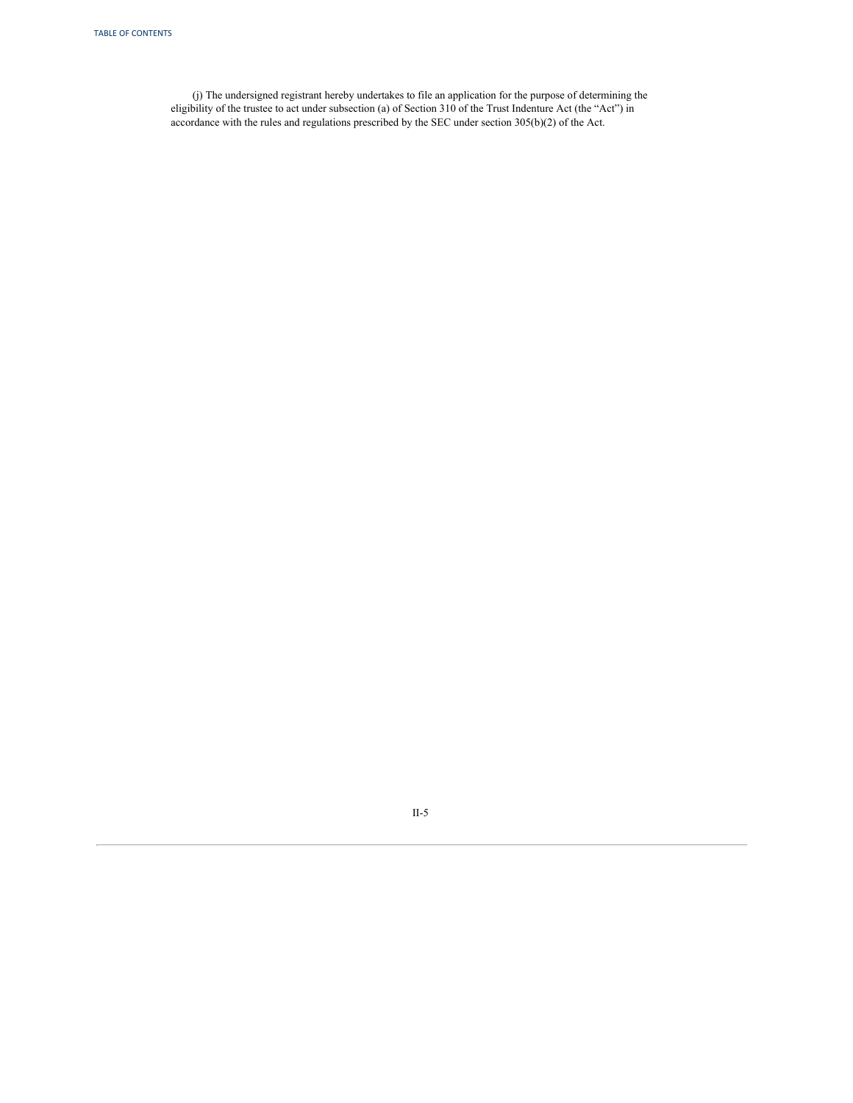(j) The undersigned registrant hereby undertakes to file an application for the purpose of determining the eligibility of the trustee to act under subsection (a) of Section 310 of the Trust Indenture Act (the "Act") in accordance with the rules and regulations prescribed by the SEC under section 305(b)(2) of the Act.

II-5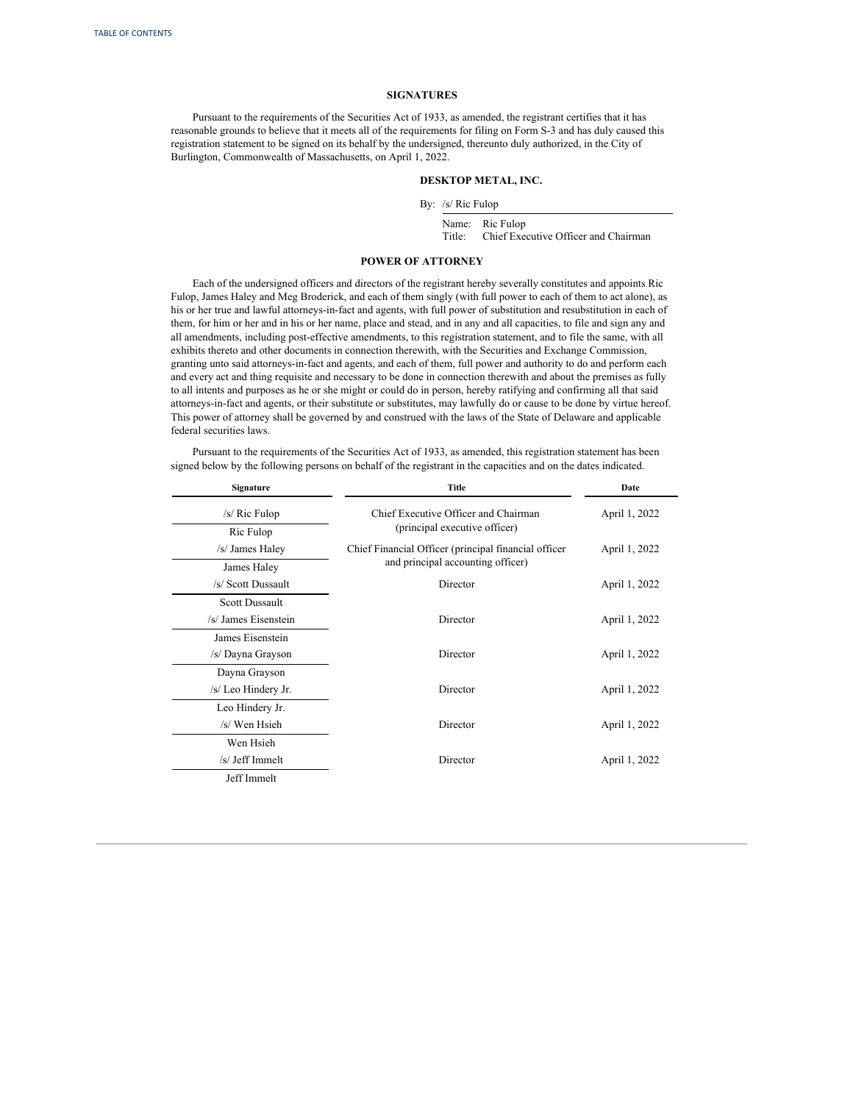## **SIGNATURES**

<span id="page-33-0"></span>Pursuant to the requirements of the Securities Act of 1933, as amended, the registrant certifies that it has reasonable grounds to believe that it meets all of the requirements for filing on Form S-3 and has duly caused this registration statement to be signed on its behalf by the undersigned, thereunto duly authorized, in the City of Burlington, Commonwealth of Massachusetts, on April 1, 2022.

## **DESKTOP METAL, INC.**

By: /s/ Ric Fulop

Name: Ric Fulop Title: Chief Executive Officer and Chairman

## **POWER OF ATTORNEY**

Each of the undersigned officers and directors of the registrant hereby severally constitutes and appoints Ric Fulop, James Haley and Meg Broderick, and each of them singly (with full power to each of them to act alone), as his or her true and lawful attorneys-in-fact and agents, with full power of substitution and resubstitution in each of them, for him or her and in his or her name, place and stead, and in any and all capacities, to file and sign any and all amendments, including post-effective amendments, to this registration statement, and to file the same, with all exhibits thereto and other documents in connection therewith, with the Securities and Exchange Commission, granting unto said attorneys-in-fact and agents, and each of them, full power and authority to do and perform each and every act and thing requisite and necessary to be done in connection therewith and about the premises as fully to all intents and purposes as he or she might or could do in person, hereby ratifying and confirming all that said attorneys-in-fact and agents, or their substitute or substitutes, may lawfully do or cause to be done by virtue hereof. This power of attorney shall be governed by and construed with the laws of the State of Delaware and applicable federal securities laws.

|                                                                                                                 | Pursuant to the requirements of the Securities Act of 1933, as amended, this registration statement has been |  |
|-----------------------------------------------------------------------------------------------------------------|--------------------------------------------------------------------------------------------------------------|--|
| signed below by the following persons on behalf of the registrant in the capacities and on the dates indicated. |                                                                                                              |  |
|                                                                                                                 |                                                                                                              |  |

| Signature                                     | <b>Title</b>                                                          | Date          |  |
|-----------------------------------------------|-----------------------------------------------------------------------|---------------|--|
| $/s/$ Ric Fulop<br>Ric Fulop                  | Chief Executive Officer and Chairman<br>(principal executive officer) | April 1, 2022 |  |
| /s/ James Haley                               | Chief Financial Officer (principal financial officer                  | April 1, 2022 |  |
| James Haley                                   | and principal accounting officer)                                     |               |  |
| /s/ Scott Dussault                            | Director                                                              | April 1, 2022 |  |
| <b>Scott Dussault</b><br>/s/ James Eisenstein | Director                                                              | April 1, 2022 |  |
| James Eisenstein<br>/s/ Dayna Grayson         | Director                                                              | April 1, 2022 |  |
| Dayna Grayson<br>/s/ Leo Hindery Jr.          | Director                                                              | April 1, 2022 |  |
| Leo Hindery Jr.<br>/s/ Wen Hsieh              | Director                                                              | April 1, 2022 |  |
| Wen Hsieh<br>/s/ Jeff Immelt                  | Director                                                              | April 1, 2022 |  |
| Jeff Immelt                                   |                                                                       |               |  |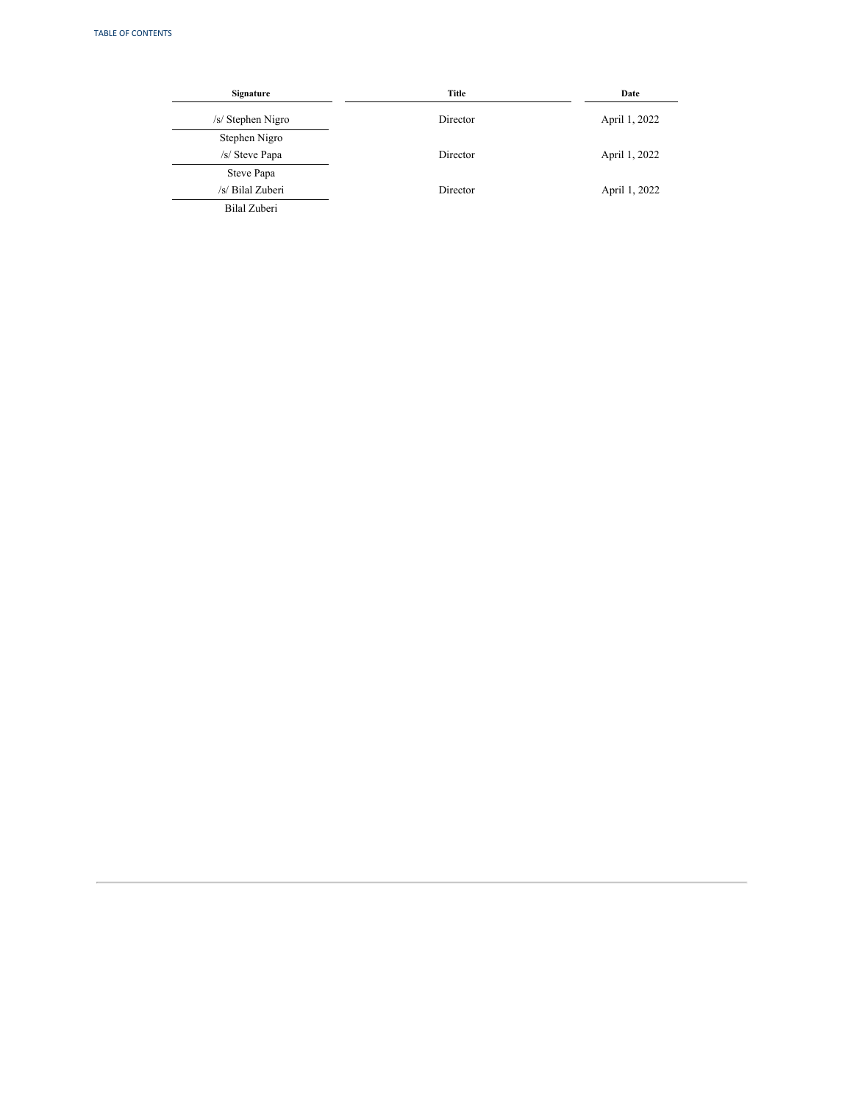| Signature         | Title    | Date          |
|-------------------|----------|---------------|
| /s/ Stephen Nigro | Director | April 1, 2022 |
| Stephen Nigro     |          |               |
| /s/ Steve Papa    | Director | April 1, 2022 |
| Steve Papa        |          |               |
| /s/ Bilal Zuberi  | Director | April 1, 2022 |
| Bilal Zuberi      |          |               |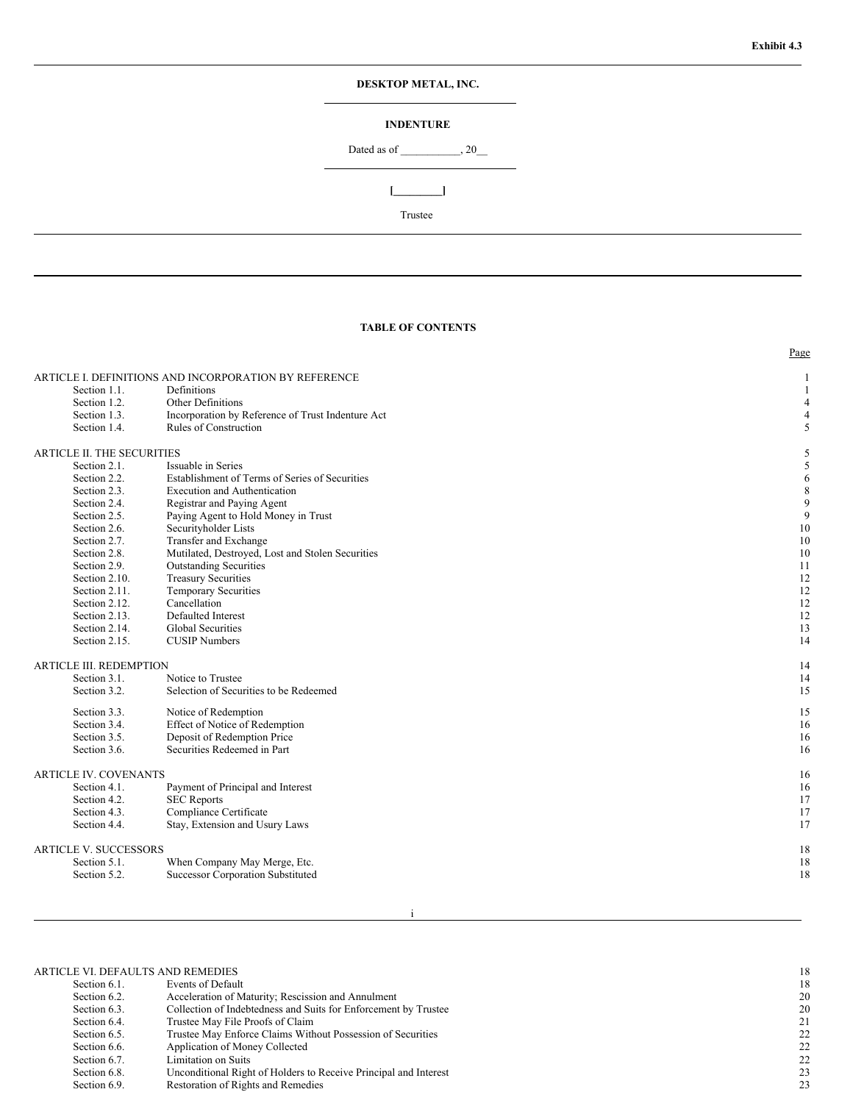## **DESKTOP METAL, INC.**

## **INDENTURE**

Dated as of \_\_\_\_\_\_\_\_\_, 20\_

**[\_\_\_\_\_\_\_\_\_]** Trustee

**TABLE OF CONTENTS**

|                                |                                                       | Page             |
|--------------------------------|-------------------------------------------------------|------------------|
|                                | ARTICLE I. DEFINITIONS AND INCORPORATION BY REFERENCE | 1                |
| Section 1.1.                   | Definitions                                           | 1                |
| Section 1.2.                   | Other Definitions                                     | $\overline{4}$   |
| Section 1.3.                   | Incorporation by Reference of Trust Indenture Act     | $\overline{4}$   |
| Section 1.4.                   | Rules of Construction                                 | 5                |
| ARTICLE II. THE SECURITIES     |                                                       | 5                |
| Section 2.1.                   | Issuable in Series                                    | 5                |
| Section 2.2.                   | Establishment of Terms of Series of Securities        | 6                |
| Section 2.3.                   | <b>Execution and Authentication</b>                   | 8                |
| Section 2.4.                   | Registrar and Paying Agent                            | $\boldsymbol{9}$ |
| Section 2.5.                   | Paying Agent to Hold Money in Trust                   | 9                |
| Section 2.6.                   | Securityholder Lists                                  | 10               |
| Section 2.7.                   | Transfer and Exchange                                 | 10               |
| Section 2.8.                   | Mutilated, Destroyed, Lost and Stolen Securities      | 10               |
| Section 2.9.                   | <b>Outstanding Securities</b>                         | 11               |
| Section 2.10.                  | <b>Treasury Securities</b>                            | 12               |
| Section 2.11.                  | <b>Temporary Securities</b>                           | 12               |
| Section 2.12.                  | Cancellation                                          | 12               |
| Section 2.13.                  | Defaulted Interest                                    | 12               |
| Section 2.14.                  | <b>Global Securities</b>                              | 13               |
| Section 2.15.                  | <b>CUSIP Numbers</b>                                  | 14               |
| <b>ARTICLE III. REDEMPTION</b> |                                                       | 14               |
| Section 3.1.                   | Notice to Trustee                                     | 14               |
| Section 3.2.                   | Selection of Securities to be Redeemed                | 15               |
| Section 3.3.                   | Notice of Redemption                                  | 15               |
| Section 3.4.                   | Effect of Notice of Redemption                        | 16               |
| Section 3.5.                   | Deposit of Redemption Price                           | 16               |
| Section 3.6.                   | Securities Redeemed in Part                           | 16               |
| <b>ARTICLE IV. COVENANTS</b>   |                                                       | 16               |
| Section 4.1.                   | Payment of Principal and Interest                     | 16               |
| Section 4.2.                   | <b>SEC Reports</b>                                    | 17               |
| Section 4.3.                   | Compliance Certificate                                | 17               |
| Section 4.4.                   | Stay, Extension and Usury Laws                        | 17               |
| <b>ARTICLE V. SUCCESSORS</b>   |                                                       | 18               |
| Section 5.1.                   | When Company May Merge, Etc.                          | 18               |
| Section 5.2.                   | <b>Successor Corporation Substituted</b>              | 18               |
|                                |                                                       |                  |

i

| ARTICLE VI. DEFAULTS AND REMEDIES |                                                                  | 18 |
|-----------------------------------|------------------------------------------------------------------|----|
| Section 6.1.                      | Events of Default                                                | 18 |
| Section 6.2.                      | Acceleration of Maturity; Rescission and Annulment               | 20 |
| Section 6.3.                      | Collection of Indebtedness and Suits for Enforcement by Trustee  | 20 |
| Section 6.4.                      | Trustee May File Proofs of Claim                                 | 21 |
| Section 6.5.                      | Trustee May Enforce Claims Without Possession of Securities      | 22 |
| Section 6.6.                      | Application of Money Collected                                   | 22 |
| Section 6.7.                      | Limitation on Suits                                              | 22 |
| Section 6.8.                      | Unconditional Right of Holders to Receive Principal and Interest | 23 |
| Section 6.9.                      | Restoration of Rights and Remedies                               | 23 |
|                                   |                                                                  |    |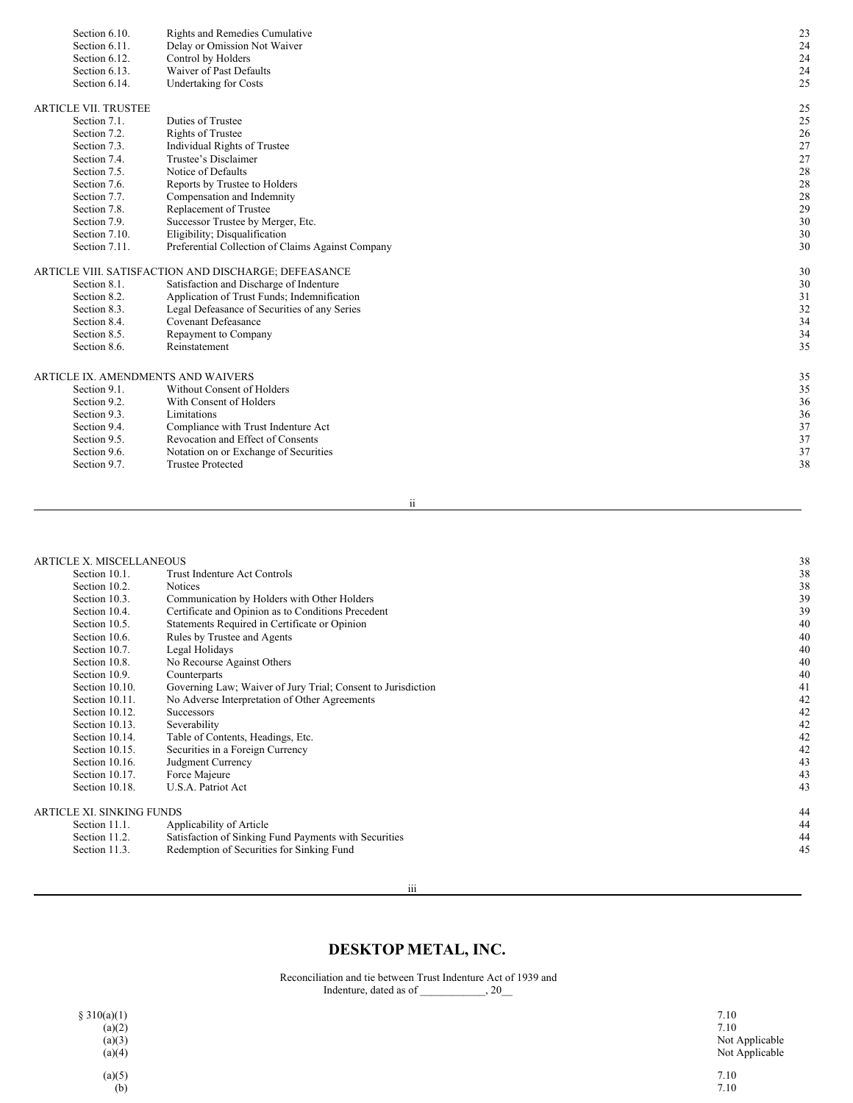| Section 6.10.        | <b>Rights and Remedies Cumulative</b>                | 23 |
|----------------------|------------------------------------------------------|----|
| Section 6.11.        | Delay or Omission Not Waiver                         | 24 |
| Section 6.12.        | Control by Holders                                   | 24 |
| Section 6.13.        | Waiver of Past Defaults                              | 24 |
| Section 6.14.        | <b>Undertaking for Costs</b>                         | 25 |
| ARTICLE VII. TRUSTEE |                                                      | 25 |
| Section 7.1.         | Duties of Trustee                                    | 25 |
| Section 7.2.         | <b>Rights of Trustee</b>                             | 26 |
| Section 7.3.         | Individual Rights of Trustee                         | 27 |
| Section 7.4.         | Trustee's Disclaimer                                 | 27 |
| Section 7.5.         | Notice of Defaults                                   | 28 |
| Section 7.6.         | Reports by Trustee to Holders                        | 28 |
| Section 7.7.         | Compensation and Indemnity                           | 28 |
| Section 7.8.         | Replacement of Trustee                               | 29 |
| Section 7.9.         | Successor Trustee by Merger, Etc.                    | 30 |
| Section 7.10.        | Eligibility; Disqualification                        | 30 |
| Section 7.11.        | Preferential Collection of Claims Against Company    | 30 |
|                      | ARTICLE VIII. SATISFACTION AND DISCHARGE; DEFEASANCE | 30 |
| Section 8.1.         | Satisfaction and Discharge of Indenture              | 30 |
| Section 8.2.         | Application of Trust Funds; Indemnification          | 31 |
| Section 8.3.         | Legal Defeasance of Securities of any Series         | 32 |
| Section 8.4.         | Covenant Defeasance                                  | 34 |
| Section 8.5.         | Repayment to Company                                 | 34 |
| Section 8.6.         | Reinstatement                                        | 35 |
|                      | ARTICLE IX. AMENDMENTS AND WAIVERS                   | 35 |
| Section 9.1.         | Without Consent of Holders                           | 35 |
| Section 9.2.         | With Consent of Holders                              | 36 |
| Section 9.3.         | Limitations                                          | 36 |
| Section 9.4.         | Compliance with Trust Indenture Act                  | 37 |
| Section 9.5.         | Revocation and Effect of Consents                    | 37 |
| Section 9.6.         | Notation on or Exchange of Securities                | 37 |
| Section 9.7.         | <b>Trustee Protected</b>                             | 38 |
|                      |                                                      |    |

ii

| ARTICLE X. MISCELLANEOUS         |                                                              | 38 |
|----------------------------------|--------------------------------------------------------------|----|
| Section 10.1.                    | Trust Indenture Act Controls                                 | 38 |
| Section 10.2.                    | <b>Notices</b>                                               | 38 |
| Section 10.3.                    | Communication by Holders with Other Holders                  | 39 |
| Section 10.4.                    | Certificate and Opinion as to Conditions Precedent           | 39 |
| Section 10.5.                    | Statements Required in Certificate or Opinion                | 40 |
| Section 10.6.                    | Rules by Trustee and Agents                                  | 40 |
| Section 10.7.                    | Legal Holidays                                               | 40 |
| Section 10.8.                    | No Recourse Against Others                                   | 40 |
| Section 10.9.                    | Counterparts                                                 | 40 |
| Section 10.10.                   | Governing Law; Waiver of Jury Trial; Consent to Jurisdiction | 41 |
| Section 10.11.                   | No Adverse Interpretation of Other Agreements                | 42 |
| Section 10.12.                   | <b>Successors</b>                                            | 42 |
| Section 10.13.                   | Severability                                                 | 42 |
| Section 10.14.                   | Table of Contents, Headings, Etc.                            | 42 |
| Section 10.15.                   | Securities in a Foreign Currency                             | 42 |
| Section 10.16.                   | Judgment Currency                                            | 43 |
| Section 10.17.                   | Force Majeure                                                | 43 |
| Section 10.18.                   | U.S.A. Patriot Act                                           | 43 |
| <b>ARTICLE XI. SINKING FUNDS</b> |                                                              | 44 |

## Section 11.1. Applicability of Article 44 Section 11.2. Satisfaction of Sinking Fund Payments with Securities 44 Section 11.3. Redemption of Securities for Sinking Fund 45

# **DESKTOP METAL, INC.**

Reconciliation and tie between Trust Indenture Act of 1939 and Indenture, dated as of \_\_\_\_\_\_\_\_\_\_\_\_, 20\_\_

 $\frac{$310(a)(1)}{7.10}$  7.10 (a)(2)  $7.10$ (a)(5)  $7.10$ 

(a)(3) Not Applicable (a)(4) Not Applicable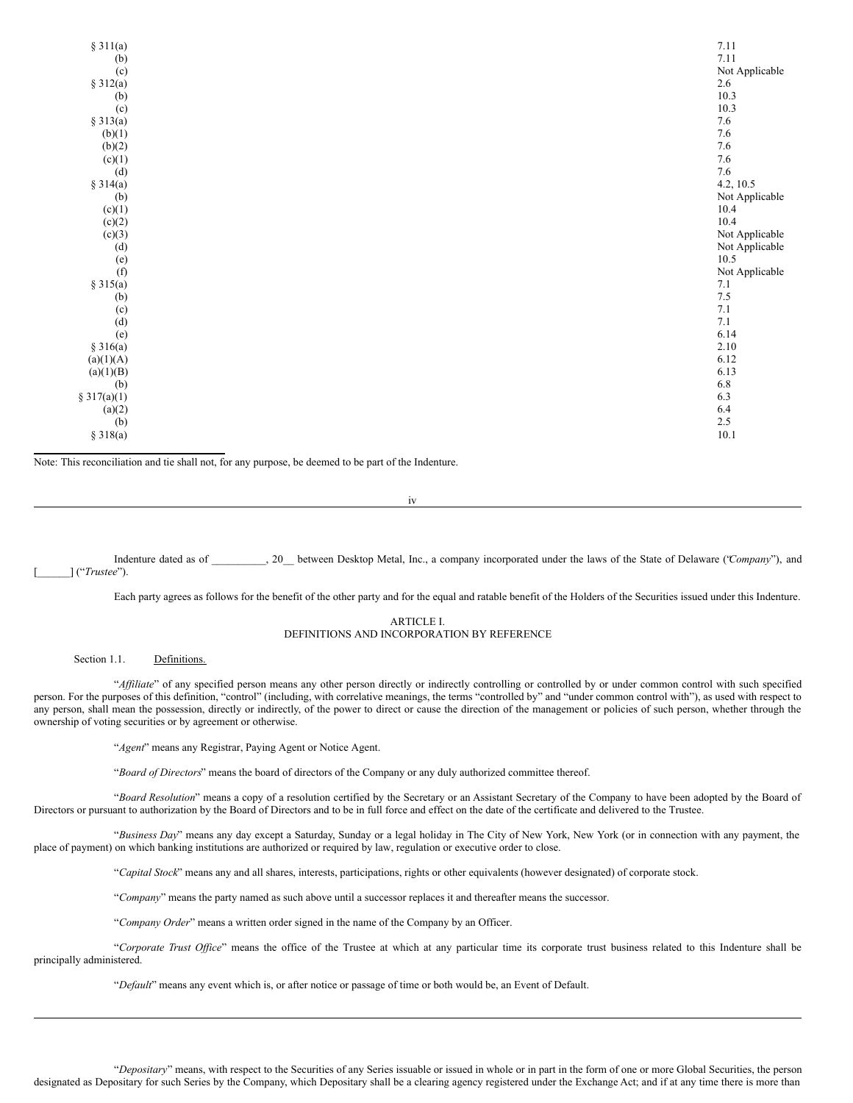| § 311(a)    | 7.11           |
|-------------|----------------|
| (b)         | 7.11           |
| (c)         | Not Applicable |
| § 312(a)    | 2.6            |
| (b)         | 10.3           |
| (c)         | 10.3           |
| § 313(a)    | 7.6            |
| (b)(1)      | 7.6            |
| (b)(2)      | 7.6            |
| (c)(1)      | 7.6            |
| (d)         | 7.6            |
| \$314(a)    | 4.2, 10.5      |
| (b)         | Not Applicable |
| (c)(1)      | 10.4           |
| (c)(2)      | $10.4\,$       |
| (c)(3)      | Not Applicable |
| (d)         | Not Applicable |
| (e)         | 10.5           |
| (f)         | Not Applicable |
| § 315(a)    | 7.1            |
| (b)         | $7.5\,$        |
| (c)         | 7.1            |
| (d)         | 7.1            |
| (e)         | 6.14           |
| § 316(a)    | 2.10           |
| (a)(1)(A)   | 6.12           |
| (a)(1)(B)   | 6.13           |
| (b)         | 6.8            |
| \$317(a)(1) | 6.3            |
| (a)(2)      | 6.4            |
| (b)         | $2.5\,$        |
| § 318(a)    | 10.1           |
|             |                |

Note: This reconciliation and tie shall not, for any purpose, be deemed to be part of the Indenture.

Indenture dated as of \_\_\_\_\_\_\_\_\_\_, 20\_\_ between Desktop Metal, Inc., a company incorporated under the laws of the State of Delaware ("*Company*"), and [\_\_\_\_\_\_] ("*Trustee*").

Each party agrees as follows for the benefit of the other party and for the equal and ratable benefit of the Holders of the Securities issued under this Indenture.

## ARTICLE I.

## DEFINITIONS AND INCORPORATION BY REFERENCE

Section 1.1. Definitions.

"*Af iliate*" of any specified person means any other person directly or indirectly controlling or controlled by or under common control with such specified person. For the purposes of this definition, "control" (including, with correlative meanings, the terms "controlled by" and "under common control with"), as used with respect to any person, shall mean the possession, directly or indirectly, of the power to direct or cause the direction of the management or policies of such person, whether through the ownership of voting securities or by agreement or otherwise.

"*Agent*" means any Registrar, Paying Agent or Notice Agent.

"*Board of Directors*" means the board of directors of the Company or any duly authorized committee thereof.

"*Board Resolution*" means a copy of a resolution certified by the Secretary or an Assistant Secretary of the Company to have been adopted by the Board of Directors or pursuant to authorization by the Board of Directors and to be in full force and effect on the date of the certificate and delivered to the Trustee.

"*Business Day*" means any day except a Saturday, Sunday or a legal holiday in The City of New York, New York (or in connection with any payment, the place of payment) on which banking institutions are authorized or required by law, regulation or executive order to close.

"*Capital Stock*" means any and all shares, interests, participations, rights or other equivalents (however designated) of corporate stock.

"*Company*" means the party named as such above until a successor replaces it and thereafter means the successor.

"*Company Order*" means a written order signed in the name of the Company by an Officer.

"Corporate Trust Office" means the office of the Trustee at which at any particular time its corporate trust business related to this Indenture shall be principally administered.

"*Default*" means any event which is, or after notice or passage of time or both would be, an Event of Default.

iv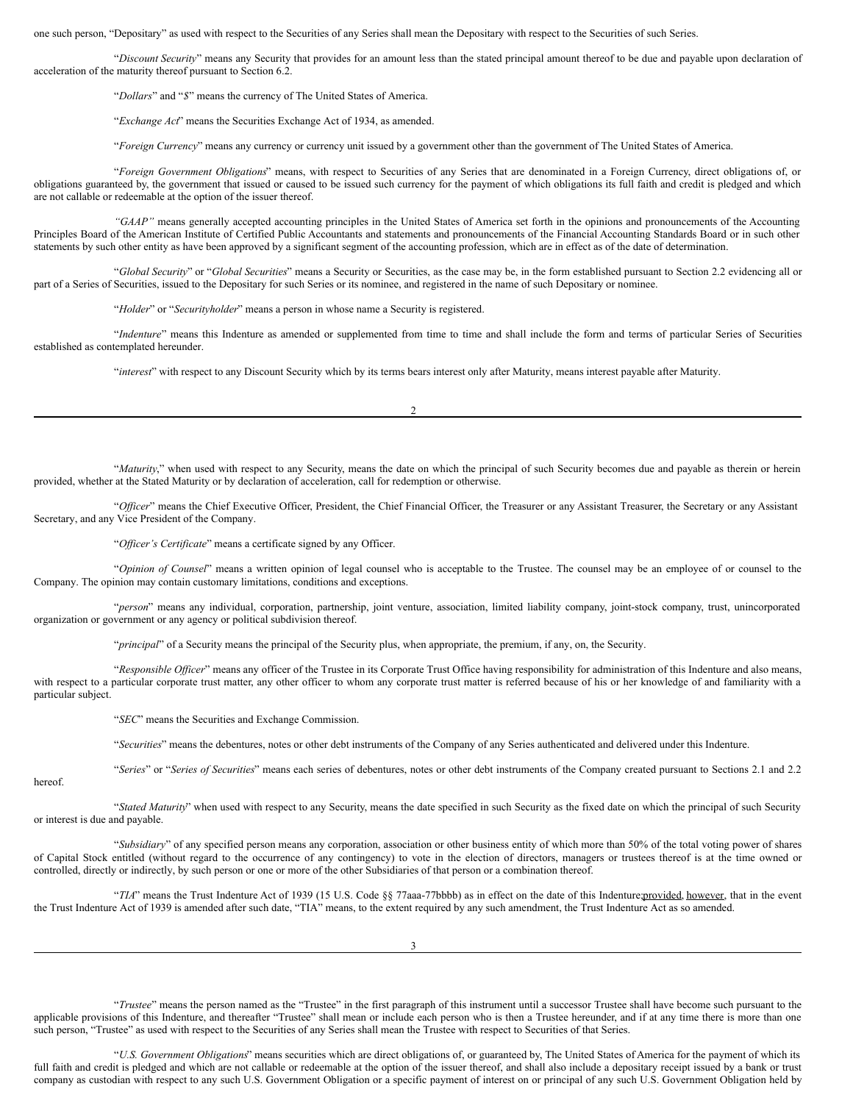one such person, "Depositary" as used with respect to the Securities of any Series shall mean the Depositary with respect to the Securities of such Series.

"*Discount Security*" means any Security that provides for an amount less than the stated principal amount thereof to be due and payable upon declaration of acceleration of the maturity thereof pursuant to Section 6.2.

"*Dollars*" and "*\$*" means the currency of The United States of America.

"*Exchange Act*" means the Securities Exchange Act of 1934, as amended.

"*Foreign Currency*" means any currency or currency unit issued by a government other than the government of The United States of America.

"*Foreign Government Obligations*" means, with respect to Securities of any Series that are denominated in a Foreign Currency, direct obligations of, or obligations guaranteed by, the government that issued or caused to be issued such currency for the payment of which obligations its full faith and credit is pledged and which are not callable or redeemable at the option of the issuer thereof.

*"GAAP"* means generally accepted accounting principles in the United States of America set forth in the opinions and pronouncements of the Accounting Principles Board of the American Institute of Certified Public Accountants and statements and pronouncements of the Financial Accounting Standards Board or in such other statements by such other entity as have been approved by a significant segment of the accounting profession, which are in effect as of the date of determination.

"*Global Security*" or "*Global Securities*" means a Security or Securities, as the case may be, in the form established pursuant to Section 2.2 evidencing all or part of a Series of Securities, issued to the Depositary for such Series or its nominee, and registered in the name of such Depositary or nominee.

"*Holder*" or "*Securityholder*" means a person in whose name a Security is registered.

"*Indenture*" means this Indenture as amended or supplemented from time to time and shall include the form and terms of particular Series of Securities established as contemplated hereunder.

"*interest*" with respect to any Discount Security which by its terms bears interest only after Maturity, means interest payable after Maturity.

 $\mathfrak{Z}$ 

"Maturity," when used with respect to any Security, means the date on which the principal of such Security becomes due and payable as therein or herein provided, whether at the Stated Maturity or by declaration of acceleration, call for redemption or otherwise.

"*Of icer*" means the Chief Executive Officer, President, the Chief Financial Officer, the Treasurer or any Assistant Treasurer, the Secretary or any Assistant Secretary, and any Vice President of the Company.

"*Of icer's Certificate*" means a certificate signed by any Officer.

"*Opinion of Counsel*" means a written opinion of legal counsel who is acceptable to the Trustee. The counsel may be an employee of or counsel to the Company. The opinion may contain customary limitations, conditions and exceptions.

"*person*" means any individual, corporation, partnership, joint venture, association, limited liability company, joint-stock company, trust, unincorporated organization or government or any agency or political subdivision thereof.

"*principal*" of a Security means the principal of the Security plus, when appropriate, the premium, if any, on, the Security.

"*Responsible Of icer*" means any officer of the Trustee in its Corporate Trust Office having responsibility for administration of this Indenture and also means, with respect to a particular corporate trust matter, any other officer to whom any corporate trust matter is referred because of his or her knowledge of and familiarity with a particular subject.

"*SEC*" means the Securities and Exchange Commission.

"*Securities*" means the debentures, notes or other debt instruments of the Company of any Series authenticated and delivered under this Indenture.

"*Series*" or "*Series of Securities*" means each series of debentures, notes or other debt instruments of the Company created pursuant to Sections 2.1 and 2.2

hereof.

"*Stated Maturity*" when used with respect to any Security, means the date specified in such Security as the fixed date on which the principal of such Security or interest is due and payable.

"*Subsidiary*" of any specified person means any corporation, association or other business entity of which more than 50% of the total voting power of shares of Capital Stock entitled (without regard to the occurrence of any contingency) to vote in the election of directors, managers or trustees thereof is at the time owned or controlled, directly or indirectly, by such person or one or more of the other Subsidiaries of that person or a combination thereof.

"*TIA*" means the Trust Indenture Act of 1939 (15 U.S. Code §§ 77aaa-77bbbb) as in effect on the date of this Indenture;*provided*, however, that in the event the Trust Indenture Act of 1939 is amended after such date, "TIA" means, to the extent required by any such amendment, the Trust Indenture Act as so amended.

3

"*Trustee*" means the person named as the "Trustee" in the first paragraph of this instrument until a successor Trustee shall have become such pursuant to the applicable provisions of this Indenture, and thereafter "Trustee" shall mean or include each person who is then a Trustee hereunder, and if at any time there is more than one such person, "Trustee" as used with respect to the Securities of any Series shall mean the Trustee with respect to Securities of that Series.

"*U.S. Government Obligations*" means securities which are direct obligations of, or guaranteed by, The United States of America for the payment of which its full faith and credit is pledged and which are not callable or redeemable at the option of the issuer thereof, and shall also include a depositary receipt issued by a bank or trust company as custodian with respect to any such U.S. Government Obligation or a specific payment of interest on or principal of any such U.S. Government Obligation held by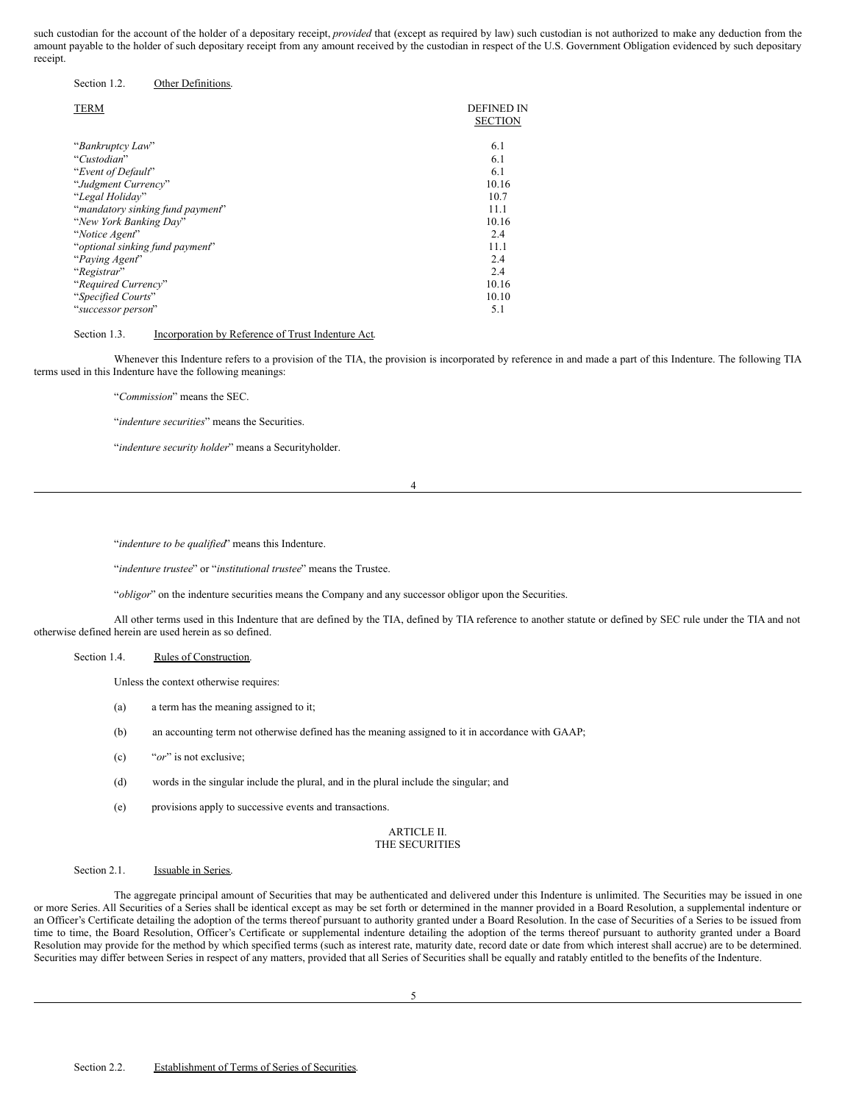such custodian for the account of the holder of a depositary receipt, *provided* that (except as required by law) such custodian is not authorized to make any deduction from the amount payable to the holder of such depositary receipt from any amount received by the custodian in respect of the U.S. Government Obligation evidenced by such depositary receipt.

## Section 1.2. Other Definitions.

| <b>TERM</b>                      | DEFINED IN<br><b>SECTION</b> |
|----------------------------------|------------------------------|
| "Bankruptcy Law"                 | 6.1                          |
| "Custodian"                      | 6.1                          |
| "Event of Default"               | 6.1                          |
| "Judgment Currency"              | 10.16                        |
| "Legal Holiday"                  | 10.7                         |
| "mandatory sinking fund payment" | 11.1                         |
| "New York Banking Day"           | 10.16                        |
| "Notice Agent"                   | 2.4                          |
| "optional sinking fund payment"  | 11.1                         |
| "Paying Agent"                   | 2.4                          |
| "Registrar"                      | 2.4                          |
| "Required Currency"              | 10.16                        |
| "Specified Courts"               | 10.10                        |
| "successor person"               | 5.1                          |

## Section 1.3. Incorporation by Reference of Trust Indenture Act.

Whenever this Indenture refers to a provision of the TIA, the provision is incorporated by reference in and made a part of this Indenture. The following TIA terms used in this Indenture have the following meanings:

"*Commission*" means the SEC.

"*indenture securities*" means the Securities.

"*indenture security holder*" means a Securityholder.

4

"*indenture to be qualified*" means this Indenture.

"*indenture trustee*" or "*institutional trustee*" means the Trustee.

"*obligor*" on the indenture securities means the Company and any successor obligor upon the Securities.

All other terms used in this Indenture that are defined by the TIA, defined by TIA reference to another statute or defined by SEC rule under the TIA and not otherwise defined herein are used herein as so defined.

#### Section 1.4. Rules of Construction.

Unless the context otherwise requires:

- (a) a term has the meaning assigned to it;
- (b) an accounting term not otherwise defined has the meaning assigned to it in accordance with GAAP;
- (c) "*or*" is not exclusive;
- (d) words in the singular include the plural, and in the plural include the singular; and
- (e) provisions apply to successive events and transactions.

#### ARTICLE II. THE SECURITIES

#### Section 2.1. **Issuable in Series.**

The aggregate principal amount of Securities that may be authenticated and delivered under this Indenture is unlimited. The Securities may be issued in one or more Series. All Securities of a Series shall be identical except as may be set forth or determined in the manner provided in a Board Resolution, a supplemental indenture or an Officer's Certificate detailing the adoption of the terms thereof pursuant to authority granted under a Board Resolution. In the case of Securities of a Series to be issued from time to time, the Board Resolution, Officer's Certificate or supplemental indenture detailing the adoption of the terms thereof pursuant to authority granted under a Board Resolution may provide for the method by which specified terms (such as interest rate, maturity date, record date or date from which interest shall accrue) are to be determined. Securities may differ between Series in respect of any matters, provided that all Series of Securities shall be equally and ratably entitled to the benefits of the Indenture.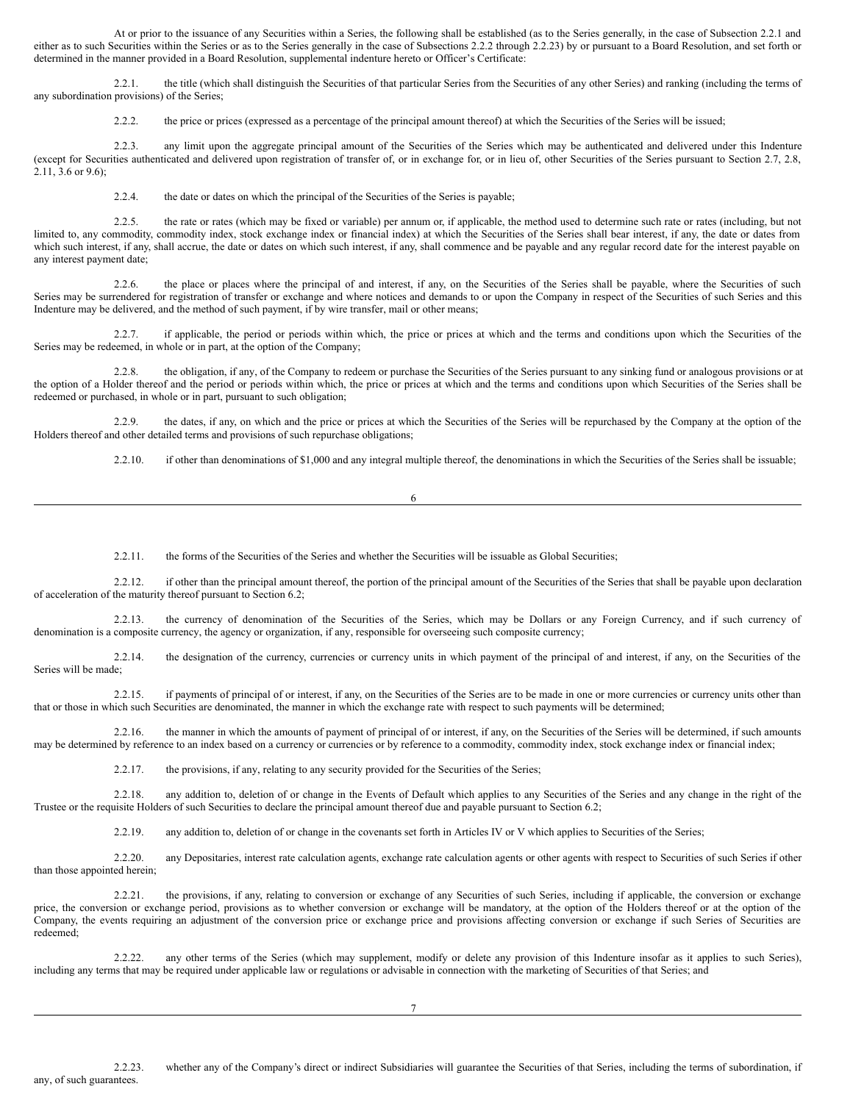At or prior to the issuance of any Securities within a Series, the following shall be established (as to the Series generally, in the case of Subsection 2.2.1 and either as to such Securities within the Series or as to the Series generally in the case of Subsections 2.2.2 through 2.2.23) by or pursuant to a Board Resolution, and set forth or determined in the manner provided in a Board Resolution, supplemental indenture hereto or Officer's Certificate:

2.2.1. the title (which shall distinguish the Securities of that particular Series from the Securities of any other Series) and ranking (including the terms of any subordination provisions) of the Series;

2.2.2. the price or prices (expressed as a percentage of the principal amount thereof) at which the Securities of the Series will be issued;

2.2.3. any limit upon the aggregate principal amount of the Securities of the Series which may be authenticated and delivered under this Indenture (except for Securities authenticated and delivered upon registration of transfer of, or in exchange for, or in lieu of, other Securities of the Series pursuant to Section 2.7, 2.8, 2.11, 3.6 or 9.6);

2.2.4. the date or dates on which the principal of the Securities of the Series is payable;

2.2.5. the rate or rates (which may be fixed or variable) per annum or, if applicable, the method used to determine such rate or rates (including, but not limited to, any commodity, commodity index, stock exchange index or financial index) at which the Securities of the Series shall bear interest, if any, the date or dates from which such interest, if any, shall accrue, the date or dates on which such interest, if any, shall commence and be payable and any regular record date for the interest payable on any interest payment date;

2.2.6. the place or places where the principal of and interest, if any, on the Securities of the Series shall be payable, where the Securities of such Series may be surrendered for registration of transfer or exchange and where notices and demands to or upon the Company in respect of the Securities of such Series and this Indenture may be delivered, and the method of such payment, if by wire transfer, mail or other means;

2.2.7. if applicable, the period or periods within which, the price or prices at which and the terms and conditions upon which the Securities of the Series may be redeemed, in whole or in part, at the option of the Company;

2.2.8. the obligation, if any, of the Company to redeem or purchase the Securities of the Series pursuant to any sinking fund or analogous provisions or at the option of a Holder thereof and the period or periods within which, the price or prices at which and the terms and conditions upon which Securities of the Series shall be redeemed or purchased, in whole or in part, pursuant to such obligation;

2.2.9. the dates, if any, on which and the price or prices at which the Securities of the Series will be repurchased by the Company at the option of the Holders thereof and other detailed terms and provisions of such repurchase obligations;

2.2.10. if other than denominations of \$1,000 and any integral multiple thereof, the denominations in which the Securities of the Series shall be issuable;

6

2.2.11. the forms of the Securities of the Series and whether the Securities will be issuable as Global Securities;

2.2.12. if other than the principal amount thereof, the portion of the principal amount of the Securities of the Series that shall be payable upon declaration of acceleration of the maturity thereof pursuant to Section 6.2;

2.2.13. the currency of denomination of the Securities of the Series, which may be Dollars or any Foreign Currency, and if such currency of denomination is a composite currency, the agency or organization, if any, responsible for overseeing such composite currency;

2.2.14. the designation of the currency, currencies or currency units in which payment of the principal of and interest, if any, on the Securities of the Series will be made;

2.2.15. if payments of principal of or interest, if any, on the Securities of the Series are to be made in one or more currencies or currency units other than that or those in which such Securities are denominated, the manner in which the exchange rate with respect to such payments will be determined;

2.2.16. the manner in which the amounts of payment of principal of or interest, if any, on the Securities of the Series will be determined, if such amounts may be determined by reference to an index based on a currency or currencies or by reference to a commodity, commodity index, stock exchange index or financial index;

2.2.17. the provisions, if any, relating to any security provided for the Securities of the Series;

2.2.18. any addition to, deletion of or change in the Events of Default which applies to any Securities of the Series and any change in the right of the Trustee or the requisite Holders of such Securities to declare the principal amount thereof due and payable pursuant to Section 6.2;

2.2.19. any addition to, deletion of or change in the covenants set forth in Articles IV or V which applies to Securities of the Series;

2.2.20. any Depositaries, interest rate calculation agents, exchange rate calculation agents or other agents with respect to Securities of such Series if other than those appointed herein;

2.2.21. the provisions, if any, relating to conversion or exchange of any Securities of such Series, including if applicable, the conversion or exchange price, the conversion or exchange period, provisions as to whether conversion or exchange will be mandatory, at the option of the Holders thereof or at the option of the Company, the events requiring an adjustment of the conversion price or exchange price and provisions affecting conversion or exchange if such Series of Securities are redeemed;

2.2.22. any other terms of the Series (which may supplement, modify or delete any provision of this Indenture insofar as it applies to such Series), including any terms that may be required under applicable law or regulations or advisable in connection with the marketing of Securities of that Series; and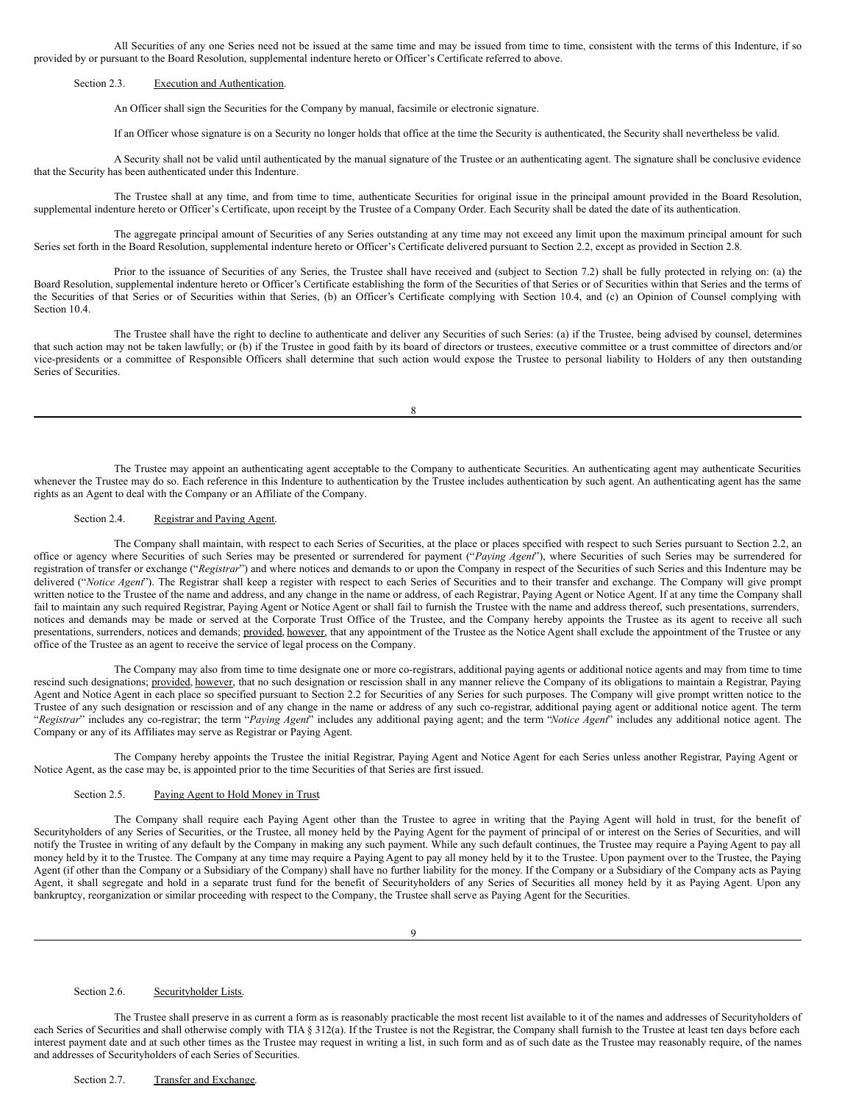All Securities of any one Series need not be issued at the same time and may be issued from time to time, consistent with the terms of this Indenture, if so provided by or pursuant to the Board Resolution, supplemental indenture hereto or Officer's Certificate referred to above.

#### Section 2.3. Execution and Authentication.

An Officer shall sign the Securities for the Company by manual, facsimile or electronic signature.

If an Officer whose signature is on a Security no longer holds that office at the time the Security is authenticated, the Security shall nevertheless be valid.

A Security shall not be valid until authenticated by the manual signature of the Trustee or an authenticating agent. The signature shall be conclusive evidence that the Security has been authenticated under this Indenture.

The Trustee shall at any time, and from time to time, authenticate Securities for original issue in the principal amount provided in the Board Resolution, supplemental indenture hereto or Officer's Certificate, upon receipt by the Trustee of a Company Order. Each Security shall be dated the date of its authentication.

The aggregate principal amount of Securities of any Series outstanding at any time may not exceed any limit upon the maximum principal amount for such Series set forth in the Board Resolution, supplemental indenture hereto or Officer's Certificate delivered pursuant to Section 2.2, except as provided in Section 2.8.

Prior to the issuance of Securities of any Series, the Trustee shall have received and (subject to Section 7.2) shall be fully protected in relying on: (a) the Board Resolution, supplemental indenture hereto or Officer's Certificate establishing the form of the Securities of that Series or of Securities within that Series and the terms of the Securities of that Series or of Securities within that Series, (b) an Officer's Certificate complying with Section 10.4, and (c) an Opinion of Counsel complying with Section 10.4.

The Trustee shall have the right to decline to authenticate and deliver any Securities of such Series: (a) if the Trustee, being advised by counsel, determines that such action may not be taken lawfully; or (b) if the Trustee in good faith by its board of directors or trustees, executive committee or a trust committee of directors and/or vice-presidents or a committee of Responsible Officers shall determine that such action would expose the Trustee to personal liability to Holders of any then outstanding Series of Securities.

8

The Trustee may appoint an authenticating agent acceptable to the Company to authenticate Securities. An authenticating agent may authenticate Securities whenever the Trustee may do so. Each reference in this Indenture to authentication by the Trustee includes authentication by such agent. An authenticating agent has the same rights as an Agent to deal with the Company or an Affiliate of the Company.

## Section 2.4. Registrar and Paying Agent.

The Company shall maintain, with respect to each Series of Securities, at the place or places specified with respect to such Series pursuant to Section 2.2, an office or agency where Securities of such Series may be presented or surrendered for payment ("*Paying Agent*"), where Securities of such Series may be surrendered for registration of transfer or exchange ("Registrar") and where notices and demands to or upon the Company in respect of the Securities of such Series and this Indenture may be delivered ("*Notice Agent*"). The Registrar shall keep a register with respect to each Series of Securities and to their transfer and exchange. The Company will give prompt written notice to the Trustee of the name and address, and any change in the name or address, of each Registrar, Paying Agent or Notice Agent. If at any time the Company shall fail to maintain any such required Registrar, Paying Agent or Notice Agent or shall fail to furnish the Trustee with the name and address thereof, such presentations, surrenders, notices and demands may be made or served at the Corporate Trust Office of the Trustee, and the Company hereby appoints the Trustee as its agent to receive all such presentations, surrenders, notices and demands; provided, however, that any appointment of the Trustee as the Notice Agent shall exclude the appointment of the Trustee or any office of the Trustee as an agent to receive the service of legal process on the Company.

The Company may also from time to time designate one or more co-registrars, additional paying agents or additional notice agents and may from time to time rescind such designations; provided, however, that no such designation or rescission shall in any manner relieve the Company of its obligations to maintain a Registrar, Paying Agent and Notice Agent in each place so specified pursuant to Section 2.2 for Securities of any Series for such purposes. The Company will give prompt written notice to the Trustee of any such designation or rescission and of any change in the name or address of any such co-registrar, additional paying agent or additional notice agent. The term "*Registrar*" includes any co-registrar; the term "*Paying Agent*" includes any additional paying agent; and the term "*Notice Agent*" includes any additional notice agent. The Company or any of its Affiliates may serve as Registrar or Paying Agent.

The Company hereby appoints the Trustee the initial Registrar, Paying Agent and Notice Agent for each Series unless another Registrar, Paying Agent or Notice Agent, as the case may be, is appointed prior to the time Securities of that Series are first issued.

## Section 2.5. Paying Agent to Hold Money in Trust.

The Company shall require each Paying Agent other than the Trustee to agree in writing that the Paying Agent will hold in trust, for the benefit of Securityholders of any Series of Securities, or the Trustee, all money held by the Paying Agent for the payment of principal of or interest on the Series of Securities, and will notify the Trustee in writing of any default by the Company in making any such payment. While any such default continues, the Trustee may require a Paying Agent to pay all money held by it to the Trustee. The Company at any time may require a Paying Agent to pay all money held by it to the Trustee. Upon payment over to the Trustee, the Paying Agent (if other than the Company or a Subsidiary of the Company) shall have no further liability for the money. If the Company or a Subsidiary of the Company acts as Paying Agent, it shall segregate and hold in a separate trust fund for the benefit of Securityholders of any Series of Securities all money held by it as Paying Agent. Upon any bankruptcy, reorganization or similar proceeding with respect to the Company, the Trustee shall serve as Paying Agent for the Securities.

#### Section 2.6. Securityholder Lists.

The Trustee shall preserve in as current a form as is reasonably practicable the most recent list available to it of the names and addresses of Securityholders of each Series of Securities and shall otherwise comply with TIA § 312(a). If the Trustee is not the Registrar, the Company shall furnish to the Trustee at least ten days before each interest payment date and at such other times as the Trustee may request in writing a list, in such form and as of such date as the Trustee may reasonably require, of the names and addresses of Securityholders of each Series of Securities.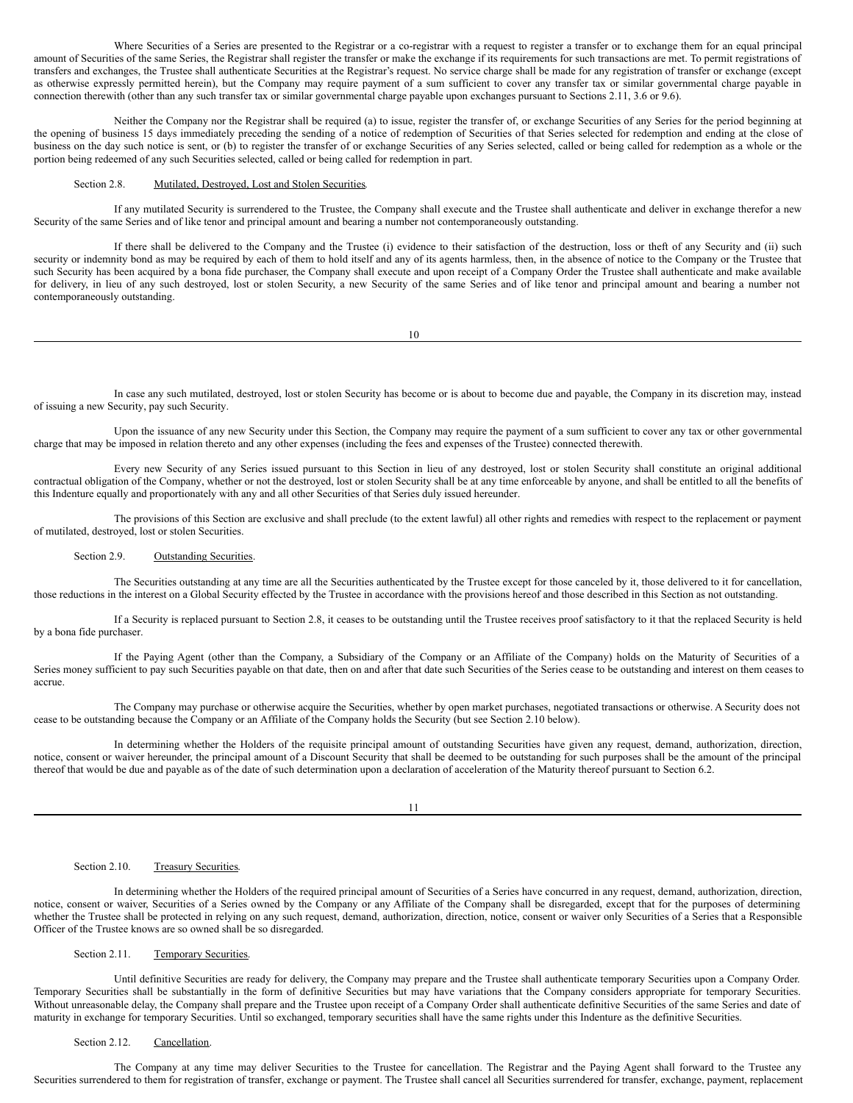Where Securities of a Series are presented to the Registrar or a co-registrar with a request to register a transfer or to exchange them for an equal principal amount of Securities of the same Series, the Registrar shall register the transfer or make the exchange if its requirements for such transactions are met. To permit registrations of transfers and exchanges, the Trustee shall authenticate Securities at the Registrar's request. No service charge shall be made for any registration of transfer or exchange (except as otherwise expressly permitted herein), but the Company may require payment of a sum sufficient to cover any transfer tax or similar governmental charge payable in connection therewith (other than any such transfer tax or similar governmental charge payable upon exchanges pursuant to Sections 2.11, 3.6 or 9.6).

Neither the Company nor the Registrar shall be required (a) to issue, register the transfer of, or exchange Securities of any Series for the period beginning at the opening of business 15 days immediately preceding the sending of a notice of redemption of Securities of that Series selected for redemption and ending at the close of business on the day such notice is sent, or (b) to register the transfer of or exchange Securities of any Series selected, called or being called for redemption as a whole or the portion being redeemed of any such Securities selected, called or being called for redemption in part.

## Section 2.8. Mutilated, Destroyed, Lost and Stolen Securities.

If any mutilated Security is surrendered to the Trustee, the Company shall execute and the Trustee shall authenticate and deliver in exchange therefor a new Security of the same Series and of like tenor and principal amount and bearing a number not contemporaneously outstanding.

If there shall be delivered to the Company and the Trustee (i) evidence to their satisfaction of the destruction, loss or theft of any Security and (ii) such security or indemnity bond as may be required by each of them to hold itself and any of its agents harmless, then, in the absence of notice to the Company or the Trustee that such Security has been acquired by a bona fide purchaser, the Company shall execute and upon receipt of a Company Order the Trustee shall authenticate and make available for delivery, in lieu of any such destroyed, lost or stolen Security, a new Security of the same Series and of like tenor and principal amount and bearing a number not contemporaneously outstanding.

10

In case any such mutilated, destroyed, lost or stolen Security has become or is about to become due and payable, the Company in its discretion may, instead of issuing a new Security, pay such Security.

Upon the issuance of any new Security under this Section, the Company may require the payment of a sum sufficient to cover any tax or other governmental charge that may be imposed in relation thereto and any other expenses (including the fees and expenses of the Trustee) connected therewith.

Every new Security of any Series issued pursuant to this Section in lieu of any destroyed, lost or stolen Security shall constitute an original additional contractual obligation of the Company, whether or not the destroyed, lost or stolen Security shall be at any time enforceable by anyone, and shall be entitled to all the benefits of this Indenture equally and proportionately with any and all other Securities of that Series duly issued hereunder.

The provisions of this Section are exclusive and shall preclude (to the extent lawful) all other rights and remedies with respect to the replacement or payment of mutilated, destroyed, lost or stolen Securities.

## Section 2.9. Outstanding Securities.

The Securities outstanding at any time are all the Securities authenticated by the Trustee except for those canceled by it, those delivered to it for cancellation, those reductions in the interest on a Global Security effected by the Trustee in accordance with the provisions hereof and those described in this Section as not outstanding.

If a Security is replaced pursuant to Section 2.8, it ceases to be outstanding until the Trustee receives proof satisfactory to it that the replaced Security is held by a bona fide purchaser.

If the Paying Agent (other than the Company, a Subsidiary of the Company or an Affiliate of the Company) holds on the Maturity of Securities of a Series money sufficient to pay such Securities payable on that date, then on and after that date such Securities of the Series cease to be outstanding and interest on them ceases to accrue.

The Company may purchase or otherwise acquire the Securities, whether by open market purchases, negotiated transactions or otherwise. A Security does not cease to be outstanding because the Company or an Affiliate of the Company holds the Security (but see Section 2.10 below).

In determining whether the Holders of the requisite principal amount of outstanding Securities have given any request, demand, authorization, direction, notice, consent or waiver hereunder, the principal amount of a Discount Security that shall be deemed to be outstanding for such purposes shall be the amount of the principal thereof that would be due and payable as of the date of such determination upon a declaration of acceleration of the Maturity thereof pursuant to Section 6.2.

11

## Section 2.10. Treasury Securities.

In determining whether the Holders of the required principal amount of Securities of a Series have concurred in any request, demand, authorization, direction, notice, consent or waiver, Securities of a Series owned by the Company or any Affiliate of the Company shall be disregarded, except that for the purposes of determining whether the Trustee shall be protected in relying on any such request, demand, authorization, direction, notice, consent or waiver only Securities of a Series that a Responsible Officer of the Trustee knows are so owned shall be so disregarded.

#### Section 2.11. Temporary Securities.

Until definitive Securities are ready for delivery, the Company may prepare and the Trustee shall authenticate temporary Securities upon a Company Order. Temporary Securities shall be substantially in the form of definitive Securities but may have variations that the Company considers appropriate for temporary Securities. Without unreasonable delay, the Company shall prepare and the Trustee upon receipt of a Company Order shall authenticate definitive Securities of the same Series and date of maturity in exchange for temporary Securities. Until so exchanged, temporary securities shall have the same rights under this Indenture as the definitive Securities.

## Section 2.12. Cancellation.

The Company at any time may deliver Securities to the Trustee for cancellation. The Registrar and the Paying Agent shall forward to the Trustee any Securities surrendered to them for registration of transfer, exchange or payment. The Trustee shall cancel all Securities surrendered for transfer, exchange, payment, replacement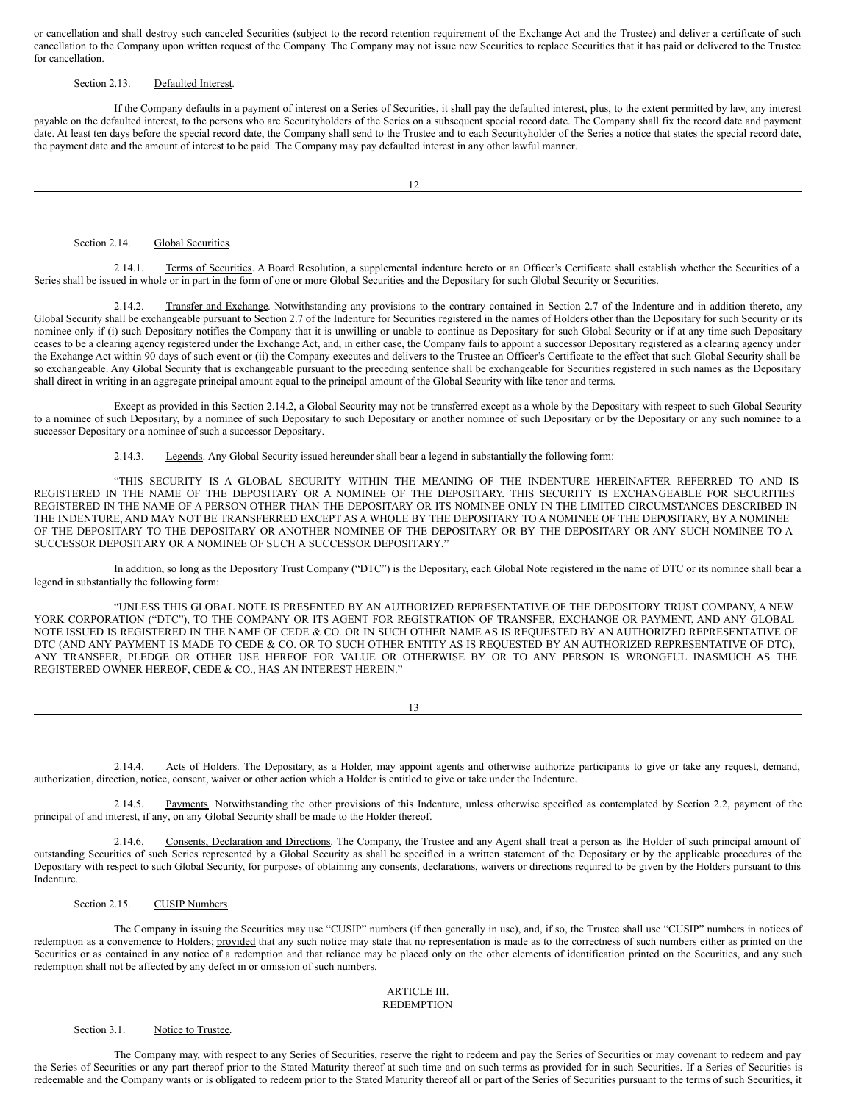or cancellation and shall destroy such canceled Securities (subject to the record retention requirement of the Exchange Act and the Trustee) and deliver a certificate of such cancellation to the Company upon written request of the Company. The Company may not issue new Securities to replace Securities that it has paid or delivered to the Trustee for cancellation.

## Section 2.13. Defaulted Interest.

If the Company defaults in a payment of interest on a Series of Securities, it shall pay the defaulted interest, plus, to the extent permitted by law, any interest payable on the defaulted interest, to the persons who are Securityholders of the Series on a subsequent special record date. The Company shall fix the record date and payment date. At least ten days before the special record date, the Company shall send to the Trustee and to each Securityholder of the Series a notice that states the special record date, the payment date and the amount of interest to be paid. The Company may pay defaulted interest in any other lawful manner.

#### Section 2.14. Global Securities.

2.14.1. Terms of Securities. A Board Resolution, a supplemental indenture hereto or an Officer's Certificate shall establish whether the Securities of a Series shall be issued in whole or in part in the form of one or more Global Securities and the Depositary for such Global Security or Securities.

2.14.2. Transfer and Exchange. Notwithstanding any provisions to the contrary contained in Section 2.7 of the Indenture and in addition thereto, any Global Security shall be exchangeable pursuant to Section 2.7 of the Indenture for Securities registered in the names of Holders other than the Depositary for such Security or its nominee only if (i) such Depositary notifies the Company that it is unwilling or unable to continue as Depositary for such Global Security or if at any time such Depositary ceases to be a clearing agency registered under the Exchange Act, and, in either case, the Company fails to appoint a successor Depositary registered as a clearing agency under the Exchange Act within 90 days of such event or (ii) the Company executes and delivers to the Trustee an Officer's Certificate to the effect that such Global Security shall be so exchangeable. Any Global Security that is exchangeable pursuant to the preceding sentence shall be exchangeable for Securities registered in such names as the Depositary shall direct in writing in an aggregate principal amount equal to the principal amount of the Global Security with like tenor and terms.

Except as provided in this Section 2.14.2, a Global Security may not be transferred except as a whole by the Depositary with respect to such Global Security to a nominee of such Depositary, by a nominee of such Depositary to such Depositary or another nominee of such Depositary or by the Depositary or any such nominee to a successor Depositary or a nominee of such a successor Depositary.

2.14.3. Legends. Any Global Security issued hereunder shall bear a legend in substantially the following form:

"THIS SECURITY IS A GLOBAL SECURITY WITHIN THE MEANING OF THE INDENTURE HEREINAFTER REFERRED TO AND IS REGISTERED IN THE NAME OF THE DEPOSITARY OR A NOMINEE OF THE DEPOSITARY. THIS SECURITY IS EXCHANGEABLE FOR SECURITIES REGISTERED IN THE NAME OF A PERSON OTHER THAN THE DEPOSITARY OR ITS NOMINEE ONLY IN THE LIMITED CIRCUMSTANCES DESCRIBED IN THE INDENTURE, AND MAY NOT BE TRANSFERRED EXCEPT AS A WHOLE BY THE DEPOSITARY TO A NOMINEE OF THE DEPOSITARY, BY A NOMINEE OF THE DEPOSITARY TO THE DEPOSITARY OR ANOTHER NOMINEE OF THE DEPOSITARY OR BY THE DEPOSITARY OR ANY SUCH NOMINEE TO A SUCCESSOR DEPOSITARY OR A NOMINEE OF SUCH A SUCCESSOR DEPOSITARY."

In addition, so long as the Depository Trust Company ("DTC") is the Depositary, each Global Note registered in the name of DTC or its nominee shall bear a legend in substantially the following form:

"UNLESS THIS GLOBAL NOTE IS PRESENTED BY AN AUTHORIZED REPRESENTATIVE OF THE DEPOSITORY TRUST COMPANY, A NEW YORK CORPORATION ("DTC"), TO THE COMPANY OR ITS AGENT FOR REGISTRATION OF TRANSFER, EXCHANGE OR PAYMENT, AND ANY GLOBAL NOTE ISSUED IS REGISTERED IN THE NAME OF CEDE & CO. OR IN SUCH OTHER NAME AS IS REQUESTED BY AN AUTHORIZED REPRESENTATIVE OF DTC (AND ANY PAYMENT IS MADE TO CEDE & CO. OR TO SUCH OTHER ENTITY AS IS REQUESTED BY AN AUTHORIZED REPRESENTATIVE OF DTC), ANY TRANSFER, PLEDGE OR OTHER USE HEREOF FOR VALUE OR OTHERWISE BY OR TO ANY PERSON IS WRONGFUL INASMUCH AS THE REGISTERED OWNER HEREOF, CEDE & CO., HAS AN INTEREST HEREIN."

2.14.4. Acts of Holders. The Depositary, as a Holder, may appoint agents and otherwise authorize participants to give or take any request, demand, authorization, direction, notice, consent, waiver or other action which a Holder is entitled to give or take under the Indenture.

2.14.5. Payments. Notwithstanding the other provisions of this Indenture, unless otherwise specified as contemplated by Section 2.2, payment of the principal of and interest, if any, on any Global Security shall be made to the Holder thereof.

2.14.6. Consents, Declaration and Directions. The Company, the Trustee and any Agent shall treat a person as the Holder of such principal amount of outstanding Securities of such Series represented by a Global Security as shall be specified in a written statement of the Depositary or by the applicable procedures of the Depositary with respect to such Global Security, for purposes of obtaining any consents, declarations, waivers or directions required to be given by the Holders pursuant to this Indenture.

## Section 2.15. CUSIP Numbers.

The Company in issuing the Securities may use "CUSIP" numbers (if then generally in use), and, if so, the Trustee shall use "CUSIP" numbers in notices of redemption as a convenience to Holders; provided that any such notice may state that no representation is made as to the correctness of such numbers either as printed on the Securities or as contained in any notice of a redemption and that reliance may be placed only on the other elements of identification printed on the Securities, and any such redemption shall not be affected by any defect in or omission of such numbers.

#### ARTICLE III. REDEMPTION

Section 3.1. Notice to Trustee.

The Company may, with respect to any Series of Securities, reserve the right to redeem and pay the Series of Securities or may covenant to redeem and pay the Series of Securities or any part thereof prior to the Stated Maturity thereof at such time and on such terms as provided for in such Securities. If a Series of Securities is redeemable and the Company wants or is obligated to redeem prior to the Stated Maturity thereof all or part of the Series of Securities pursuant to the terms of such Securities, it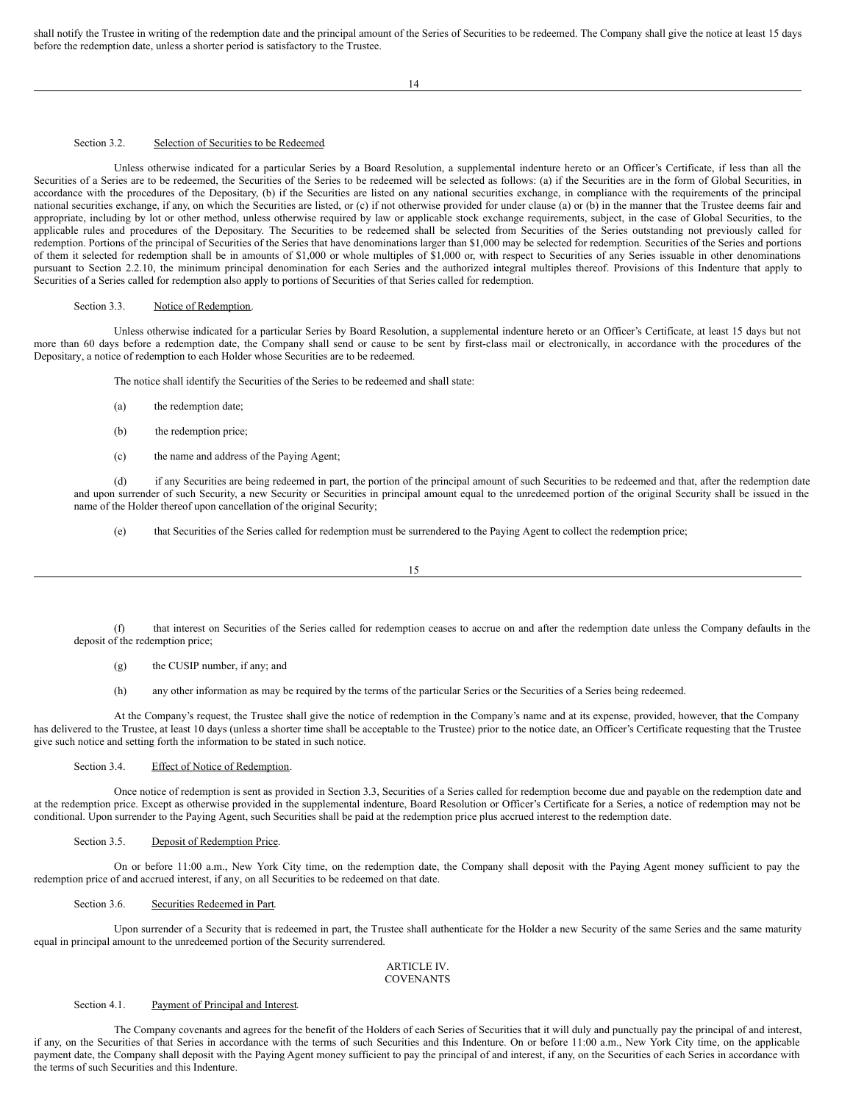shall notify the Trustee in writing of the redemption date and the principal amount of the Series of Securities to be redeemed. The Company shall give the notice at least 15 days before the redemption date, unless a shorter period is satisfactory to the Trustee.

14

## Section 3.2. Selection of Securities to be Redeemed.

Unless otherwise indicated for a particular Series by a Board Resolution, a supplemental indenture hereto or an Officer's Certificate, if less than all the Securities of a Series are to be redeemed, the Securities of the Series to be redeemed will be selected as follows: (a) if the Securities are in the form of Global Securities, in accordance with the procedures of the Depositary, (b) if the Securities are listed on any national securities exchange, in compliance with the requirements of the principal national securities exchange, if any, on which the Securities are listed, or (c) if not otherwise provided for under clause (a) or (b) in the manner that the Trustee deems fair and appropriate, including by lot or other method, unless otherwise required by law or applicable stock exchange requirements, subject, in the case of Global Securities, to the applicable rules and procedures of the Depositary. The Securities to be redeemed shall be selected from Securities of the Series outstanding not previously called for redemption. Portions of the principal of Securities of the Series that have denominations larger than \$1,000 may be selected for redemption. Securities of the Series and portions of them it selected for redemption shall be in amounts of \$1,000 or whole multiples of \$1,000 or, with respect to Securities of any Series issuable in other denominations pursuant to Section 2.2.10, the minimum principal denomination for each Series and the authorized integral multiples thereof. Provisions of this Indenture that apply to Securities of a Series called for redemption also apply to portions of Securities of that Series called for redemption.

## Section 3.3. Notice of Redemption.

Unless otherwise indicated for a particular Series by Board Resolution, a supplemental indenture hereto or an Officer's Certificate, at least 15 days but not more than 60 days before a redemption date, the Company shall send or cause to be sent by first-class mail or electronically, in accordance with the procedures of the Depositary, a notice of redemption to each Holder whose Securities are to be redeemed.

The notice shall identify the Securities of the Series to be redeemed and shall state:

- (a) the redemption date;
- (b) the redemption price;
- (c) the name and address of the Paying Agent;

(d) if any Securities are being redeemed in part, the portion of the principal amount of such Securities to be redeemed and that, after the redemption date and upon surrender of such Security, a new Security or Securities in principal amount equal to the unredeemed portion of the original Security shall be issued in the name of the Holder thereof upon cancellation of the original Security;

(e) that Securities of the Series called for redemption must be surrendered to the Paying Agent to collect the redemption price;

15

(f) that interest on Securities of the Series called for redemption ceases to accrue on and after the redemption date unless the Company defaults in the deposit of the redemption price;

- (g) the CUSIP number, if any; and
- (h) any other information as may be required by the terms of the particular Series or the Securities of a Series being redeemed.

At the Company's request, the Trustee shall give the notice of redemption in the Company's name and at its expense, provided, however, that the Company has delivered to the Trustee, at least 10 days (unless a shorter time shall be acceptable to the Trustee) prior to the notice date, an Officer's Certificate requesting that the Trustee give such notice and setting forth the information to be stated in such notice.

## Section 3.4. Effect of Notice of Redemption.

Once notice of redemption is sent as provided in Section 3.3, Securities of a Series called for redemption become due and payable on the redemption date and at the redemption price. Except as otherwise provided in the supplemental indenture, Board Resolution or Officer's Certificate for a Series, a notice of redemption may not be conditional. Upon surrender to the Paying Agent, such Securities shall be paid at the redemption price plus accrued interest to the redemption date.

## Section 3.5. Deposit of Redemption Price.

On or before 11:00 a.m., New York City time, on the redemption date, the Company shall deposit with the Paying Agent money sufficient to pay the redemption price of and accrued interest, if any, on all Securities to be redeemed on that date.

## Section 3.6. Securities Redeemed in Part.

Upon surrender of a Security that is redeemed in part, the Trustee shall authenticate for the Holder a new Security of the same Series and the same maturity equal in principal amount to the unredeemed portion of the Security surrendered.

## ARTICLE IV. **COVENANTS**

## Section 4.1. Payment of Principal and Interest.

The Company covenants and agrees for the benefit of the Holders of each Series of Securities that it will duly and punctually pay the principal of and interest, if any, on the Securities of that Series in accordance with the terms of such Securities and this Indenture. On or before 11:00 a.m., New York City time, on the applicable payment date, the Company shall deposit with the Paying Agent money sufficient to pay the principal of and interest, if any, on the Securities of each Series in accordance with the terms of such Securities and this Indenture.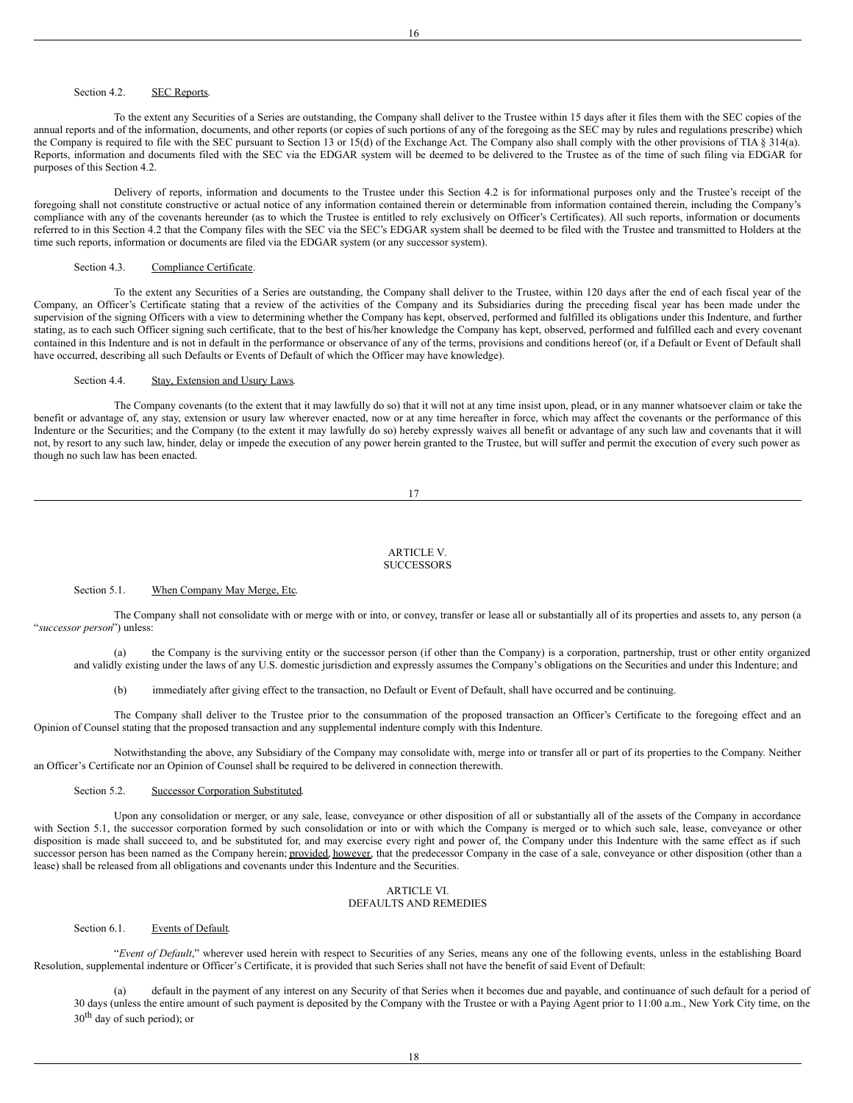## Section 4.2. SEC Reports.

To the extent any Securities of a Series are outstanding, the Company shall deliver to the Trustee within 15 days after it files them with the SEC copies of the annual reports and of the information, documents, and other reports (or copies of such portions of any of the foregoing as the SEC may by rules and regulations prescribe) which the Company is required to file with the SEC pursuant to Section 13 or 15(d) of the Exchange Act. The Company also shall comply with the other provisions of TIA § 314(a). Reports, information and documents filed with the SEC via the EDGAR system will be deemed to be delivered to the Trustee as of the time of such filing via EDGAR for purposes of this Section 4.2.

Delivery of reports, information and documents to the Trustee under this Section 4.2 is for informational purposes only and the Trustee's receipt of the foregoing shall not constitute constructive or actual notice of any information contained therein or determinable from information contained therein, including the Company's compliance with any of the covenants hereunder (as to which the Trustee is entitled to rely exclusively on Officer's Certificates). All such reports, information or documents referred to in this Section 4.2 that the Company files with the SEC via the SEC's EDGAR system shall be deemed to be filed with the Trustee and transmitted to Holders at the time such reports, information or documents are filed via the EDGAR system (or any successor system).

## Section 4.3. Compliance Certificate.

To the extent any Securities of a Series are outstanding, the Company shall deliver to the Trustee, within 120 days after the end of each fiscal year of the Company, an Officer's Certificate stating that a review of the activities of the Company and its Subsidiaries during the preceding fiscal year has been made under the supervision of the signing Officers with a view to determining whether the Company has kept, observed, performed and fulfilled its obligations under this Indenture, and further stating, as to each such Officer signing such certificate, that to the best of his/her knowledge the Company has kept, observed, performed and fulfilled each and every covenant contained in this Indenture and is not in default in the performance or observance of any of the terms, provisions and conditions hereof (or, if a Default or Event of Default shall have occurred, describing all such Defaults or Events of Default of which the Officer may have knowledge).

#### Section 4.4. Stay, Extension and Usury Laws.

The Company covenants (to the extent that it may lawfully do so) that it will not at any time insist upon, plead, or in any manner whatsoever claim or take the benefit or advantage of, any stay, extension or usury law wherever enacted, now or at any time hereafter in force, which may affect the covenants or the performance of this Indenture or the Securities; and the Company (to the extent it may lawfully do so) hereby expressly waives all benefit or advantage of any such law and covenants that it will not, by resort to any such law, hinder, delay or impede the execution of any power herein granted to the Trustee, but will suffer and permit the execution of every such power as though no such law has been enacted.

17

## ARTICLE V. **SUCCESSORS**

## Section 5.1. When Company May Merge, Etc.

The Company shall not consolidate with or merge with or into, or convey, transfer or lease all or substantially all of its properties and assets to, any person (a "*successor person*") unless:

(a) the Company is the surviving entity or the successor person (if other than the Company) is a corporation, partnership, trust or other entity organized and validly existing under the laws of any U.S. domestic jurisdiction and expressly assumes the Company's obligations on the Securities and under this Indenture; and

(b) immediately after giving effect to the transaction, no Default or Event of Default, shall have occurred and be continuing.

The Company shall deliver to the Trustee prior to the consummation of the proposed transaction an Officer's Certificate to the foregoing effect and an Opinion of Counsel stating that the proposed transaction and any supplemental indenture comply with this Indenture.

Notwithstanding the above, any Subsidiary of the Company may consolidate with, merge into or transfer all or part of its properties to the Company. Neither an Officer's Certificate nor an Opinion of Counsel shall be required to be delivered in connection therewith.

## Section 5.2. Successor Corporation Substituted.

Upon any consolidation or merger, or any sale, lease, conveyance or other disposition of all or substantially all of the assets of the Company in accordance with Section 5.1, the successor corporation formed by such consolidation or into or with which the Company is merged or to which such sale, lease, conveyance or other disposition is made shall succeed to, and be substituted for, and may exercise every right and power of, the Company under this Indenture with the same effect as if such successor person has been named as the Company herein; provided, however, that the predecessor Company in the case of a sale, conveyance or other disposition (other than a lease) shall be released from all obligations and covenants under this Indenture and the Securities.

## ARTICLE VI. DEFAULTS AND REMEDIES

#### Section 6.1. Events of Default.

"*Event of Default*," wherever used herein with respect to Securities of any Series, means any one of the following events, unless in the establishing Board Resolution, supplemental indenture or Officer's Certificate, it is provided that such Series shall not have the benefit of said Event of Default:

(a) default in the payment of any interest on any Security of that Series when it becomes due and payable, and continuance of such default for a period of 30 days (unless the entire amount of such payment is deposited by the Company with the Trustee or with a Paying Agent prior to 11:00 a.m., New York City time, on the 30<sup>th</sup> day of such period); or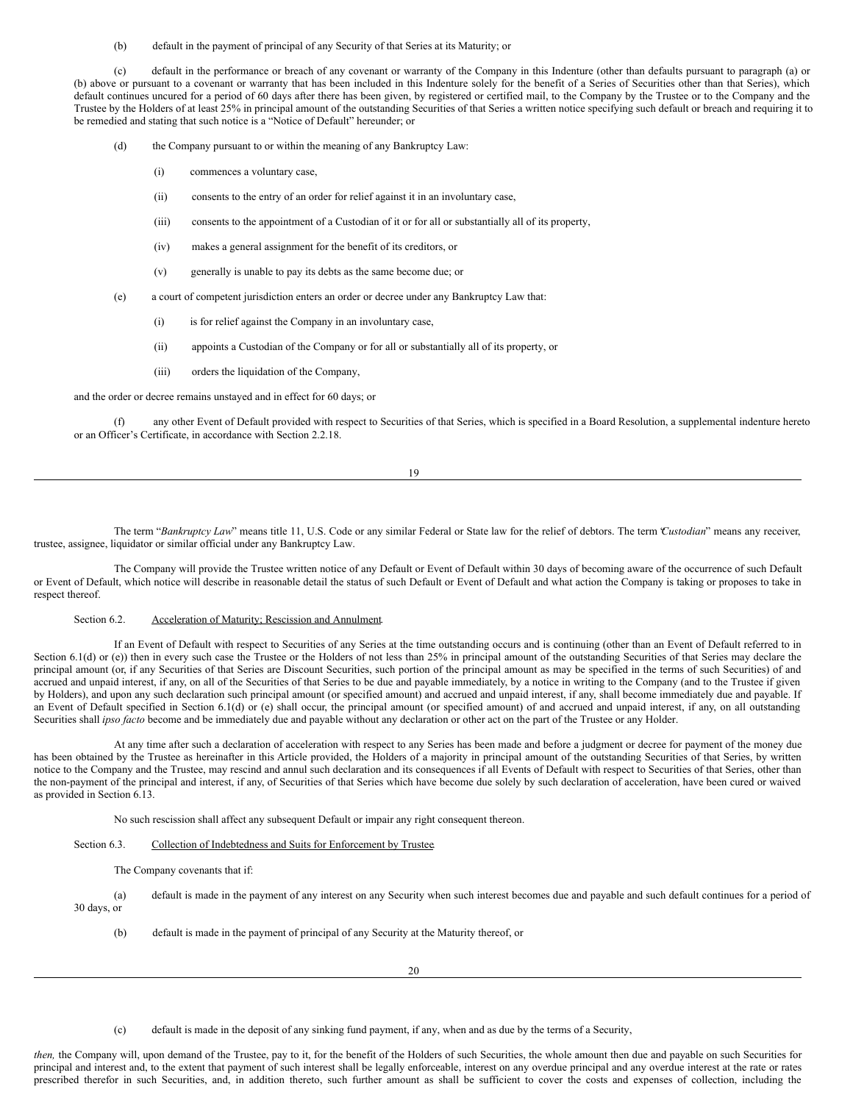<span id="page-46-0"></span>(b) default in the payment of principal of any Security of that Series at its Maturity; or

(c) default in the performance or breach of any covenant or warranty of the Company in this Indenture (other than defaults pursuant to paragraph (a) or (b) above or pursuant to a covenant or warranty that has been included in this Indenture solely for the benefit of a Series of Securities other than that Series), which default continues uncured for a period of 60 days after there has been given, by registered or certified mail, to the Company by the Trustee or to the Company and the Trustee by the Holders of at least 25% in principal amount of the outstanding Securities of that Series a written notice specifying such default or breach and requiring it to be remedied and stating that such notice is a "Notice of Default" hereunder; or

- (d) the Company pursuant to or within the meaning of any Bankruptcy Law:
	- (i) commences a voluntary case,
	- (ii) consents to the entry of an order for relief against it in an involuntary case,
	- (iii) consents to the appointment of a Custodian of it or for all or substantially all of its property,
	- (iv) makes a general assignment for the benefit of its creditors, or
	- (v) generally is unable to pay its debts as the same become due; or
- (e) a court of competent jurisdiction enters an order or decree under any Bankruptcy Law that:
	- (i) is for relief against the Company in an involuntary case,
	- (ii) appoints a Custodian of the Company or for all or substantially all of its property, or
	- (iii) orders the liquidation of the Company,

and the order or decree remains unstayed and in effect for 60 days; or

(f) any other Event of Default provided with respect to Securities of that Series, which is specified in a Board Resolution, a supplemental indenture hereto or an Officer's Certificate, in accordance with Section 2.2.18.

19

The term "*Bankruptcy Law*" means title 11, U.S. Code or any similar Federal or State law for the relief of debtors. The term "*Custodian*" means any receiver, trustee, assignee, liquidator or similar official under any Bankruptcy Law.

The Company will provide the Trustee written notice of any Default or Event of Default within 30 days of becoming aware of the occurrence of such Default or Event of Default, which notice will describe in reasonable detail the status of such Default or Event of Default and what action the Company is taking or proposes to take in respect thereof.

## Section 6.2. Acceleration of Maturity; Rescission and Annulment.

If an Event of Default with respect to Securities of any Series at the time outstanding occurs and is continuing (other than an Event of Default referred to in Section 6.1(d) or (e)) then in every such case the Trustee or the Holders of not less than 25% in principal amount of the outstanding Securities of that Series may declare the principal amount (or, if any Securities of that Series are Discount Securities, such portion of the principal amount as may be specified in the terms of such Securities) of and accrued and unpaid interest, if any, on all of the Securities of that Series to be due and payable immediately, by a notice in writing to the Company (and to the Trustee if given by Holders), and upon any such declaration such principal amount (or specified amount) and accrued and unpaid interest, if any, shall become immediately due and payable. If an Event of Default specified in Section 6.1(d) or (e) shall occur, the principal amount (or specified amount) of and accrued and unpaid interest, if any, on all outstanding Securities shall *ipso facto* become and be immediately due and payable without any declaration or other act on the part of the Trustee or any Holder.

At any time after such a declaration of acceleration with respect to any Series has been made and before a judgment or decree for payment of the money due has been obtained by the Trustee as hereinafter in this Article provided, the Holders of a majority in principal amount of the outstanding Securities of that Series, by written notice to the Company and the Trustee, may rescind and annul such declaration and its consequences if all Events of Default with respect to Securities of that Series, other than the non-payment of the principal and interest, if any, of Securities of that Series which have become due solely by such declaration of acceleration, have been cured or waived as provided in Section 6.13.

No such rescission shall affect any subsequent Default or impair any right consequent thereon.

#### Section 6.3. Collection of Indebtedness and Suits for Enforcement by Trustee.

The Company covenants that if:

(a) default is made in the payment of any interest on any Security when such interest becomes due and payable and such default continues for a period of 30 days, or

(b) default is made in the payment of principal of any Security at the Maturity thereof, or

20

(c) default is made in the deposit of any sinking fund payment, if any, when and as due by the terms of a Security,

*then*, the Company will, upon demand of the Trustee, pay to it, for the benefit of the Holders of such Securities, the whole amount then due and payable on such Securities for principal and interest and, to the extent that payment of such interest shall be legally enforceable, interest on any overdue principal and any overdue interest at the rate or rates prescribed therefor in such Securities, and, in addition thereto, such further amount as shall be sufficient to cover the costs and expenses of collection, including the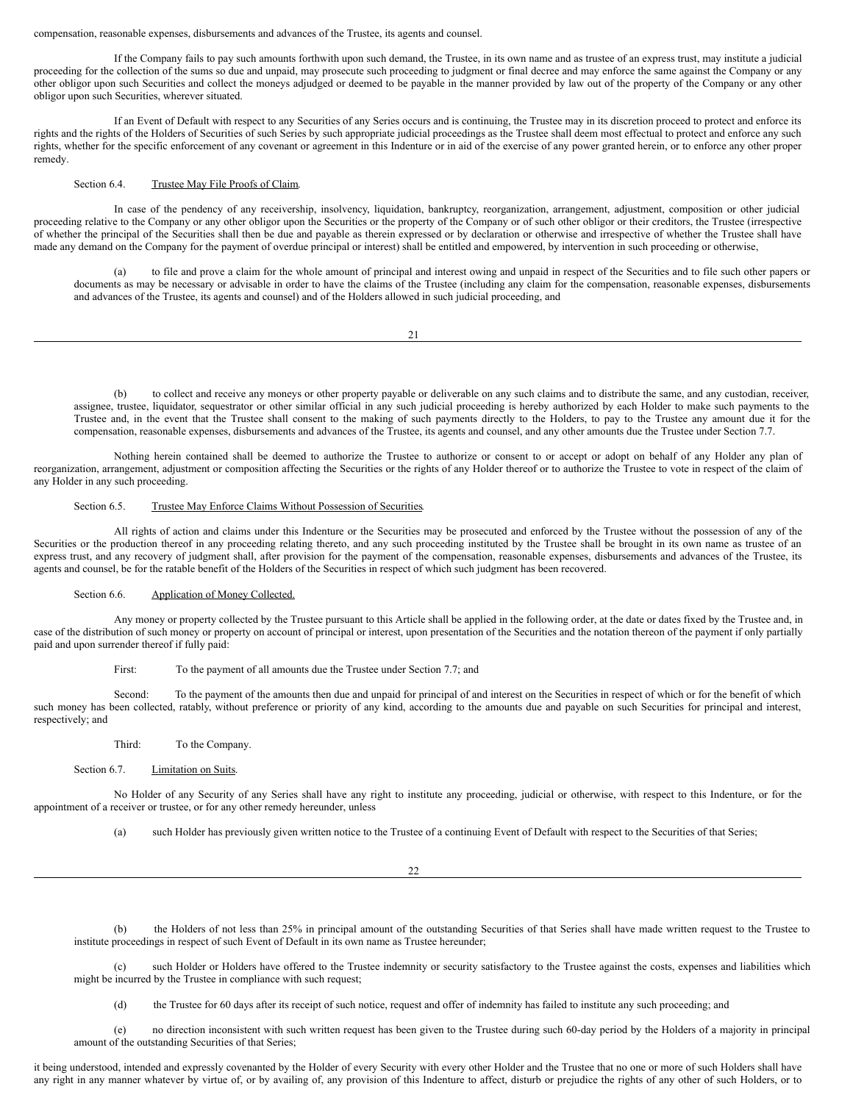compensation, reasonable expenses, disbursements and advances of the Trustee, its agents and counsel.

If the Company fails to pay such amounts forthwith upon such demand, the Trustee, in its own name and as trustee of an express trust, may institute a judicial proceeding for the collection of the sums so due and unpaid, may prosecute such proceeding to judgment or final decree and may enforce the same against the Company or any other obligor upon such Securities and collect the moneys adjudged or deemed to be payable in the manner provided by law out of the property of the Company or any other obligor upon such Securities, wherever situated.

If an Event of Default with respect to any Securities of any Series occurs and is continuing, the Trustee may in its discretion proceed to protect and enforce its rights and the rights of the Holders of Securities of such Series by such appropriate judicial proceedings as the Trustee shall deem most effectual to protect and enforce any such rights, whether for the specific enforcement of any covenant or agreement in this Indenture or in aid of the exercise of any power granted herein, or to enforce any other proper remedy.

#### Section 6.4. Trustee May File Proofs of Claim.

In case of the pendency of any receivership, insolvency, liquidation, bankruptcy, reorganization, arrangement, adjustment, composition or other judicial proceeding relative to the Company or any other obligor upon the Securities or the property of the Company or of such other obligor or their creditors, the Trustee (irrespective of whether the principal of the Securities shall then be due and payable as therein expressed or by declaration or otherwise and irrespective of whether the Trustee shall have made any demand on the Company for the payment of overdue principal or interest) shall be entitled and empowered, by intervention in such proceeding or otherwise,

(a) to file and prove a claim for the whole amount of principal and interest owing and unpaid in respect of the Securities and to file such other papers or documents as may be necessary or advisable in order to have the claims of the Trustee (including any claim for the compensation, reasonable expenses, disbursements and advances of the Trustee, its agents and counsel) and of the Holders allowed in such judicial proceeding, and

 $21$ 

(b) to collect and receive any moneys or other property payable or deliverable on any such claims and to distribute the same, and any custodian, receiver, assignee, trustee, liquidator, sequestrator or other similar official in any such judicial proceeding is hereby authorized by each Holder to make such payments to the Trustee and, in the event that the Trustee shall consent to the making of such payments directly to the Holders, to pay to the Trustee any amount due it for the compensation, reasonable expenses, disbursements and advances of the Trustee, its agents and counsel, and any other amounts due the Trustee under Section 7.7.

Nothing herein contained shall be deemed to authorize the Trustee to authorize or consent to or accept or adopt on behalf of any Holder any plan of reorganization, arrangement, adjustment or composition affecting the Securities or the rights of any Holder thereof or to authorize the Trustee to vote in respect of the claim of any Holder in any such proceeding.

## Section 6.5. Trustee May Enforce Claims Without Possession of Securities.

All rights of action and claims under this Indenture or the Securities may be prosecuted and enforced by the Trustee without the possession of any of the Securities or the production thereof in any proceeding relating thereto, and any such proceeding instituted by the Trustee shall be brought in its own name as trustee of an express trust, and any recovery of judgment shall, after provision for the payment of the compensation, reasonable expenses, disbursements and advances of the Trustee, its agents and counsel, be for the ratable benefit of the Holders of the Securities in respect of which such judgment has been recovered.

#### Section 6.6. Application of Money Collected.

Any money or property collected by the Trustee pursuant to this Article shall be applied in the following order, at the date or dates fixed by the Trustee and, in case of the distribution of such money or property on account of principal or interest, upon presentation of the Securities and the notation thereon of the payment if only partially paid and upon surrender thereof if fully paid:

## First: To the payment of all amounts due the Trustee under Section 7.7; and

Second: To the payment of the amounts then due and unpaid for principal of and interest on the Securities in respect of which or for the benefit of which such money has been collected, ratably, without preference or priority of any kind, according to the amounts due and payable on such Securities for principal and interest, respectively; and

Third: To the Company.

Section 6.7. **Limitation on Suits.** 

No Holder of any Security of any Series shall have any right to institute any proceeding, judicial or otherwise, with respect to this Indenture, or for the appointment of a receiver or trustee, or for any other remedy hereunder, unless

(a) such Holder has previously given written notice to the Trustee of a continuing Event of Default with respect to the Securities of that Series;

22

(b) the Holders of not less than 25% in principal amount of the outstanding Securities of that Series shall have made written request to the Trustee to institute proceedings in respect of such Event of Default in its own name as Trustee hereunder;

(c) such Holder or Holders have offered to the Trustee indemnity or security satisfactory to the Trustee against the costs, expenses and liabilities which might be incurred by the Trustee in compliance with such request;

(d) the Trustee for 60 days after its receipt of such notice, request and offer of indemnity has failed to institute any such proceeding; and

(e) no direction inconsistent with such written request has been given to the Trustee during such 60-day period by the Holders of a majority in principal amount of the outstanding Securities of that Series;

it being understood, intended and expressly covenanted by the Holder of every Security with every other Holder and the Trustee that no one or more of such Holders shall have any right in any manner whatever by virtue of, or by availing of, any provision of this Indenture to affect, disturb or prejudice the rights of any other of such Holders, or to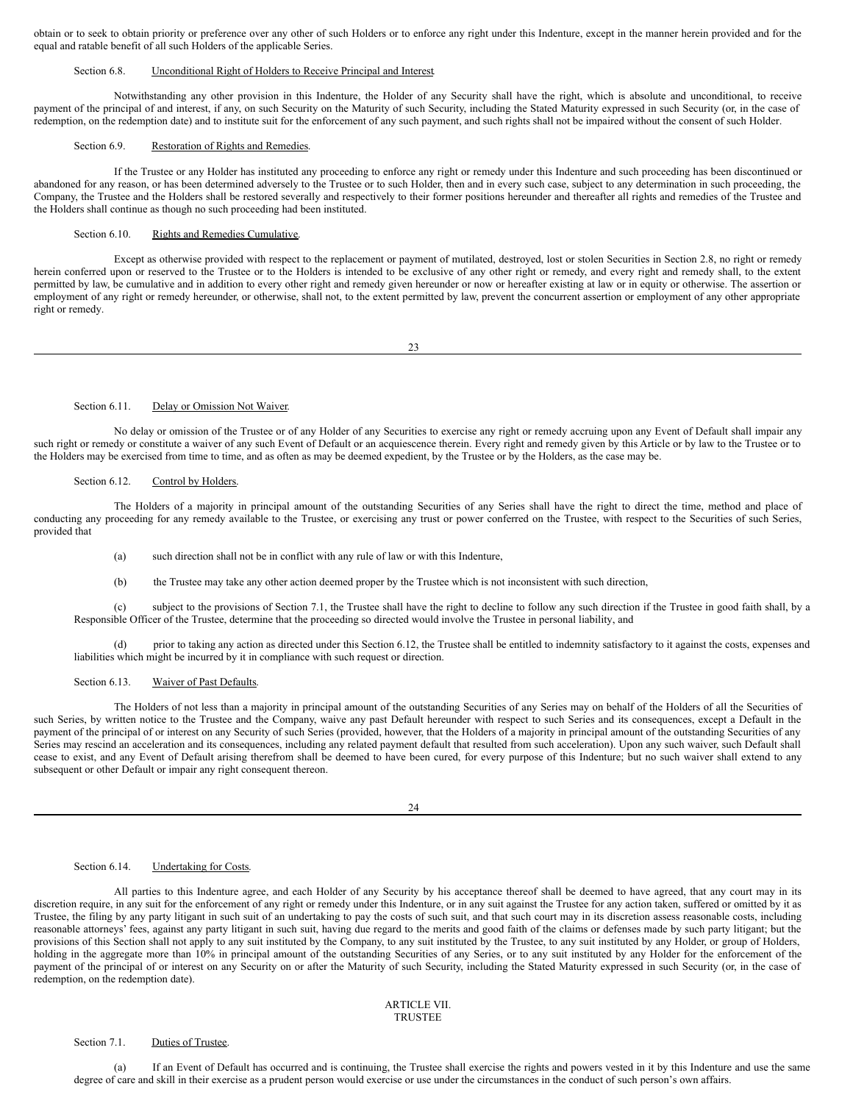obtain or to seek to obtain priority or preference over any other of such Holders or to enforce any right under this Indenture, except in the manner herein provided and for the equal and ratable benefit of all such Holders of the applicable Series.

#### Section 6.8. Unconditional Right of Holders to Receive Principal and Interest.

Notwithstanding any other provision in this Indenture, the Holder of any Security shall have the right, which is absolute and unconditional, to receive payment of the principal of and interest, if any, on such Security on the Maturity of such Security, including the Stated Maturity expressed in such Security (or, in the case of redemption, on the redemption date) and to institute suit for the enforcement of any such payment, and such rights shall not be impaired without the consent of such Holder.

#### Section 6.9. Restoration of Rights and Remedies.

If the Trustee or any Holder has instituted any proceeding to enforce any right or remedy under this Indenture and such proceeding has been discontinued or abandoned for any reason, or has been determined adversely to the Trustee or to such Holder, then and in every such case, subject to any determination in such proceeding, the Company, the Trustee and the Holders shall be restored severally and respectively to their former positions hereunder and thereafter all rights and remedies of the Trustee and the Holders shall continue as though no such proceeding had been instituted.

## Section 6.10. Rights and Remedies Cumulative.

Except as otherwise provided with respect to the replacement or payment of mutilated, destroyed, lost or stolen Securities in Section 2.8, no right or remedy herein conferred upon or reserved to the Trustee or to the Holders is intended to be exclusive of any other right or remedy, and every right and remedy shall, to the extent permitted by law, be cumulative and in addition to every other right and remedy given hereunder or now or hereafter existing at law or in equity or otherwise. The assertion or employment of any right or remedy hereunder, or otherwise, shall not, to the extent permitted by law, prevent the concurrent assertion or employment of any other appropriate right or remedy.

 $23$ 

## Section 6.11. Delay or Omission Not Waiver.

No delay or omission of the Trustee or of any Holder of any Securities to exercise any right or remedy accruing upon any Event of Default shall impair any such right or remedy or constitute a waiver of any such Event of Default or an acquiescence therein. Every right and remedy given by this Article or by law to the Trustee or to the Holders may be exercised from time to time, and as often as may be deemed expedient, by the Trustee or by the Holders, as the case may be.

## Section 6.12. Control by Holders.

The Holders of a majority in principal amount of the outstanding Securities of any Series shall have the right to direct the time, method and place of conducting any proceeding for any remedy available to the Trustee, or exercising any trust or power conferred on the Trustee, with respect to the Securities of such Series, provided that

(a) such direction shall not be in conflict with any rule of law or with this Indenture,

(b) the Trustee may take any other action deemed proper by the Trustee which is not inconsistent with such direction,

(c) subject to the provisions of Section 7.1, the Trustee shall have the right to decline to follow any such direction if the Trustee in good faith shall, by a Responsible Officer of the Trustee, determine that the proceeding so directed would involve the Trustee in personal liability, and

(d) prior to taking any action as directed under this Section 6.12, the Trustee shall be entitled to indemnity satisfactory to it against the costs, expenses and liabilities which might be incurred by it in compliance with such request or direction.

## Section 6.13. Waiver of Past Defaults.

The Holders of not less than a majority in principal amount of the outstanding Securities of any Series may on behalf of the Holders of all the Securities of such Series, by written notice to the Trustee and the Company, waive any past Default hereunder with respect to such Series and its consequences, except a Default in the payment of the principal of or interest on any Security of such Series (provided, however, that the Holders of a majority in principal amount of the outstanding Securities of any Series may rescind an acceleration and its consequences, including any related payment default that resulted from such acceleration). Upon any such waiver, such Default shall cease to exist, and any Event of Default arising therefrom shall be deemed to have been cured, for every purpose of this Indenture; but no such waiver shall extend to any subsequent or other Default or impair any right consequent thereon.

24

## Section 6.14. Undertaking for Costs.

All parties to this Indenture agree, and each Holder of any Security by his acceptance thereof shall be deemed to have agreed, that any court may in its discretion require, in any suit for the enforcement of any right or remedy under this Indenture, or in any suit against the Trustee for any action taken, suffered or omitted by it as Trustee, the filing by any party litigant in such suit of an undertaking to pay the costs of such suit, and that such court may in its discretion assess reasonable costs, including reasonable attorneys' fees, against any party litigant in such suit, having due regard to the merits and good faith of the claims or defenses made by such party litigant; but the provisions of this Section shall not apply to any suit instituted by the Company, to any suit instituted by the Trustee, to any suit instituted by any Holder, or group of Holders, holding in the aggregate more than 10% in principal amount of the outstanding Securities of any Series, or to any suit instituted by any Holder for the enforcement of the payment of the principal of or interest on any Security on or after the Maturity of such Security, including the Stated Maturity expressed in such Security (or, in the case of redemption, on the redemption date).

> ARTICLE VII. **TRUSTEE**

#### Section 7.1. Duties of Trustee.

(a) If an Event of Default has occurred and is continuing, the Trustee shall exercise the rights and powers vested in it by this Indenture and use the same degree of care and skill in their exercise as a prudent person would exercise or use under the circumstances in the conduct of such person's own affairs.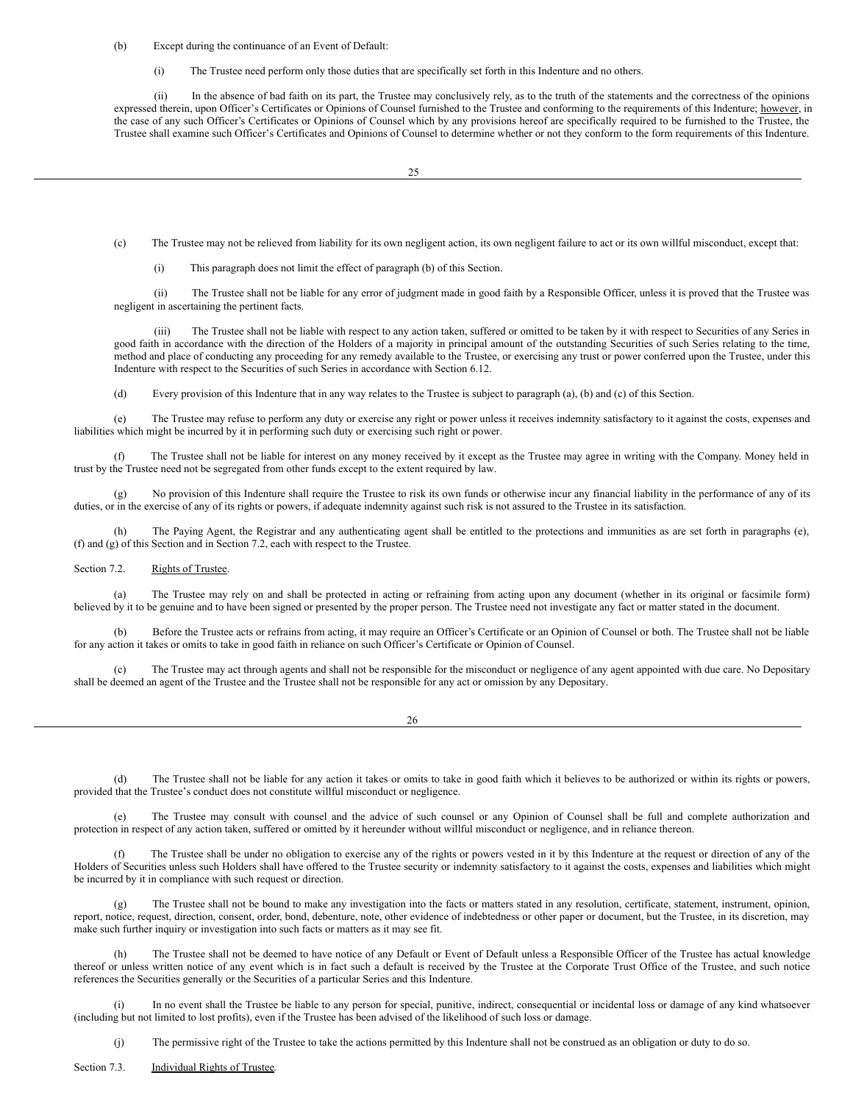(b) Except during the continuance of an Event of Default:

(i) The Trustee need perform only those duties that are specifically set forth in this Indenture and no others.

(ii) In the absence of bad faith on its part, the Trustee may conclusively rely, as to the truth of the statements and the correctness of the opinions expressed therein, upon Officer's Certificates or Opinions of Counsel furnished to the Trustee and conforming to the requirements of this Indenture; however, in the case of any such Officer's Certificates or Opinions of Counsel which by any provisions hereof are specifically required to be furnished to the Trustee, the Trustee shall examine such Officer's Certificates and Opinions of Counsel to determine whether or not they conform to the form requirements of this Indenture.

(c) The Trustee may not be relieved from liability for its own negligent action, its own negligent failure to act or its own willful misconduct, except that:

(i) This paragraph does not limit the effect of paragraph (b) of this Section.

(ii) The Trustee shall not be liable for any error of judgment made in good faith by a Responsible Officer, unless it is proved that the Trustee was negligent in ascertaining the pertinent facts.

(iii) The Trustee shall not be liable with respect to any action taken, suffered or omitted to be taken by it with respect to Securities of any Series in good faith in accordance with the direction of the Holders of a majority in principal amount of the outstanding Securities of such Series relating to the time, method and place of conducting any proceeding for any remedy available to the Trustee, or exercising any trust or power conferred upon the Trustee, under this Indenture with respect to the Securities of such Series in accordance with Section 6.12.

(d) Every provision of this Indenture that in any way relates to the Trustee is subject to paragraph (a), (b) and (c) of this Section.

(e) The Trustee may refuse to perform any duty or exercise any right or power unless it receives indemnity satisfactory to it against the costs, expenses and liabilities which might be incurred by it in performing such duty or exercising such right or power.

(f) The Trustee shall not be liable for interest on any money received by it except as the Trustee may agree in writing with the Company. Money held in trust by the Trustee need not be segregated from other funds except to the extent required by law.

(g) No provision of this Indenture shall require the Trustee to risk its own funds or otherwise incur any financial liability in the performance of any of its duties, or in the exercise of any of its rights or powers, if adequate indemnity against such risk is not assured to the Trustee in its satisfaction.

(h) The Paying Agent, the Registrar and any authenticating agent shall be entitled to the protections and immunities as are set forth in paragraphs (e), (f) and (g) of this Section and in Section 7.2, each with respect to the Trustee.

Section 7.2. Rights of Trustee.

(a) The Trustee may rely on and shall be protected in acting or refraining from acting upon any document (whether in its original or facsimile form) believed by it to be genuine and to have been signed or presented by the proper person. The Trustee need not investigate any fact or matter stated in the document.

(b) Before the Trustee acts or refrains from acting, it may require an Officer's Certificate or an Opinion of Counsel or both. The Trustee shall not be liable for any action it takes or omits to take in good faith in reliance on such Officer's Certificate or Opinion of Counsel.

(c) The Trustee may act through agents and shall not be responsible for the misconduct or negligence of any agent appointed with due care. No Depositary shall be deemed an agent of the Trustee and the Trustee shall not be responsible for any act or omission by any Depositary.

26

(d) The Trustee shall not be liable for any action it takes or omits to take in good faith which it believes to be authorized or within its rights or powers, provided that the Trustee's conduct does not constitute willful misconduct or negligence.

The Trustee may consult with counsel and the advice of such counsel or any Opinion of Counsel shall be full and complete authorization and protection in respect of any action taken, suffered or omitted by it hereunder without willful misconduct or negligence, and in reliance thereon.

(f) The Trustee shall be under no obligation to exercise any of the rights or powers vested in it by this Indenture at the request or direction of any of the Holders of Securities unless such Holders shall have offered to the Trustee security or indemnity satisfactory to it against the costs, expenses and liabilities which might be incurred by it in compliance with such request or direction.

(g) The Trustee shall not be bound to make any investigation into the facts or matters stated in any resolution, certificate, statement, instrument, opinion, report, notice, request, direction, consent, order, bond, debenture, note, other evidence of indebtedness or other paper or document, but the Trustee, in its discretion, may make such further inquiry or investigation into such facts or matters as it may see fit.

(h) The Trustee shall not be deemed to have notice of any Default or Event of Default unless a Responsible Officer of the Trustee has actual knowledge thereof or unless written notice of any event which is in fact such a default is received by the Trustee at the Corporate Trust Office of the Trustee, and such notice references the Securities generally or the Securities of a particular Series and this Indenture.

(i) In no event shall the Trustee be liable to any person for special, punitive, indirect, consequential or incidental loss or damage of any kind whatsoever (including but not limited to lost profits), even if the Trustee has been advised of the likelihood of such loss or damage.

(j) The permissive right of the Trustee to take the actions permitted by this Indenture shall not be construed as an obligation or duty to do so.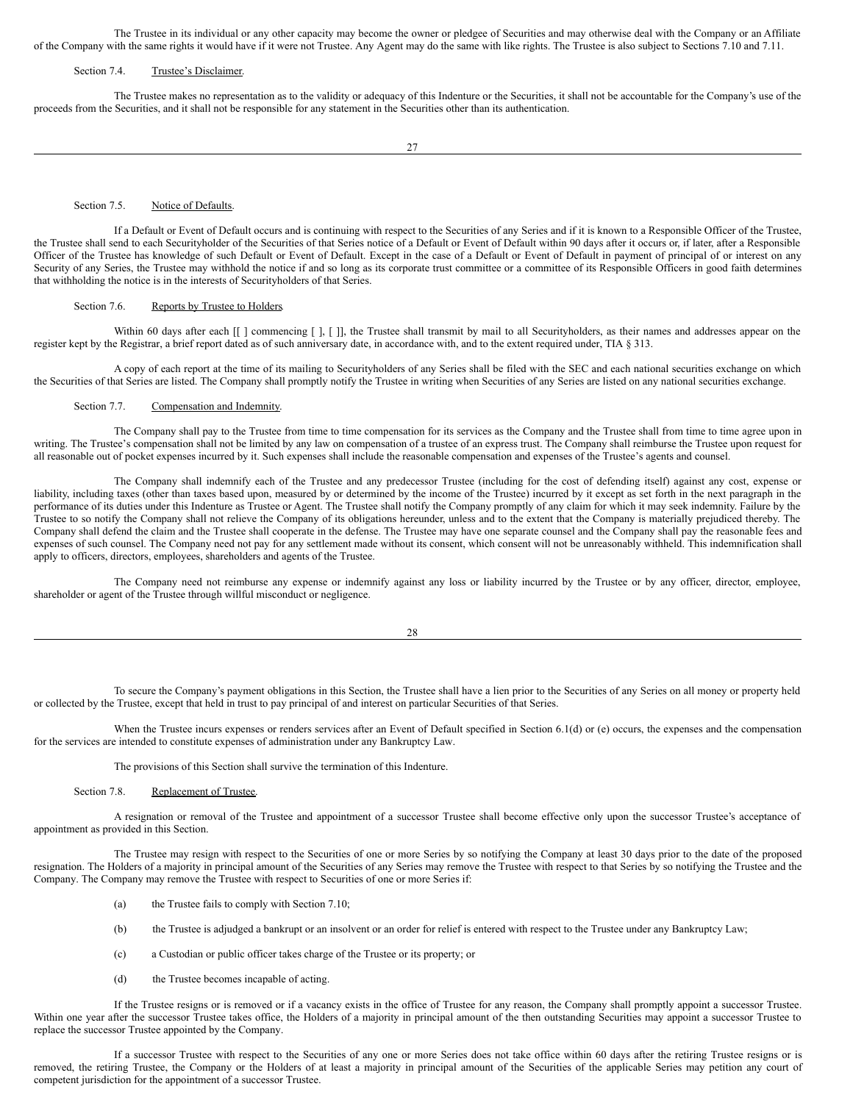The Trustee in its individual or any other capacity may become the owner or pledgee of Securities and may otherwise deal with the Company or an Affiliate of the Company with the same rights it would have if it were not Trustee. Any Agent may do the same with like rights. The Trustee is also subject to Sections 7.10 and 7.11.

## Section 7.4. Trustee's Disclaimer.

The Trustee makes no representation as to the validity or adequacy of this Indenture or the Securities, it shall not be accountable for the Company's use of the proceeds from the Securities, and it shall not be responsible for any statement in the Securities other than its authentication.

#### Section 7.5. Notice of Defaults.

If a Default or Event of Default occurs and is continuing with respect to the Securities of any Series and if it is known to a Responsible Officer of the Trustee, the Trustee shall send to each Securityholder of the Securities of that Series notice of a Default or Event of Default within 90 days after it occurs or, if later, after a Responsible Officer of the Trustee has knowledge of such Default or Event of Default. Except in the case of a Default or Event of Default in payment of principal of or interest on any Security of any Series, the Trustee may withhold the notice if and so long as its corporate trust committee or a committee of its Responsible Officers in good faith determines that withholding the notice is in the interests of Securityholders of that Series.

## Section 7.6. Reports by Trustee to Holders.

Within 60 days after each [[] commencing [], []], the Trustee shall transmit by mail to all Securityholders, as their names and addresses appear on the register kept by the Registrar, a brief report dated as of such anniversary date, in accordance with, and to the extent required under, TIA § 313.

A copy of each report at the time of its mailing to Securityholders of any Series shall be filed with the SEC and each national securities exchange on which the Securities of that Series are listed. The Company shall promptly notify the Trustee in writing when Securities of any Series are listed on any national securities exchange.

## Section 7.7. Compensation and Indemnity.

The Company shall pay to the Trustee from time to time compensation for its services as the Company and the Trustee shall from time to time agree upon in writing. The Trustee's compensation shall not be limited by any law on compensation of a trustee of an express trust. The Company shall reimburse the Trustee upon request for all reasonable out of pocket expenses incurred by it. Such expenses shall include the reasonable compensation and expenses of the Trustee's agents and counsel.

The Company shall indemnify each of the Trustee and any predecessor Trustee (including for the cost of defending itself) against any cost, expense or liability, including taxes (other than taxes based upon, measured by or determined by the income of the Trustee) incurred by it except as set forth in the next paragraph in the performance of its duties under this Indenture as Trustee or Agent. The Trustee shall notify the Company promptly of any claim for which it may seek indemnity. Failure by the Trustee to so notify the Company shall not relieve the Company of its obligations hereunder, unless and to the extent that the Company is materially prejudiced thereby. The Company shall defend the claim and the Trustee shall cooperate in the defense. The Trustee may have one separate counsel and the Company shall pay the reasonable fees and expenses of such counsel. The Company need not pay for any settlement made without its consent, which consent will not be unreasonably withheld. This indemnification shall apply to officers, directors, employees, shareholders and agents of the Trustee.

The Company need not reimburse any expense or indemnify against any loss or liability incurred by the Trustee or by any officer, director, employee, shareholder or agent of the Trustee through willful misconduct or negligence.

28

To secure the Company's payment obligations in this Section, the Trustee shall have a lien prior to the Securities of any Series on all money or property held or collected by the Trustee, except that held in trust to pay principal of and interest on particular Securities of that Series.

When the Trustee incurs expenses or renders services after an Event of Default specified in Section 6.1(d) or (e) occurs, the expenses and the compensation for the services are intended to constitute expenses of administration under any Bankruptcy Law.

The provisions of this Section shall survive the termination of this Indenture.

## Section 7.8. Replacement of Trustee.

A resignation or removal of the Trustee and appointment of a successor Trustee shall become effective only upon the successor Trustee's acceptance of appointment as provided in this Section.

The Trustee may resign with respect to the Securities of one or more Series by so notifying the Company at least 30 days prior to the date of the proposed resignation. The Holders of a majority in principal amount of the Securities of any Series may remove the Trustee with respect to that Series by so notifying the Trustee and the Company. The Company may remove the Trustee with respect to Securities of one or more Series if:

- (a) the Trustee fails to comply with Section 7.10;
- (b) the Trustee is adjudged a bankrupt or an insolvent or an order for relief is entered with respect to the Trustee under any Bankruptcy Law;
- (c) a Custodian or public officer takes charge of the Trustee or its property; or
- (d) the Trustee becomes incapable of acting.

If the Trustee resigns or is removed or if a vacancy exists in the office of Trustee for any reason, the Company shall promptly appoint a successor Trustee. Within one year after the successor Trustee takes office, the Holders of a majority in principal amount of the then outstanding Securities may appoint a successor Trustee to replace the successor Trustee appointed by the Company.

If a successor Trustee with respect to the Securities of any one or more Series does not take office within 60 days after the retiring Trustee resigns or is removed, the retiring Trustee, the Company or the Holders of at least a majority in principal amount of the Securities of the applicable Series may petition any court of competent jurisdiction for the appointment of a successor Trustee.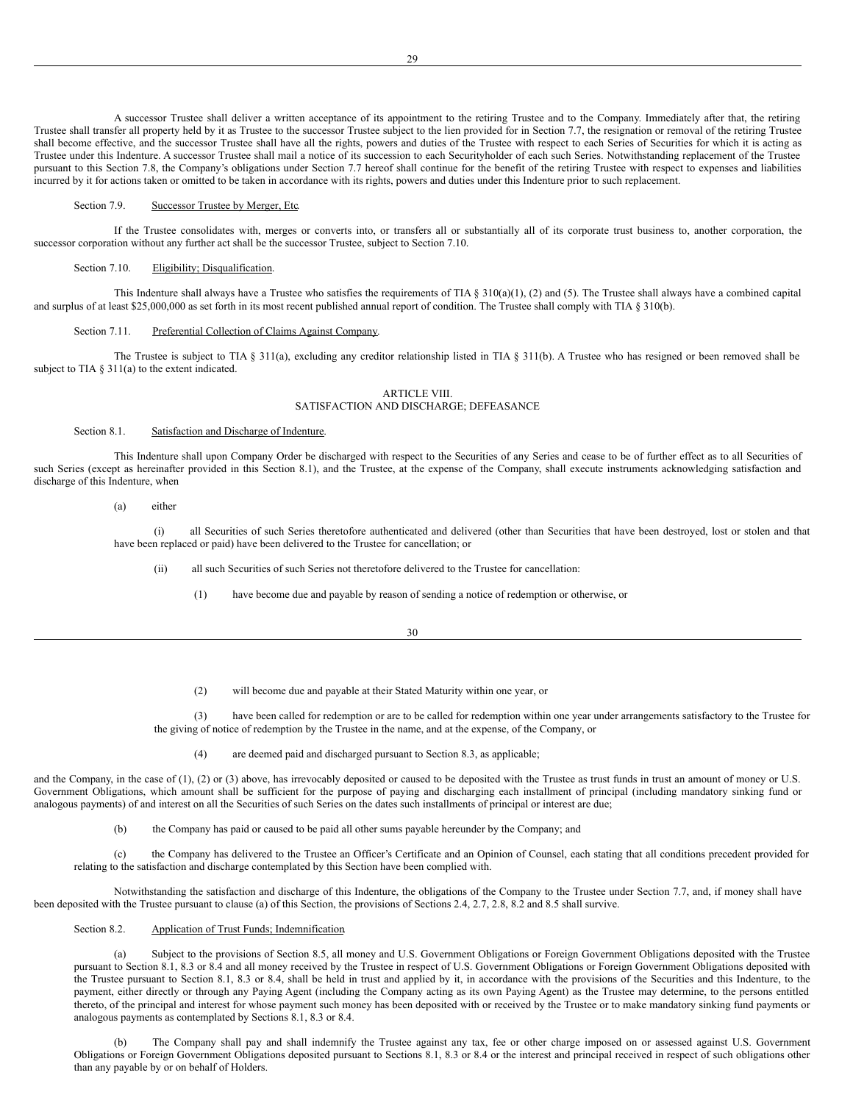A successor Trustee shall deliver a written acceptance of its appointment to the retiring Trustee and to the Company. Immediately after that, the retiring Trustee shall transfer all property held by it as Trustee to the successor Trustee subject to the lien provided for in Section 7.7, the resignation or removal of the retiring Trustee shall become effective, and the successor Trustee shall have all the rights, powers and duties of the Trustee with respect to each Series of Securities for which it is acting as Trustee under this Indenture. A successor Trustee shall mail a notice of its succession to each Securityholder of each such Series. Notwithstanding replacement of the Trustee pursuant to this Section 7.8, the Company's obligations under Section 7.7 hereof shall continue for the benefit of the retiring Trustee with respect to expenses and liabilities incurred by it for actions taken or omitted to be taken in accordance with its rights, powers and duties under this Indenture prior to such replacement.

## Section 7.9. Successor Trustee by Merger, Etc.

If the Trustee consolidates with, merges or converts into, or transfers all or substantially all of its corporate trust business to, another corporation, the successor corporation without any further act shall be the successor Trustee, subject to Section 7.10.

## Section 7.10. Eligibility; Disqualification.

This Indenture shall always have a Trustee who satisfies the requirements of TIA §  $310(a)(1)$ , (2) and (5). The Trustee shall always have a combined capital and surplus of at least \$25,000,000 as set forth in its most recent published annual report of condition. The Trustee shall comply with TIA § 310(b).

## Section 7.11. Preferential Collection of Claims Against Company.

The Trustee is subject to TIA § 311(a), excluding any creditor relationship listed in TIA § 311(b). A Trustee who has resigned or been removed shall be subject to TIA § 311(a) to the extent indicated.

## ARTICLE VIII. SATISFACTION AND DISCHARGE; DEFEASANCE

## Section 8.1. Satisfaction and Discharge of Indenture.

This Indenture shall upon Company Order be discharged with respect to the Securities of any Series and cease to be of further effect as to all Securities of such Series (except as hereinafter provided in this Section 8.1), and the Trustee, at the expense of the Company, shall execute instruments acknowledging satisfaction and discharge of this Indenture, when

(a) either

(i) all Securities of such Series theretofore authenticated and delivered (other than Securities that have been destroyed, lost or stolen and that have been replaced or paid) have been delivered to the Trustee for cancellation; or

- (ii) all such Securities of such Series not theretofore delivered to the Trustee for cancellation:
	- (1) have become due and payable by reason of sending a notice of redemption or otherwise, or

30

(2) will become due and payable at their Stated Maturity within one year, or

(3) have been called for redemption or are to be called for redemption within one year under arrangements satisfactory to the Trustee for the giving of notice of redemption by the Trustee in the name, and at the expense, of the Company, or

(4) are deemed paid and discharged pursuant to Section 8.3, as applicable;

and the Company, in the case of (1), (2) or (3) above, has irrevocably deposited or caused to be deposited with the Trustee as trust funds in trust an amount of money or U.S. Government Obligations, which amount shall be sufficient for the purpose of paying and discharging each installment of principal (including mandatory sinking fund or analogous payments) of and interest on all the Securities of such Series on the dates such installments of principal or interest are due;

(b) the Company has paid or caused to be paid all other sums payable hereunder by the Company; and

(c) the Company has delivered to the Trustee an Officer's Certificate and an Opinion of Counsel, each stating that all conditions precedent provided for relating to the satisfaction and discharge contemplated by this Section have been complied with.

Notwithstanding the satisfaction and discharge of this Indenture, the obligations of the Company to the Trustee under Section 7.7, and, if money shall have been deposited with the Trustee pursuant to clause (a) of this Section, the provisions of Sections 2.4, 2.7, 2.8, 8.2 and 8.5 shall survive.

#### Section 8.2. Application of Trust Funds; Indemnification.

(a) Subject to the provisions of Section 8.5, all money and U.S. Government Obligations or Foreign Government Obligations deposited with the Trustee pursuant to Section 8.1, 8.3 or 8.4 and all money received by the Trustee in respect of U.S. Government Obligations or Foreign Government Obligations deposited with .<br>the Trustee pursuant to Section 8.1, 8.3 or 8.4, shall be held in trust and applied by it, in accordance with the provisions of the Securities and this Indenture, to the payment, either directly or through any Paying Agent (including the Company acting as its own Paying Agent) as the Trustee may determine, to the persons entitled thereto, of the principal and interest for whose payment such money has been deposited with or received by the Trustee or to make mandatory sinking fund payments or analogous payments as contemplated by Sections 8.1, 8.3 or 8.4.

The Company shall pay and shall indemnify the Trustee against any tax, fee or other charge imposed on or assessed against U.S. Government Obligations or Foreign Government Obligations deposited pursuant to Sections 8.1, 8.3 or 8.4 or the interest and principal received in respect of such obligations other than any payable by or on behalf of Holders.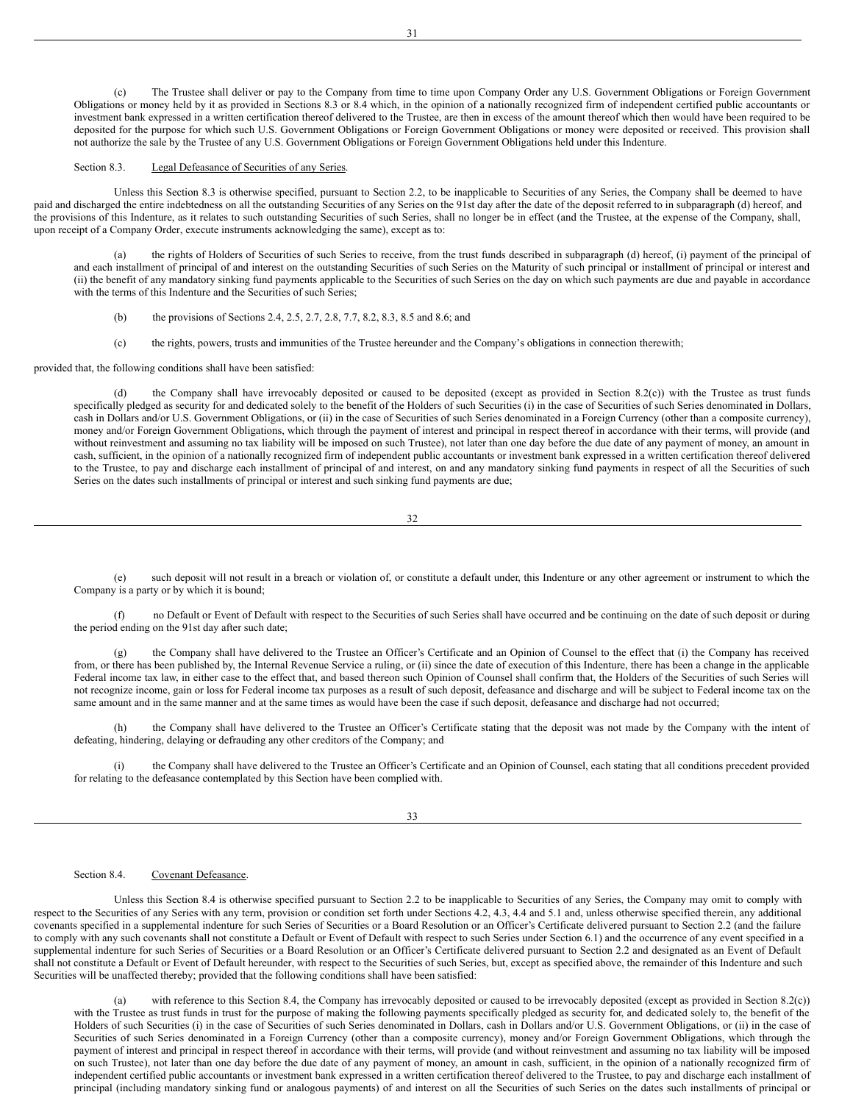(c) The Trustee shall deliver or pay to the Company from time to time upon Company Order any U.S. Government Obligations or Foreign Government Obligations or money held by it as provided in Sections 8.3 or 8.4 which, in the opinion of a nationally recognized firm of independent certified public accountants or investment bank expressed in a written certification thereof delivered to the Trustee, are then in excess of the amount thereof which then would have been required to be deposited for the purpose for which such U.S. Government Obligations or Foreign Government Obligations or money were deposited or received. This provision shall not authorize the sale by the Trustee of any U.S. Government Obligations or Foreign Government Obligations held under this Indenture.

#### Section 8.3. Legal Defeasance of Securities of any Series.

Unless this Section 8.3 is otherwise specified, pursuant to Section 2.2, to be inapplicable to Securities of any Series, the Company shall be deemed to have paid and discharged the entire indebtedness on all the outstanding Securities of any Series on the 91st day after the date of the deposit referred to in subparagraph (d) hereof, and the provisions of this Indenture, as it relates to such outstanding Securities of such Series, shall no longer be in effect (and the Trustee, at the expense of the Company, shall, upon receipt of a Company Order, execute instruments acknowledging the same), except as to:

(a) the rights of Holders of Securities of such Series to receive, from the trust funds described in subparagraph (d) hereof, (i) payment of the principal of and each installment of principal of and interest on the outstanding Securities of such Series on the Maturity of such principal or installment of principal or interest and (ii) the benefit of any mandatory sinking fund payments applicable to the Securities of such Series on the day on which such payments are due and payable in accordance with the terms of this Indenture and the Securities of such Series;

- (b) the provisions of Sections 2.4, 2.5, 2.7, 2.8, 7.7, 8.2, 8.3, 8.5 and 8.6; and
- (c) the rights, powers, trusts and immunities of the Trustee hereunder and the Company's obligations in connection therewith;

## provided that, the following conditions shall have been satisfied:

(d) the Company shall have irrevocably deposited or caused to be deposited (except as provided in Section 8.2(c)) with the Trustee as trust funds specifically pledged as security for and dedicated solely to the benefit of the Holders of such Securities (i) in the case of Securities of such Series denominated in Dollars, cash in Dollars and/or U.S. Government Obligations, or (ii) in the case of Securities of such Series denominated in a Foreign Currency (other than a composite currency), money and/or Foreign Government Obligations, which through the payment of interest and principal in respect thereof in accordance with their terms, will provide (and without reinvestment and assuming no tax liability will be imposed on such Trustee), not later than one day before the due date of any payment of money, an amount in cash, sufficient, in the opinion of a nationally recognized firm of independent public accountants or investment bank expressed in a written certification thereof delivered to the Trustee, to pay and discharge each installment of principal of and interest, on and any mandatory sinking fund payments in respect of all the Securities of such Series on the dates such installments of principal or interest and such sinking fund payments are due;

32

(e) such deposit will not result in a breach or violation of, or constitute a default under, this Indenture or any other agreement or instrument to which the Company is a party or by which it is bound;

(f) no Default or Event of Default with respect to the Securities of such Series shall have occurred and be continuing on the date of such deposit or during the period ending on the 91st day after such date;

(g) the Company shall have delivered to the Trustee an Officer's Certificate and an Opinion of Counsel to the effect that (i) the Company has received from, or there has been published by, the Internal Revenue Service a ruling, or (ii) since the date of execution of this Indenture, there has been a change in the applicable Federal income tax law, in either case to the effect that, and based thereon such Opinion of Counsel shall confirm that, the Holders of the Securities of such Series will not recognize income, gain or loss for Federal income tax purposes as a result of such deposit, defeasance and discharge and will be subject to Federal income tax on the same amount and in the same manner and at the same times as would have been the case if such deposit, defeasance and discharge had not occurred;

the Company shall have delivered to the Trustee an Officer's Certificate stating that the deposit was not made by the Company with the intent of defeating, hindering, delaying or defrauding any other creditors of the Company; and

(i) the Company shall have delivered to the Trustee an Officer's Certificate and an Opinion of Counsel, each stating that all conditions precedent provided for relating to the defeasance contemplated by this Section have been complied with.

## Section 8.4. Covenant Defeasance.

Unless this Section 8.4 is otherwise specified pursuant to Section 2.2 to be inapplicable to Securities of any Series, the Company may omit to comply with respect to the Securities of any Series with any term, provision or condition set forth under Sections 4.2, 4.3, 4.4 and 5.1 and, unless otherwise specified therein, any additional covenants specified in a supplemental indenture for such Series of Securities or a Board Resolution or an Officer's Certificate delivered pursuant to Section 2.2 (and the failure to comply with any such covenants shall not constitute a Default or Event of Default with respect to such Series under Section 6.1) and the occurrence of any event specified in a supplemental indenture for such Series of Securities or a Board Resolution or an Officer's Certificate delivered pursuant to Section 2.2 and designated as an Event of Default shall not constitute a Default or Event of Default hereunder, with respect to the Securities of such Series, but, except as specified above, the remainder of this Indenture and such Securities will be unaffected thereby; provided that the following conditions shall have been satisfied:

(a) with reference to this Section 8.4, the Company has irrevocably deposited or caused to be irrevocably deposited (except as provided in Section 8.2(c)) with the Trustee as trust funds in trust for the purpose of making the following payments specifically pledged as security for, and dedicated solely to, the benefit of the Holders of such Securities (i) in the case of Securities of such Series denominated in Dollars, cash in Dollars and/or U.S. Government Obligations, or (ii) in the case of Securities of such Series denominated in a Foreign Currency (other than a composite currency), money and/or Foreign Government Obligations, which through the payment of interest and principal in respect thereof in accordance with their terms, will provide (and without reinvestment and assuming no tax liability will be imposed on such Trustee), not later than one day before the due date of any payment of money, an amount in cash, sufficient, in the opinion of a nationally recognized firm of independent certified public accountants or investment bank expressed in a written certification thereof delivered to the Trustee, to pay and discharge each installment of principal (including mandatory sinking fund or analogous payments) of and interest on all the Securities of such Series on the dates such installments of principal or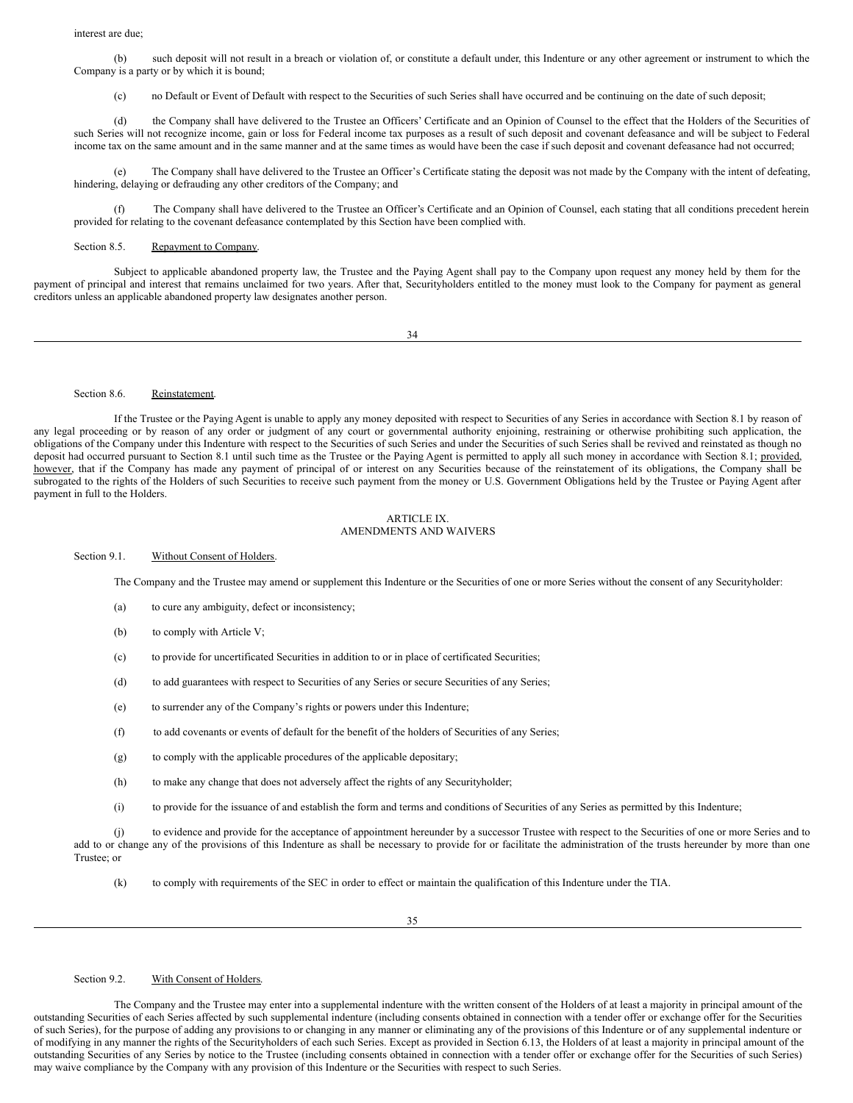interest are due;

(b) such deposit will not result in a breach or violation of, or constitute a default under, this Indenture or any other agreement or instrument to which the Company is a party or by which it is bound;

(c) no Default or Event of Default with respect to the Securities of such Series shall have occurred and be continuing on the date of such deposit;

(d) the Company shall have delivered to the Trustee an Officers' Certificate and an Opinion of Counsel to the effect that the Holders of the Securities of such Series will not recognize income, gain or loss for Federal income tax purposes as a result of such deposit and covenant defeasance and will be subject to Federal income tax on the same amount and in the same manner and at the same times as would have been the case if such deposit and covenant defeasance had not occurred;

The Company shall have delivered to the Trustee an Officer's Certificate stating the deposit was not made by the Company with the intent of defeating, hindering, delaying or defrauding any other creditors of the Company; and

(f) The Company shall have delivered to the Trustee an Officer's Certificate and an Opinion of Counsel, each stating that all conditions precedent herein provided for relating to the covenant defeasance contemplated by this Section have been complied with.

## Section 8.5. Repayment to Company.

Subject to applicable abandoned property law, the Trustee and the Paying Agent shall pay to the Company upon request any money held by them for the payment of principal and interest that remains unclaimed for two years. After that, Securityholders entitled to the money must look to the Company for payment as general creditors unless an applicable abandoned property law designates another person.

34

#### Section 8.6. Reinstatement.

If the Trustee or the Paying Agent is unable to apply any money deposited with respect to Securities of any Series in accordance with Section 8.1 by reason of any legal proceeding or by reason of any order or judgment of any court or governmental authority enjoining, restraining or otherwise prohibiting such application, the obligations of the Company under this Indenture with respect to the Securities of such Series and under the Securities of such Series shall be revived and reinstated as though no deposit had occurred pursuant to Section 8.1 until such time as the Trustee or the Paying Agent is permitted to apply all such money in accordance with Section 8.1; provided, however, that if the Company has made any payment of principal of or interest on any Securities because of the reinstatement of its obligations, the Company shall be subrogated to the rights of the Holders of such Securities to receive such payment from the money or U.S. Government Obligations held by the Trustee or Paying Agent after payment in full to the Holders.

#### ARTICLE IX. AMENDMENTS AND WAIVERS

## Section 9.1. Without Consent of Holders.

The Company and the Trustee may amend or supplement this Indenture or the Securities of one or more Series without the consent of any Securityholder:

- (a) to cure any ambiguity, defect or inconsistency;
- (b) to comply with Article V;
- (c) to provide for uncertificated Securities in addition to or in place of certificated Securities;
- (d) to add guarantees with respect to Securities of any Series or secure Securities of any Series;
- (e) to surrender any of the Company's rights or powers under this Indenture;
- (f) to add covenants or events of default for the benefit of the holders of Securities of any Series;
- (g) to comply with the applicable procedures of the applicable depositary;
- (h) to make any change that does not adversely affect the rights of any Securityholder;
- (i) to provide for the issuance of and establish the form and terms and conditions of Securities of any Series as permitted by this Indenture;

(j) to evidence and provide for the acceptance of appointment hereunder by a successor Trustee with respect to the Securities of one or more Series and to add to or change any of the provisions of this Indenture as shall be necessary to provide for or facilitate the administration of the trusts hereunder by more than one Trustee; or

(k) to comply with requirements of the SEC in order to effect or maintain the qualification of this Indenture under the TIA.

## Section 9.2. With Consent of Holders.

The Company and the Trustee may enter into a supplemental indenture with the written consent of the Holders of at least a majority in principal amount of the outstanding Securities of each Series affected by such supplemental indenture (including consents obtained in connection with a tender offer or exchange offer for the Securities of such Series), for the purpose of adding any provisions to or changing in any manner or eliminating any of the provisions of this Indenture or of any supplemental indenture or of modifying in any manner the rights of the Securityholders of each such Series. Except as provided in Section 6.13, the Holders of at least a majority in principal amount of the outstanding Securities of any Series by notice to the Trustee (including consents obtained in connection with a tender offer or exchange offer for the Securities of such Series) may waive compliance by the Company with any provision of this Indenture or the Securities with respect to such Series.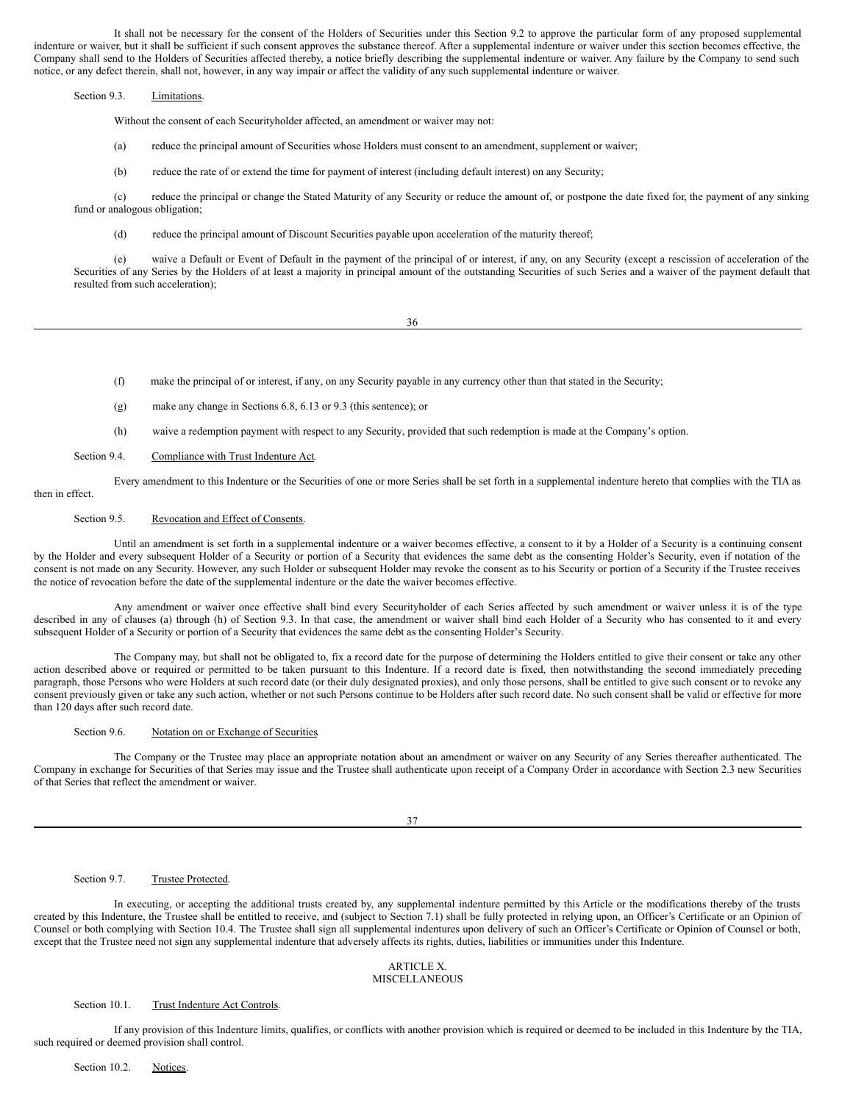It shall not be necessary for the consent of the Holders of Securities under this Section 9.2 to approve the particular form of any proposed supplemental indenture or waiver, but it shall be sufficient if such consent approves the substance thereof. After a supplemental indenture or waiver under this section becomes effective, the Company shall send to the Holders of Securities affected thereby, a notice briefly describing the supplemental indenture or waiver. Any failure by the Company to send such notice, or any defect therein, shall not, however, in any way impair or affect the validity of any such supplemental indenture or waiver.

Section 9.3. Limitations.

Without the consent of each Securityholder affected, an amendment or waiver may not:

- (a) reduce the principal amount of Securities whose Holders must consent to an amendment, supplement or waiver;
- (b) reduce the rate of or extend the time for payment of interest (including default interest) on any Security;

(c) reduce the principal or change the Stated Maturity of any Security or reduce the amount of, or postpone the date fixed for, the payment of any sinking fund or analogous obligation;

(d) reduce the principal amount of Discount Securities payable upon acceleration of the maturity thereof;

(e) waive a Default or Event of Default in the payment of the principal of or interest, if any, on any Security (except a rescission of acceleration of the Securities of any Series by the Holders of at least a majority in principal amount of the outstanding Securities of such Series and a waiver of the payment default that resulted from such acceleration);

| I<br>I<br>I<br>I<br>×<br>۰,<br>v |
|----------------------------------|
|----------------------------------|

- (f) make the principal of or interest, if any, on any Security payable in any currency other than that stated in the Security;
- (g) make any change in Sections 6.8, 6.13 or 9.3 (this sentence); or
- (h) waive a redemption payment with respect to any Security, provided that such redemption is made at the Company's option.
- Section 9.4. Compliance with Trust Indenture Act.

Every amendment to this Indenture or the Securities of one or more Series shall be set forth in a supplemental indenture hereto that complies with the TIA as

# then in effect.

## Section 9.5. Revocation and Effect of Consents.

Until an amendment is set forth in a supplemental indenture or a waiver becomes effective, a consent to it by a Holder of a Security is a continuing consent by the Holder and every subsequent Holder of a Security or portion of a Security that evidences the same debt as the consenting Holder's Security, even if notation of the consent is not made on any Security. However, any such Holder or subsequent Holder may revoke the consent as to his Security or portion of a Security if the Trustee receives the notice of revocation before the date of the supplemental indenture or the date the waiver becomes effective.

Any amendment or waiver once effective shall bind every Securityholder of each Series affected by such amendment or waiver unless it is of the type described in any of clauses (a) through (h) of Section 9.3. In that case, the amendment or waiver shall bind each Holder of a Security who has consented to it and every subsequent Holder of a Security or portion of a Security that evidences the same debt as the consenting Holder's Security.

The Company may, but shall not be obligated to, fix a record date for the purpose of determining the Holders entitled to give their consent or take any other action described above or required or permitted to be taken pursuant to this Indenture. If a record date is fixed, then notwithstanding the second immediately preceding paragraph, those Persons who were Holders at such record date (or their duly designated proxies), and only those persons, shall be entitled to give such consent or to revoke any consent previously given or take any such action, whether or not such Persons continue to be Holders after such record date. No such consent shall be valid or effective for more than 120 days after such record date.

## Section 9.6. Notation on or Exchange of Securities.

The Company or the Trustee may place an appropriate notation about an amendment or waiver on any Security of any Series thereafter authenticated. The Company in exchange for Securities of that Series may issue and the Trustee shall authenticate upon receipt of a Company Order in accordance with Section 2.3 new Securities of that Series that reflect the amendment or waiver.

## Section 9.7. Trustee Protected.

In executing, or accepting the additional trusts created by, any supplemental indenture permitted by this Article or the modifications thereby of the trusts created by this Indenture, the Trustee shall be entitled to receive, and (subject to Section 7.1) shall be fully protected in relying upon, an Officer's Certificate or an Opinion of Counsel or both complying with Section 10.4. The Trustee shall sign all supplemental indentures upon delivery of such an Officer's Certificate or Opinion of Counsel or both, except that the Trustee need not sign any supplemental indenture that adversely affects its rights, duties, liabilities or immunities under this Indenture.

#### ARTICLE X. **MISCELLANEOUS**

## Section 10.1. Trust Indenture Act Controls.

If any provision of this Indenture limits, qualifies, or conflicts with another provision which is required or deemed to be included in this Indenture by the TIA, such required or deemed provision shall control.

Section 10.2. Notices.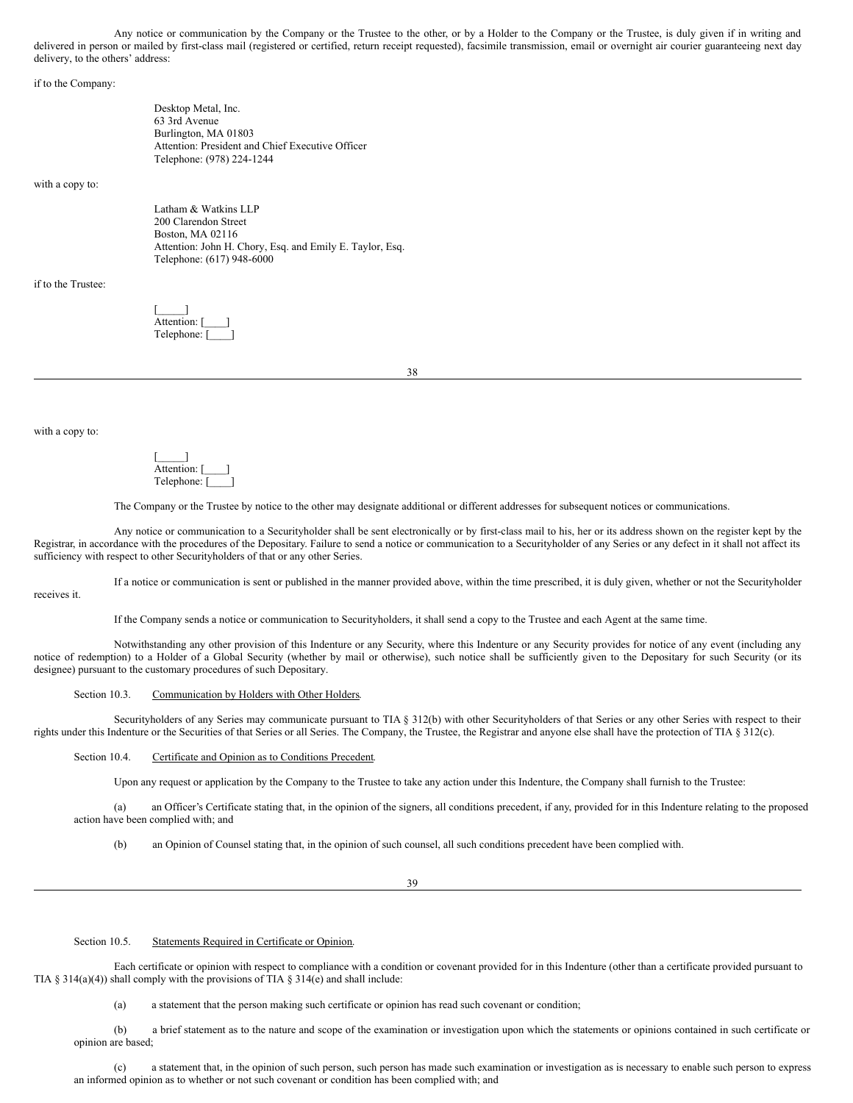Any notice or communication by the Company or the Trustee to the other, or by a Holder to the Company or the Trustee, is duly given if in writing and delivered in person or mailed by first-class mail (registered or certified, return receipt requested), facsimile transmission, email or overnight air courier guaranteeing next day delivery, to the others' address:

if to the Company:

Desktop Metal, Inc. 63 3rd Avenue Burlington, MA 01803 Attention: President and Chief Executive Officer Telephone: (978) 224-1244

with a copy to:

Latham & Watkins LLP 200 Clarendon Street Boston, MA 02116 Attention: John H. Chory, Esq. and Emily E. Taylor, Esq. Telephone: (617) 948-6000

if to the Trustee:

 $\Box$ Attention: [ Telephone: [

38

with a copy to:

 $\Box$ Attention: [ Telephone: [

The Company or the Trustee by notice to the other may designate additional or different addresses for subsequent notices or communications.

Any notice or communication to a Securityholder shall be sent electronically or by first-class mail to his, her or its address shown on the register kept by the Registrar, in accordance with the procedures of the Depositary. Failure to send a notice or communication to a Securityholder of any Series or any defect in it shall not affect its sufficiency with respect to other Securityholders of that or any other Series.

If a notice or communication is sent or published in the manner provided above, within the time prescribed, it is duly given, whether or not the Securityholder receives it.

If the Company sends a notice or communication to Securityholders, it shall send a copy to the Trustee and each Agent at the same time.

Notwithstanding any other provision of this Indenture or any Security, where this Indenture or any Security provides for notice of any event (including any notice of redemption) to a Holder of a Global Security (whether by mail or otherwise), such notice shall be sufficiently given to the Depositary for such Security (or its designee) pursuant to the customary procedures of such Depositary.

#### Section 10.3. Communication by Holders with Other Holders.

Securityholders of any Series may communicate pursuant to TIA § 312(b) with other Securityholders of that Series or any other Series with respect to their rights under this Indenture or the Securities of that Series or all Series. The Company, the Trustee, the Registrar and anyone else shall have the protection of TIA § 312(c).

#### Section 10.4. Certificate and Opinion as to Conditions Precedent.

Upon any request or application by the Company to the Trustee to take any action under this Indenture, the Company shall furnish to the Trustee:

(a) an Officer's Certificate stating that, in the opinion of the signers, all conditions precedent, if any, provided for in this Indenture relating to the proposed action have been complied with; and

(b) an Opinion of Counsel stating that, in the opinion of such counsel, all such conditions precedent have been complied with.

39

#### Section 10.5. Statements Required in Certificate or Opinion.

Each certificate or opinion with respect to compliance with a condition or covenant provided for in this Indenture (other than a certificate provided pursuant to TIA § 314(a)(4)) shall comply with the provisions of TIA § 314(e) and shall include:

(a) a statement that the person making such certificate or opinion has read such covenant or condition;

(b) a brief statement as to the nature and scope of the examination or investigation upon which the statements or opinions contained in such certificate or opinion are based;

(c) a statement that, in the opinion of such person, such person has made such examination or investigation as is necessary to enable such person to express an informed opinion as to whether or not such covenant or condition has been complied with; and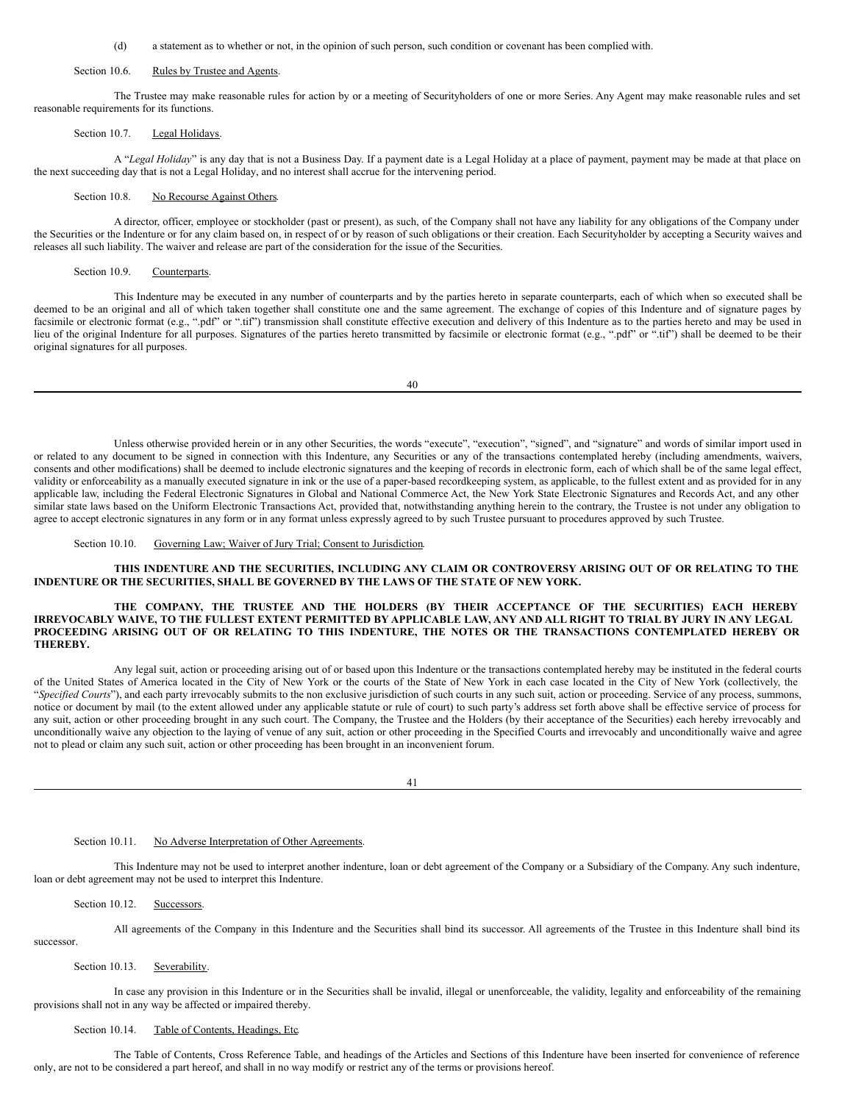(d) a statement as to whether or not, in the opinion of such person, such condition or covenant has been complied with.

#### Section 10.6. Rules by Trustee and Agents.

The Trustee may make reasonable rules for action by or a meeting of Securityholders of one or more Series. Any Agent may make reasonable rules and set reasonable requirements for its functions.

#### Section 10.7. Legal Holidays.

A "*Legal Holiday*" is any day that is not a Business Day. If a payment date is a Legal Holiday at a place of payment, payment may be made at that place on the next succeeding day that is not a Legal Holiday, and no interest shall accrue for the intervening period.

## Section 10.8. No Recourse Against Others.

A director, officer, employee or stockholder (past or present), as such, of the Company shall not have any liability for any obligations of the Company under the Securities or the Indenture or for any claim based on, in respect of or by reason of such obligations or their creation. Each Securityholder by accepting a Security waives and releases all such liability. The waiver and release are part of the consideration for the issue of the Securities.

## Section 10.9. Counterparts.

This Indenture may be executed in any number of counterparts and by the parties hereto in separate counterparts, each of which when so executed shall be deemed to be an original and all of which taken together shall constitute one and the same agreement. The exchange of copies of this Indenture and of signature pages by facsimile or electronic format (e.g., ".pdf" or ".tif") transmission shall constitute effective execution and delivery of this Indenture as to the parties hereto and may be used in lieu of the original Indenture for all purposes. Signatures of the parties hereto transmitted by facsimile or electronic format (e.g., ".pdf" or ".tif") shall be deemed to be their original signatures for all purposes.

40

Unless otherwise provided herein or in any other Securities, the words "execute", "execution", "signed", and "signature" and words of similar import used in or related to any document to be signed in connection with this Indenture, any Securities or any of the transactions contemplated hereby (including amendments, waivers, consents and other modifications) shall be deemed to include electronic signatures and the keeping of records in electronic form, each of which shall be of the same legal effect, validity or enforceability as a manually executed signature in ink or the use of a paper-based recordkeeping system, as applicable, to the fullest extent and as provided for in any applicable law, including the Federal Electronic Signatures in Global and National Commerce Act, the New York State Electronic Signatures and Records Act, and any other similar state laws based on the Uniform Electronic Transactions Act, provided that, notwithstanding anything herein to the contrary, the Trustee is not under any obligation to agree to accept electronic signatures in any form or in any format unless expressly agreed to by such Trustee pursuant to procedures approved by such Trustee.

#### Section 10.10. Governing Law; Waiver of Jury Trial; Consent to Jurisdiction.

**THIS INDENTURE AND THE SECURITIES, INCLUDING ANY CLAIM OR CONTROVERSY ARISING OUT OF OR RELATING TO THE INDENTURE OR THE SECURITIES, SHALL BE GOVERNED BY THE LAWS OF THE STATE OF NEW YORK.**

**THE COMPANY, THE TRUSTEE AND THE HOLDERS (BY THEIR ACCEPTANCE OF THE SECURITIES) EACH HEREBY** IRREVOCABLY WAIVE. TO THE FULLEST EXTENT PERMITTED BY APPLICABLE LAW, ANY AND ALL RIGHT TO TRIAL BY JURY IN ANY LEGAL PROCEEDING ARISING OUT OF OR RELATING TO THIS INDENTURE, THE NOTES OR THE TRANSACTIONS CONTEMPLATED HEREBY OR **THEREBY.**

Any legal suit, action or proceeding arising out of or based upon this Indenture or the transactions contemplated hereby may be instituted in the federal courts of the United States of America located in the City of New York or the courts of the State of New York in each case located in the City of New York (collectively, the "*Specified Courts*"), and each party irrevocably submits to the non exclusive jurisdiction of such courts in any such suit, action or proceeding. Service of any process, summons, notice or document by mail (to the extent allowed under any applicable statute or rule of court) to such party's address set forth above shall be effective service of process for any suit, action or other proceeding brought in any such court. The Company, the Trustee and the Holders (by their acceptance of the Securities) each hereby irrevocably and unconditionally waive any objection to the laying of venue of any suit, action or other proceeding in the Specified Courts and irrevocably and unconditionally waive and agree not to plead or claim any such suit, action or other proceeding has been brought in an inconvenient forum.

41

## Section 10.11. No Adverse Interpretation of Other Agreements.

This Indenture may not be used to interpret another indenture, loan or debt agreement of the Company or a Subsidiary of the Company. Any such indenture, loan or debt agreement may not be used to interpret this Indenture.

Section 10.12. Successors.

All agreements of the Company in this Indenture and the Securities shall bind its successor. All agreements of the Trustee in this Indenture shall bind its successor.

Section 10.13. Severability.

In case any provision in this Indenture or in the Securities shall be invalid, illegal or unenforceable, the validity, legality and enforceability of the remaining provisions shall not in any way be affected or impaired thereby.

#### Section 10.14. Table of Contents, Headings, Etc.

The Table of Contents, Cross Reference Table, and headings of the Articles and Sections of this Indenture have been inserted for convenience of reference only, are not to be considered a part hereof, and shall in no way modify or restrict any of the terms or provisions hereof.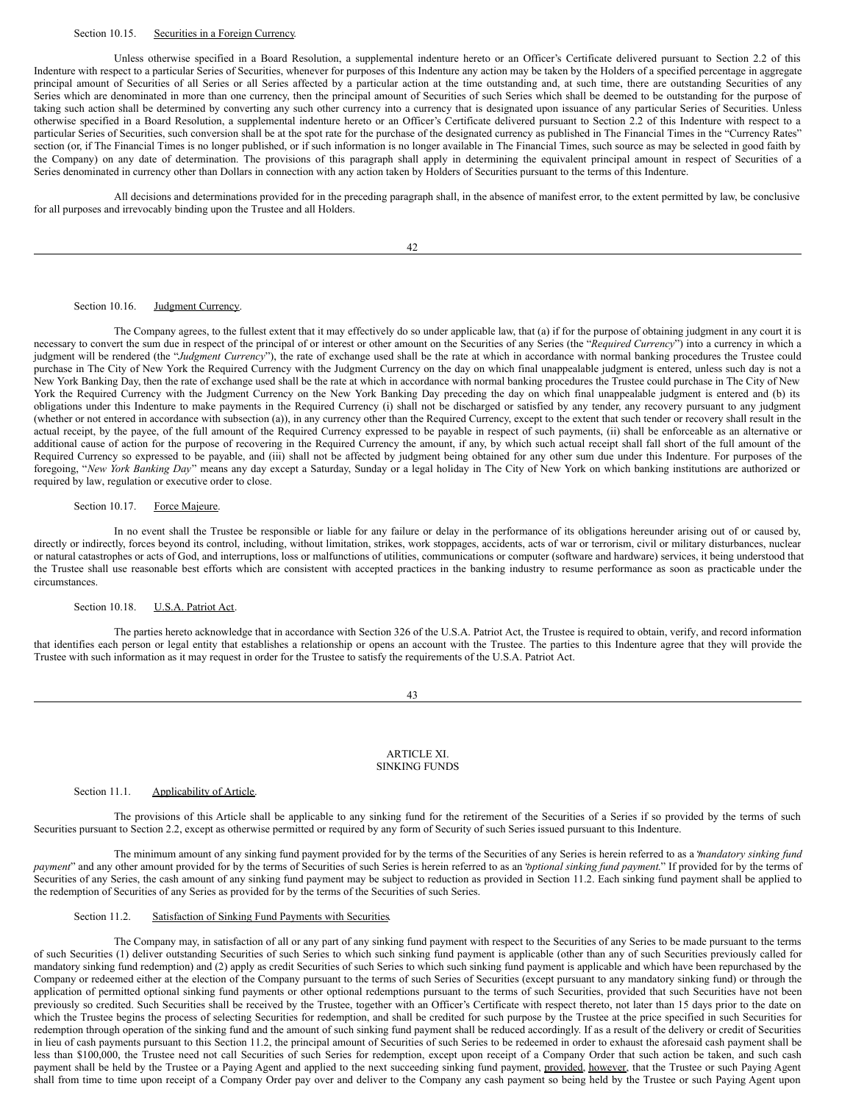#### Section 10.15. Securities in a Foreign Currency.

Unless otherwise specified in a Board Resolution, a supplemental indenture hereto or an Officer's Certificate delivered pursuant to Section 2.2 of this Indenture with respect to a particular Series of Securities, whenever for purposes of this Indenture any action may be taken by the Holders of a specified percentage in aggregate principal amount of Securities of all Series or all Series affected by a particular action at the time outstanding and, at such time, there are outstanding Securities of any Series which are denominated in more than one currency, then the principal amount of Securities of such Series which shall be deemed to be outstanding for the purpose of taking such action shall be determined by converting any such other currency into a currency that is designated upon issuance of any particular Series of Securities. Unless otherwise specified in a Board Resolution, a supplemental indenture hereto or an Officer's Certificate delivered pursuant to Section 2.2 of this Indenture with respect to a particular Series of Securities, such conversion shall be at the spot rate for the purchase of the designated currency as published in The Financial Times in the "Currency Rates" section (or, if The Financial Times is no longer published, or if such information is no longer available in The Financial Times, such source as may be selected in good faith by the Company) on any date of determination. The provisions of this paragraph shall apply in determining the equivalent principal amount in respect of Securities of a Series denominated in currency other than Dollars in connection with any action taken by Holders of Securities pursuant to the terms of this Indenture.

All decisions and determinations provided for in the preceding paragraph shall, in the absence of manifest error, to the extent permitted by law, be conclusive for all purposes and irrevocably binding upon the Trustee and all Holders.

#### Section 10.16. Judgment Currency.

The Company agrees, to the fullest extent that it may effectively do so under applicable law, that (a) if for the purpose of obtaining judgment in any court it is necessary to convert the sum due in respect of the principal of or interest or other amount on the Securities of any Series (the "*Required Currency*") into a currency in which a judgment will be rendered (the "*Judgment Currency*"), the rate of exchange used shall be the rate at which in accordance with normal banking procedures the Trustee could purchase in The City of New York the Required Currency with the Judgment Currency on the day on which final unappealable judgment is entered, unless such day is not a New York Banking Day, then the rate of exchange used shall be the rate at which in accordance with normal banking procedures the Trustee could purchase in The City of New York the Required Currency with the Judgment Currency on the New York Banking Day preceding the day on which final unappealable judgment is entered and (b) its obligations under this Indenture to make payments in the Required Currency (i) shall not be discharged or satisfied by any tender, any recovery pursuant to any judgment (whether or not entered in accordance with subsection (a)), in any currency other than the Required Currency, except to the extent that such tender or recovery shall result in the actual receipt, by the payee, of the full amount of the Required Currency expressed to be payable in respect of such payments, (ii) shall be enforceable as an alternative or additional cause of action for the purpose of recovering in the Required Currency the amount, if any, by which such actual receipt shall fall short of the full amount of the Required Currency so expressed to be payable, and (iii) shall not be affected by judgment being obtained for any other sum due under this Indenture. For purposes of the foregoing, "*New York Banking Day*" means any day except a Saturday, Sunday or a legal holiday in The City of New York on which banking institutions are authorized or required by law, regulation or executive order to close.

## Section 10.17. Force Majeure.

In no event shall the Trustee be responsible or liable for any failure or delay in the performance of its obligations hereunder arising out of or caused by, directly or indirectly, forces beyond its control, including, without limitation, strikes, work stoppages, accidents, acts of war or terrorism, civil or military disturbances, nuclear or natural catastrophes or acts of God, and interruptions, loss or malfunctions of utilities, communications or computer (software and hardware) services, it being understood that the Trustee shall use reasonable best efforts which are consistent with accepted practices in the banking industry to resume performance as soon as practicable under the circumstances.

## Section 10.18. U.S.A. Patriot Act.

The parties hereto acknowledge that in accordance with Section 326 of the U.S.A. Patriot Act, the Trustee is required to obtain, verify, and record information that identifies each person or legal entity that establishes a relationship or opens an account with the Trustee. The parties to this Indenture agree that they will provide the Trustee with such information as it may request in order for the Trustee to satisfy the requirements of the U.S.A. Patriot Act.

## ARTICLE XI. SINKING FUNDS

## Section 11.1. Applicability of Article.

The provisions of this Article shall be applicable to any sinking fund for the retirement of the Securities of a Series if so provided by the terms of such Securities pursuant to Section 2.2, except as otherwise permitted or required by any form of Security of such Series issued pursuant to this Indenture.

The minimum amount of any sinking fund payment provided for by the terms of the Securities of any Series is herein referred to as a "*mandatory sinking fund payment*" and any other amount provided for by the terms of Securities of such Series is herein referred to as an "*optional sinking fund payment*." If provided for by the terms of Securities of any Series, the cash amount of any sinking fund payment may be subject to reduction as provided in Section 11.2. Each sinking fund payment shall be applied to the redemption of Securities of any Series as provided for by the terms of the Securities of such Series.

## Section 11.2. Satisfaction of Sinking Fund Payments with Securities.

The Company may, in satisfaction of all or any part of any sinking fund payment with respect to the Securities of any Series to be made pursuant to the terms of such Securities (1) deliver outstanding Securities of such Series to which such sinking fund payment is applicable (other than any of such Securities previously called for mandatory sinking fund redemption) and (2) apply as credit Securities of such Series to which such sinking fund payment is applicable and which have been repurchased by the Company or redeemed either at the election of the Company pursuant to the terms of such Series of Securities (except pursuant to any mandatory sinking fund) or through the application of permitted optional sinking fund payments or other optional redemptions pursuant to the terms of such Securities, provided that such Securities have not been previously so credited. Such Securities shall be received by the Trustee, together with an Officer's Certificate with respect thereto, not later than 15 days prior to the date on which the Trustee begins the process of selecting Securities for redemption, and shall be credited for such purpose by the Trustee at the price specified in such Securities for redemption through operation of the sinking fund and the amount of such sinking fund payment shall be reduced accordingly. If as a result of the delivery or credit of Securities in lieu of cash payments pursuant to this Section 11.2, the principal amount of Securities of such Series to be redeemed in order to exhaust the aforesaid cash payment shall be less than \$100,000, the Trustee need not call Securities of such Series for redemption, except upon receipt of a Company Order that such action be taken, and such cash payment shall be held by the Trustee or a Paying Agent and applied to the next succeeding sinking fund payment, provided, however, that the Trustee or such Paying Agent shall from time to time upon receipt of a Company Order pay over and deliver to the Company any cash payment so being held by the Trustee or such Paying Agent upon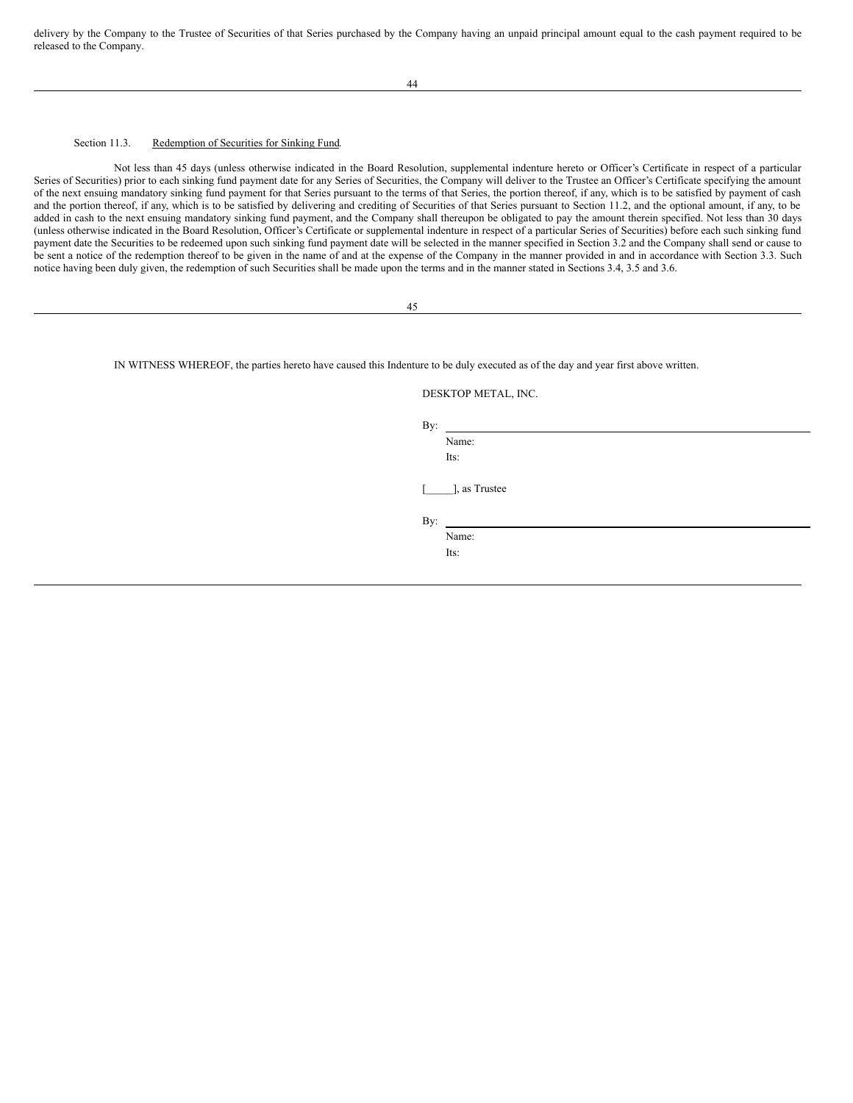delivery by the Company to the Trustee of Securities of that Series purchased by the Company having an unpaid principal amount equal to the cash payment required to be released to the Company.

| 44                                                                                                                                                                                                                                                                                                                                                                                                                                                                                                                                                                                                                                                                                                                                                                                                                                                                                                                                                                                                                                                                                                                                                                                                                                                                                                                                                                                                                                                                                                                                                                                                                        |  |  |  |  |  |  |  |
|---------------------------------------------------------------------------------------------------------------------------------------------------------------------------------------------------------------------------------------------------------------------------------------------------------------------------------------------------------------------------------------------------------------------------------------------------------------------------------------------------------------------------------------------------------------------------------------------------------------------------------------------------------------------------------------------------------------------------------------------------------------------------------------------------------------------------------------------------------------------------------------------------------------------------------------------------------------------------------------------------------------------------------------------------------------------------------------------------------------------------------------------------------------------------------------------------------------------------------------------------------------------------------------------------------------------------------------------------------------------------------------------------------------------------------------------------------------------------------------------------------------------------------------------------------------------------------------------------------------------------|--|--|--|--|--|--|--|
|                                                                                                                                                                                                                                                                                                                                                                                                                                                                                                                                                                                                                                                                                                                                                                                                                                                                                                                                                                                                                                                                                                                                                                                                                                                                                                                                                                                                                                                                                                                                                                                                                           |  |  |  |  |  |  |  |
| Section 11.3.<br>Redemption of Securities for Sinking Fund.                                                                                                                                                                                                                                                                                                                                                                                                                                                                                                                                                                                                                                                                                                                                                                                                                                                                                                                                                                                                                                                                                                                                                                                                                                                                                                                                                                                                                                                                                                                                                               |  |  |  |  |  |  |  |
| Not less than 45 days (unless otherwise indicated in the Board Resolution, supplemental indenture hereto or Officer's Certificate in respect of a particular<br>Series of Securities) prior to each sinking fund payment date for any Series of Securities, the Company will deliver to the Trustee an Officer's Certificate specifying the amount<br>of the next ensuing mandatory sinking fund payment for that Series pursuant to the terms of that Series, the portion thereof, if any, which is to be satisfied by payment of cash<br>and the portion thereof, if any, which is to be satisfied by delivering and crediting of Securities of that Series pursuant to Section 11.2, and the optional amount, if any, to be<br>added in cash to the next ensuing mandatory sinking fund payment, and the Company shall thereupon be obligated to pay the amount therein specified. Not less than 30 days<br>(unless otherwise indicated in the Board Resolution, Officer's Certificate or supplemental indenture in respect of a particular Series of Securities) before each such sinking fund<br>payment date the Securities to be redeemed upon such sinking fund payment date will be selected in the manner specified in Section 3.2 and the Company shall send or cause to<br>be sent a notice of the redemption thereof to be given in the name of and at the expense of the Company in the manner provided in and in accordance with Section 3.3. Such<br>notice having been duly given, the redemption of such Securities shall be made upon the terms and in the manner stated in Sections 3.4, 3.5 and 3.6. |  |  |  |  |  |  |  |
| 45                                                                                                                                                                                                                                                                                                                                                                                                                                                                                                                                                                                                                                                                                                                                                                                                                                                                                                                                                                                                                                                                                                                                                                                                                                                                                                                                                                                                                                                                                                                                                                                                                        |  |  |  |  |  |  |  |
| IN WITNESS WHEREOF, the parties hereto have caused this Indenture to be duly executed as of the day and year first above written.<br>DESKTOP METAL, INC.                                                                                                                                                                                                                                                                                                                                                                                                                                                                                                                                                                                                                                                                                                                                                                                                                                                                                                                                                                                                                                                                                                                                                                                                                                                                                                                                                                                                                                                                  |  |  |  |  |  |  |  |
|                                                                                                                                                                                                                                                                                                                                                                                                                                                                                                                                                                                                                                                                                                                                                                                                                                                                                                                                                                                                                                                                                                                                                                                                                                                                                                                                                                                                                                                                                                                                                                                                                           |  |  |  |  |  |  |  |
| By:                                                                                                                                                                                                                                                                                                                                                                                                                                                                                                                                                                                                                                                                                                                                                                                                                                                                                                                                                                                                                                                                                                                                                                                                                                                                                                                                                                                                                                                                                                                                                                                                                       |  |  |  |  |  |  |  |
| Name:                                                                                                                                                                                                                                                                                                                                                                                                                                                                                                                                                                                                                                                                                                                                                                                                                                                                                                                                                                                                                                                                                                                                                                                                                                                                                                                                                                                                                                                                                                                                                                                                                     |  |  |  |  |  |  |  |
| Its:                                                                                                                                                                                                                                                                                                                                                                                                                                                                                                                                                                                                                                                                                                                                                                                                                                                                                                                                                                                                                                                                                                                                                                                                                                                                                                                                                                                                                                                                                                                                                                                                                      |  |  |  |  |  |  |  |

[\_\_\_\_\_], as Trustee

Name: Its:

By: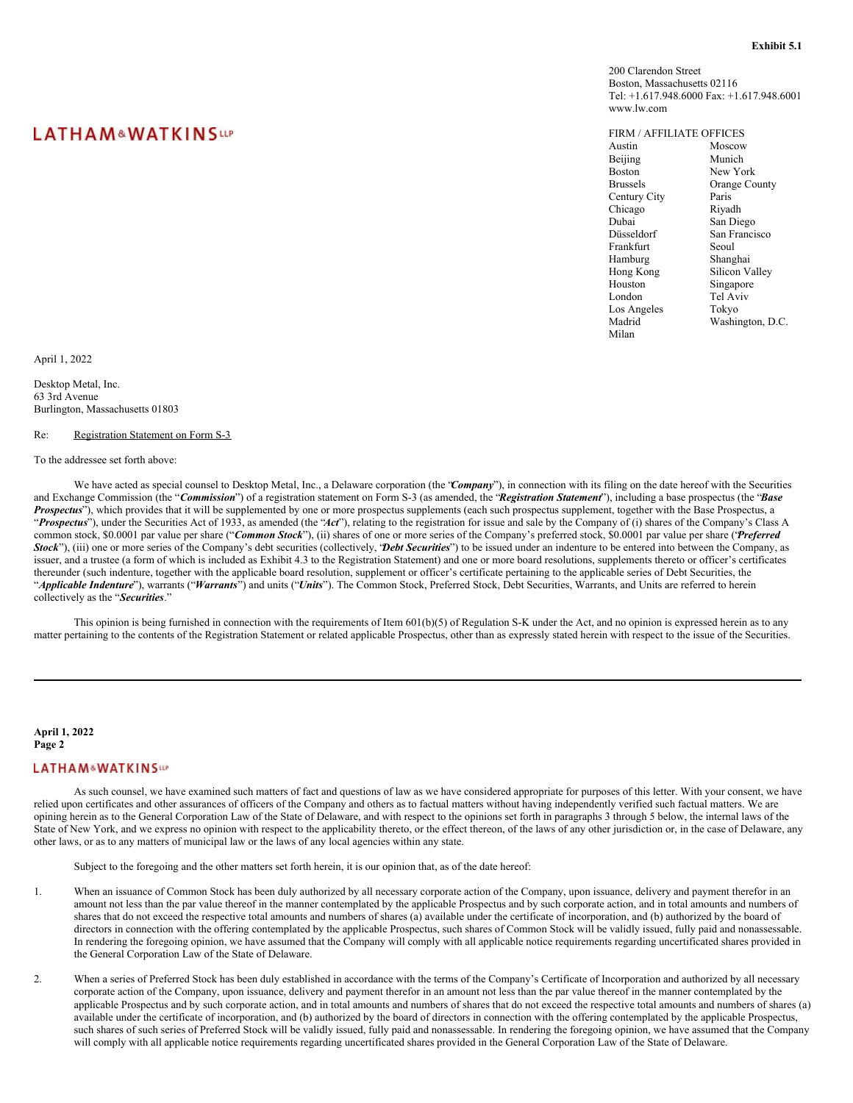# <span id="page-59-0"></span>**LATHAM&WATKINSUP**

200 Clarendon Street Boston, Massachusetts 02116 Tel: +1.617.948.6000 Fax: +1.617.948.6001 www.lw.com

## FIRM / AFFILIATE OFFICES

Austin Moscow Beijing Munich Boston New York Brussels Orange County Century City Paris Chicago Riyadh Dubai San Diego Düsseldorf San Francisco Frankfurt Seoul<br>Hamburg Shang Shanghai Hong Kong Silicon Valley Houston Singapore London Tel Aviv Los Angeles Tokyo Madrid Washington, D.C. Milan

April 1, 2022

Desktop Metal, Inc. 63 3rd Avenue Burlington, Massachusetts 01803

Re: Registration Statement on Form S-3

## To the addressee set forth above:

We have acted as special counsel to Desktop Metal, Inc., a Delaware corporation (the "Company"), in connection with its filing on the date hereof with the Securities and Exchange Commission (the "*Commission*") of a registration statement on Form S-3 (as amended, the "*Registration Statement*"), including a base prospectus (the "*Base Prospectus*"), which provides that it will be supplemented by one or more prospectus supplements (each such prospectus supplement, together with the Base Prospectus, a "*Prospectus*"), under the Securities Act of 1933, as amended (the "*Act*"), relating to the registration for issue and sale by the Company of (i) shares of the Company's Class A common stock, \$0.0001 par value per share ("*Common Stock*"), (ii) shares of one or more series of the Company's preferred stock, \$0.0001 par value per share ("*Preferred* **Stock**"), (iii) one or more series of the Company's debt securities (collectively, *'Debt Securities*") to be issued under an indenture to be entered into between the Company, as issuer, and a trustee (a form of which is included as Exhibit 4.3 to the Registration Statement) and one or more board resolutions, supplements thereto or officer's certificates thereunder (such indenture, together with the applicable board resolution, supplement or officer's certificate pertaining to the applicable series of Debt Securities, the "*Applicable Indenture*"), warrants ("*Warrants*") and units ("*Units*"). The Common Stock, Preferred Stock, Debt Securities, Warrants, and Units are referred to herein collectively as the "*Securities*."

This opinion is being furnished in connection with the requirements of Item 601(b)(5) of Regulation S-K under the Act, and no opinion is expressed herein as to any matter pertaining to the contents of the Registration Statement or related applicable Prospectus, other than as expressly stated herein with respect to the issue of the Securities.

#### **April 1, 2022 Page 2**

## **LATHAM&WATKINSWP**

As such counsel, we have examined such matters of fact and questions of law as we have considered appropriate for purposes of this letter. With your consent, we have relied upon certificates and other assurances of officers of the Company and others as to factual matters without having independently verified such factual matters. We are opining herein as to the General Corporation Law of the State of Delaware, and with respect to the opinions set forth in paragraphs 3 through 5 below, the internal laws of the State of New York, and we express no opinion with respect to the applicability thereto, or the effect thereon, of the laws of any other jurisdiction or, in the case of Delaware, any other laws, or as to any matters of municipal law or the laws of any local agencies within any state.

Subject to the foregoing and the other matters set forth herein, it is our opinion that, as of the date hereof:

- 1. When an issuance of Common Stock has been duly authorized by all necessary corporate action of the Company, upon issuance, delivery and payment therefor in an amount not less than the par value thereof in the manner contemplated by the applicable Prospectus and by such corporate action, and in total amounts and numbers of shares that do not exceed the respective total amounts and numbers of shares (a) available under the certificate of incorporation, and (b) authorized by the board of directors in connection with the offering contemplated by the applicable Prospectus, such shares of Common Stock will be validly issued, fully paid and nonassessable. In rendering the foregoing opinion, we have assumed that the Company will comply with all applicable notice requirements regarding uncertificated shares provided in the General Corporation Law of the State of Delaware.
- 2. When a series of Preferred Stock has been duly established in accordance with the terms of the Company's Certificate of Incorporation and authorized by all necessary corporate action of the Company, upon issuance, delivery and payment therefor in an amount not less than the par value thereof in the manner contemplated by the applicable Prospectus and by such corporate action, and in total amounts and numbers of shares that do not exceed the respective total amounts and numbers of shares (a) available under the certificate of incorporation, and (b) authorized by the board of directors in connection with the offering contemplated by the applicable Prospectus, such shares of such series of Preferred Stock will be validly issued, fully paid and nonassessable. In rendering the foregoing opinion, we have assumed that the Company will comply with all applicable notice requirements regarding uncertificated shares provided in the General Corporation Law of the State of Delaware.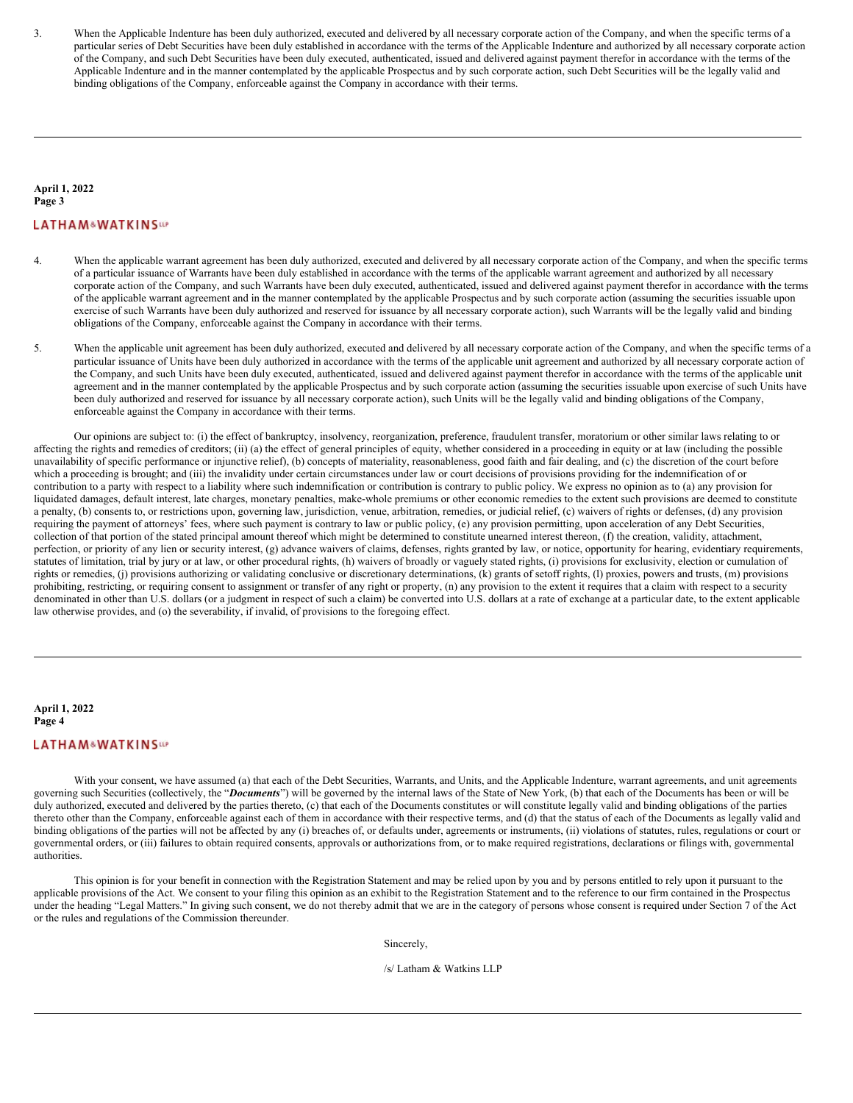3. When the Applicable Indenture has been duly authorized, executed and delivered by all necessary corporate action of the Company, and when the specific terms of a particular series of Debt Securities have been duly established in accordance with the terms of the Applicable Indenture and authorized by all necessary corporate action of the Company, and such Debt Securities have been duly executed, authenticated, issued and delivered against payment therefor in accordance with the terms of the Applicable Indenture and in the manner contemplated by the applicable Prospectus and by such corporate action, such Debt Securities will be the legally valid and binding obligations of the Company, enforceable against the Company in accordance with their terms.

# **April 1, 2022 Page 3 LATHAM&WATKINSWP**

- 4. When the applicable warrant agreement has been duly authorized, executed and delivered by all necessary corporate action of the Company, and when the specific terms of a particular issuance of Warrants have been duly established in accordance with the terms of the applicable warrant agreement and authorized by all necessary corporate action of the Company, and such Warrants have been duly executed, authenticated, issued and delivered against payment therefor in accordance with the terms of the applicable warrant agreement and in the manner contemplated by the applicable Prospectus and by such corporate action (assuming the securities issuable upon exercise of such Warrants have been duly authorized and reserved for issuance by all necessary corporate action), such Warrants will be the legally valid and binding obligations of the Company, enforceable against the Company in accordance with their terms.
- 5. When the applicable unit agreement has been duly authorized, executed and delivered by all necessary corporate action of the Company, and when the specific terms of a particular issuance of Units have been duly authorized in accordance with the terms of the applicable unit agreement and authorized by all necessary corporate action of the Company, and such Units have been duly executed, authenticated, issued and delivered against payment therefor in accordance with the terms of the applicable unit agreement and in the manner contemplated by the applicable Prospectus and by such corporate action (assuming the securities issuable upon exercise of such Units have been duly authorized and reserved for issuance by all necessary corporate action), such Units will be the legally valid and binding obligations of the Company, enforceable against the Company in accordance with their terms.

Our opinions are subject to: (i) the effect of bankruptcy, insolvency, reorganization, preference, fraudulent transfer, moratorium or other similar laws relating to or affecting the rights and remedies of creditors; (ii) (a) the effect of general principles of equity, whether considered in a proceeding in equity or at law (including the possible unavailability of specific performance or injunctive relief), (b) concepts of materiality, reasonableness, good faith and fair dealing, and (c) the discretion of the court before which a proceeding is brought; and (iii) the invalidity under certain circumstances under law or court decisions of provisions providing for the indemnification of or contribution to a party with respect to a liability where such indemnification or contribution is contrary to public policy. We express no opinion as to (a) any provision for liquidated damages, default interest, late charges, monetary penalties, make-whole premiums or other economic remedies to the extent such provisions are deemed to constitute a penalty, (b) consents to, or restrictions upon, governing law, jurisdiction, venue, arbitration, remedies, or judicial relief, (c) waivers of rights or defenses, (d) any provision requiring the payment of attorneys' fees, where such payment is contrary to law or public policy, (e) any provision permitting, upon acceleration of any Debt Securities, collection of that portion of the stated principal amount thereof which might be determined to constitute unearned interest thereon, (f) the creation, validity, attachment, perfection, or priority of any lien or security interest, (g) advance waivers of claims, defenses, rights granted by law, or notice, opportunity for hearing, evidentiary requirements, statutes of limitation, trial by jury or at law, or other procedural rights, (h) waivers of broadly or vaguely stated rights, (i) provisions for exclusivity, election or cumulation of rights or remedies, (i) provisions authorizing or validating conclusive or discretionary determinations, (k) grants of setoff rights, (l) proxies, powers and trusts, (m) provisions prohibiting, restricting, or requiring consent to assignment or transfer of any right or property, (n) any provision to the extent it requires that a claim with respect to a security denominated in other than U.S. dollars (or a judgment in respect of such a claim) be converted into U.S. dollars at a rate of exchange at a particular date, to the extent applicable law otherwise provides, and (o) the severability, if invalid, of provisions to the foregoing effect.

## **April 1, 2022 Page 4**

# **LATHAM&WATKINSWP**

With your consent, we have assumed (a) that each of the Debt Securities, Warrants, and Units, and the Applicable Indenture, warrant agreements, and unit agreements governing such Securities (collectively, the "*Documents*") will be governed by the internal laws of the State of New York, (b) that each of the Documents has been or will be duly authorized, executed and delivered by the parties thereto, (c) that each of the Documents constitutes or will constitute legally valid and binding obligations of the parties thereto other than the Company, enforceable against each of them in accordance with their respective terms, and (d) that the status of each of the Documents as legally valid and binding obligations of the parties will not be affected by any (i) breaches of, or defaults under, agreements or instruments, (ii) violations of statutes, rules, regulations or court or governmental orders, or (iii) failures to obtain required consents, approvals or authorizations from, or to make required registrations, declarations or filings with, governmental authorities.

This opinion is for your benefit in connection with the Registration Statement and may be relied upon by you and by persons entitled to rely upon it pursuant to the applicable provisions of the Act. We consent to your filing this opinion as an exhibit to the Registration Statement and to the reference to our firm contained in the Prospectus under the heading "Legal Matters." In giving such consent, we do not thereby admit that we are in the category of persons whose consent is required under Section 7 of the Act or the rules and regulations of the Commission thereunder.

Sincerely,

/s/ Latham & Watkins LLP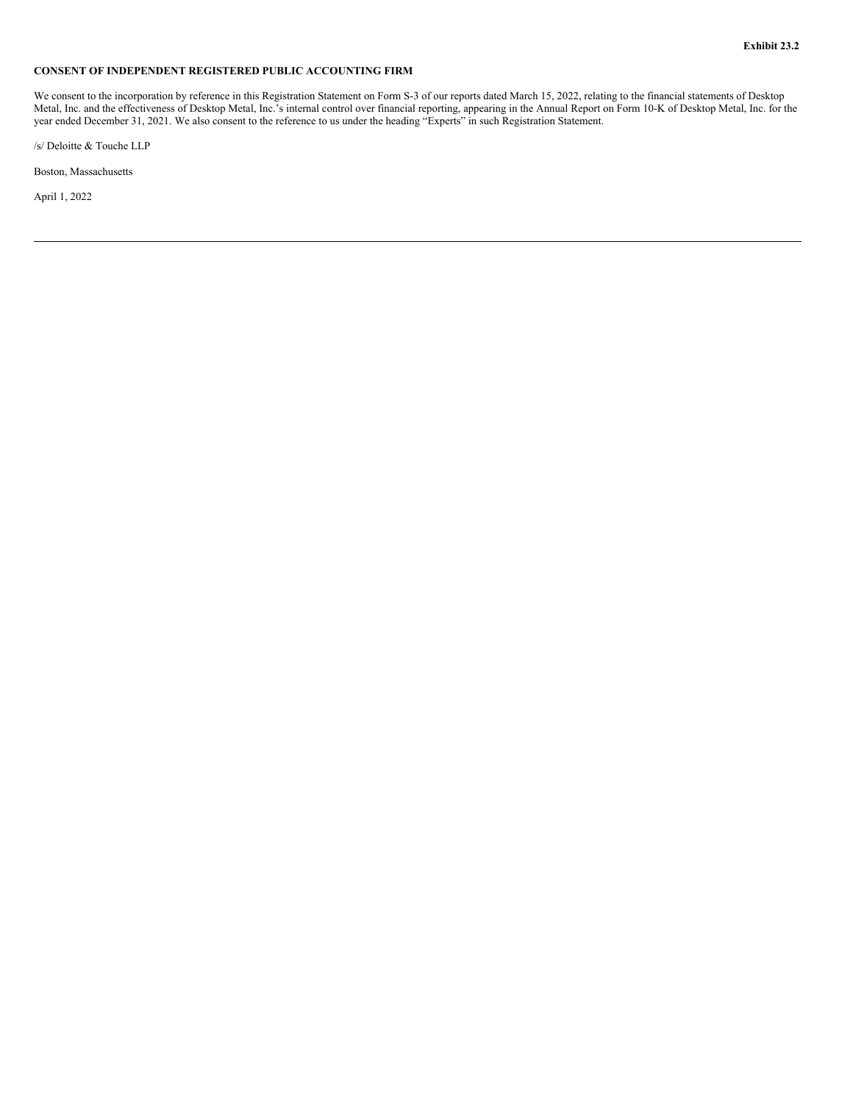## <span id="page-61-0"></span>**CONSENT OF INDEPENDENT REGISTERED PUBLIC ACCOUNTING FIRM**

We consent to the incorporation by reference in this Registration Statement on Form S-3 of our reports dated March 15, 2022, relating to the financial statements of Desktop Metal, Inc. and the effectiveness of Desktop Metal, Inc.'s internal control over financial reporting, appearing in the Annual Report on Form 10-K of Desktop Metal, Inc. for the year ended December 31, 2021. We also consent to the reference to us under the heading "Experts" in such Registration Statement.

/s/ Deloitte & Touche LLP

Boston, Massachusetts

April 1, 2022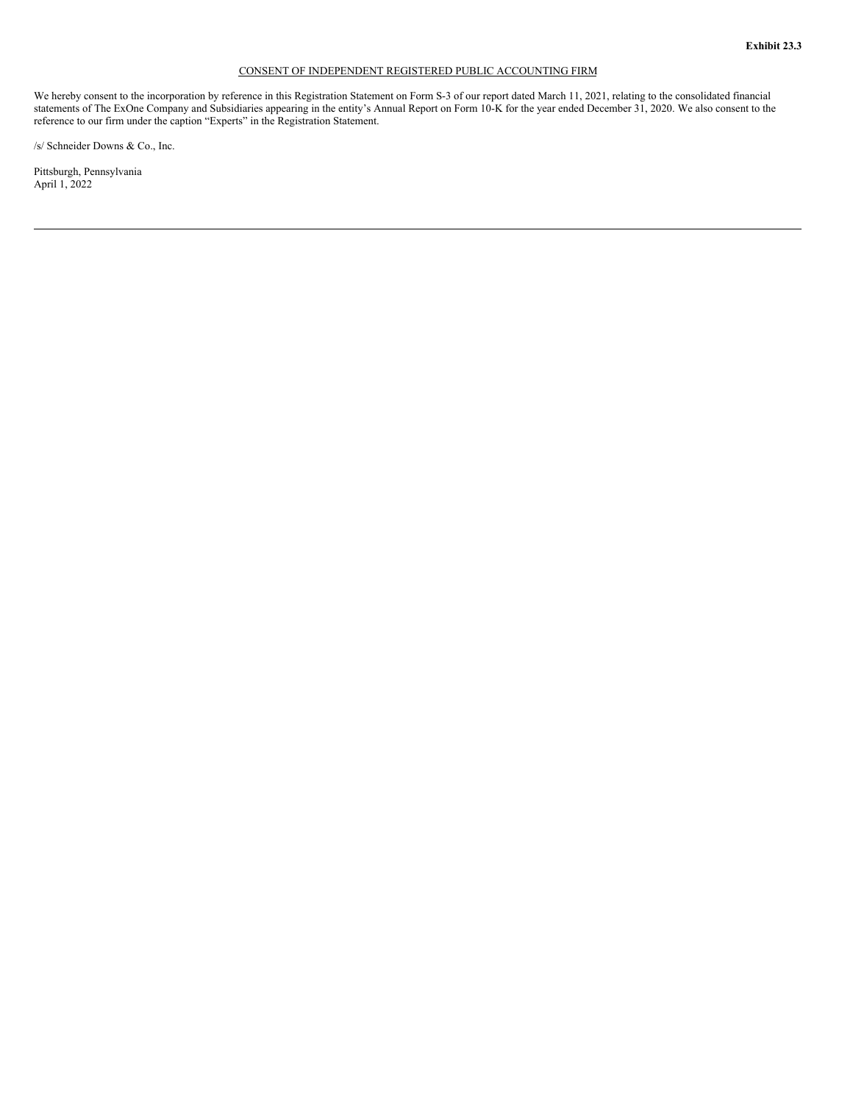## CONSENT OF INDEPENDENT REGISTERED PUBLIC ACCOUNTING FIRM

<span id="page-62-0"></span>We hereby consent to the incorporation by reference in this Registration Statement on Form S-3 of our report dated March 11, 2021, relating to the consolidated financial statements of The ExOne Company and Subsidiaries appearing in the entity's Annual Report on Form 10-K for the year ended December 31, 2020. We also consent to the reference to our firm under the caption "Experts" in the Registration Statement.

/s/ Schneider Downs & Co., Inc.

Pittsburgh, Pennsylvania April 1, 2022